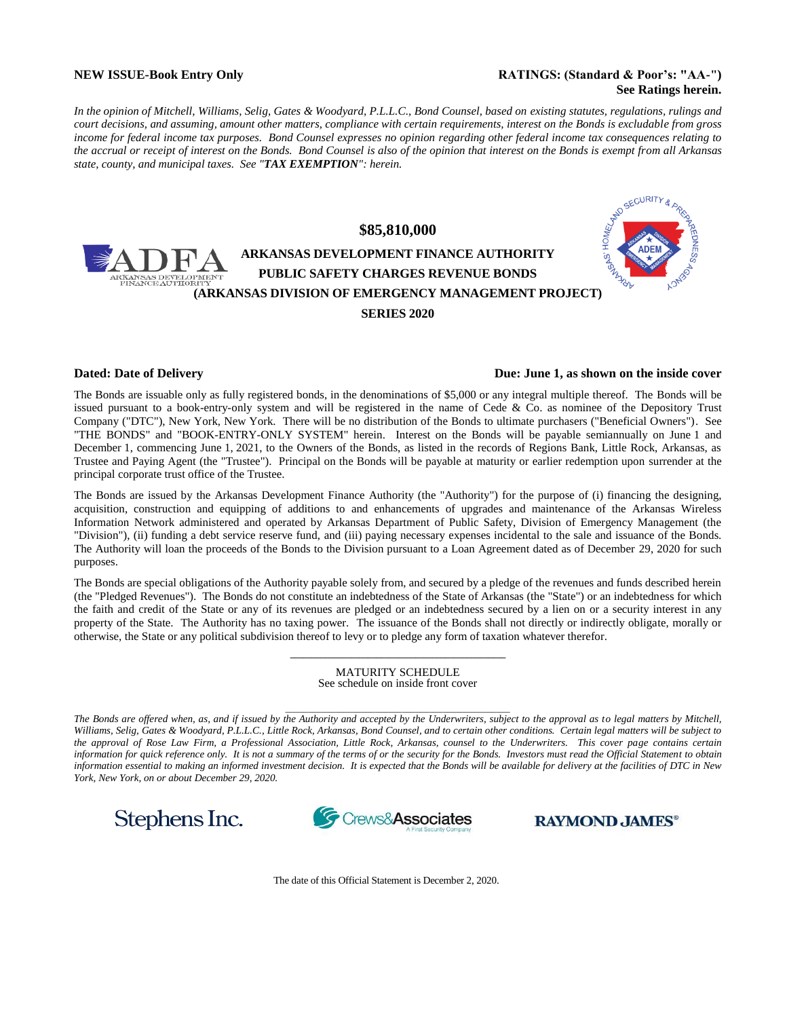#### **NEW ISSUE-Book Entry Only <b>RATINGS:** (Standard & Poor's: "AA-") **See Ratings herein.**

*In the opinion of Mitchell, Williams, Selig, Gates & Woodyard, P.L.L.C., Bond Counsel, based on existing statutes, regulations, rulings and court decisions, and assuming, amount other matters, compliance with certain requirements, interest on the Bonds is excludable from gross*  income for federal income tax purposes. Bond Counsel expresses no opinion regarding other federal income tax consequences relating to *the accrual or receipt of interest on the Bonds. Bond Counsel is also of the opinion that interest on the Bonds is exempt from all Arkansas state, county, and municipal taxes. See "TAX EXEMPTION": herein.*



#### **Dated: Date of Delivery Due: June 1, as shown on the inside cover**

The Bonds are issuable only as fully registered bonds, in the denominations of \$5,000 or any integral multiple thereof. The Bonds will be issued pursuant to a book-entry-only system and will be registered in the name of Cede & Co. as nominee of the Depository Trust Company ("DTC"), New York, New York. There will be no distribution of the Bonds to ultimate purchasers ("Beneficial Owners"). See "THE BONDS" and "BOOK-ENTRY-ONLY SYSTEM" herein. Interest on the Bonds will be payable semiannually on June 1 and December 1, commencing June 1, 2021, to the Owners of the Bonds, as listed in the records of Regions Bank, Little Rock, Arkansas, as Trustee and Paying Agent (the "Trustee"). Principal on the Bonds will be payable at maturity or earlier redemption upon surrender at the principal corporate trust office of the Trustee.

The Bonds are issued by the Arkansas Development Finance Authority (the "Authority") for the purpose of (i) financing the designing, acquisition, construction and equipping of additions to and enhancements of upgrades and maintenance of the Arkansas Wireless Information Network administered and operated by Arkansas Department of Public Safety, Division of Emergency Management (the "Division"), (ii) funding a debt service reserve fund, and (iii) paying necessary expenses incidental to the sale and issuance of the Bonds. The Authority will loan the proceeds of the Bonds to the Division pursuant to a Loan Agreement dated as of December 29, 2020 for such purposes.

The Bonds are special obligations of the Authority payable solely from, and secured by a pledge of the revenues and funds described herein (the "Pledged Revenues"). The Bonds do not constitute an indebtedness of the State of Arkansas (the "State") or an indebtedness for which the faith and credit of the State or any of its revenues are pledged or an indebtedness secured by a lien on or a security interest in any property of the State. The Authority has no taxing power. The issuance of the Bonds shall not directly or indirectly obligate, morally or otherwise, the State or any political subdivision thereof to levy or to pledge any form of taxation whatever therefor.

> **\_\_\_\_\_\_\_\_\_\_\_\_\_\_\_\_\_\_\_\_\_\_\_\_\_\_\_\_\_\_\_\_\_\_\_\_\_\_\_\_\_\_\_\_\_\_\_\_\_\_** MATURITY SCHEDULE See schedule on inside front cover

\_\_\_\_\_\_\_\_\_\_\_\_\_\_\_\_\_\_\_\_\_\_\_\_\_\_\_\_\_\_\_\_\_\_\_\_\_\_\_\_\_\_\_\_\_\_\_\_\_\_

*The Bonds are offered when, as, and if issued by the Authority and accepted by the Underwriters, subject to the approval as to legal matters by Mitchell, Williams, Selig, Gates & Woodyard, P.L.L.C., Little Rock, Arkansas, Bond Counsel, and to certain other conditions. Certain legal matters will be subject to the approval of Rose Law Firm, a Professional Association, Little Rock, Arkansas, counsel to the Underwriters. This cover page contains certain information for quick reference only. It is not a summary of the terms of or the security for the Bonds. Investors must read the Official Statement to obtain information essential to making an informed investment decision. It is expected that the Bonds will be available for delivery at the facilities of DTC in New York, New York, on or about December 29, 2020.*

Stephens Inc.



**RAYMOND JAMES®** 

The date of this Official Statement is December 2, 2020.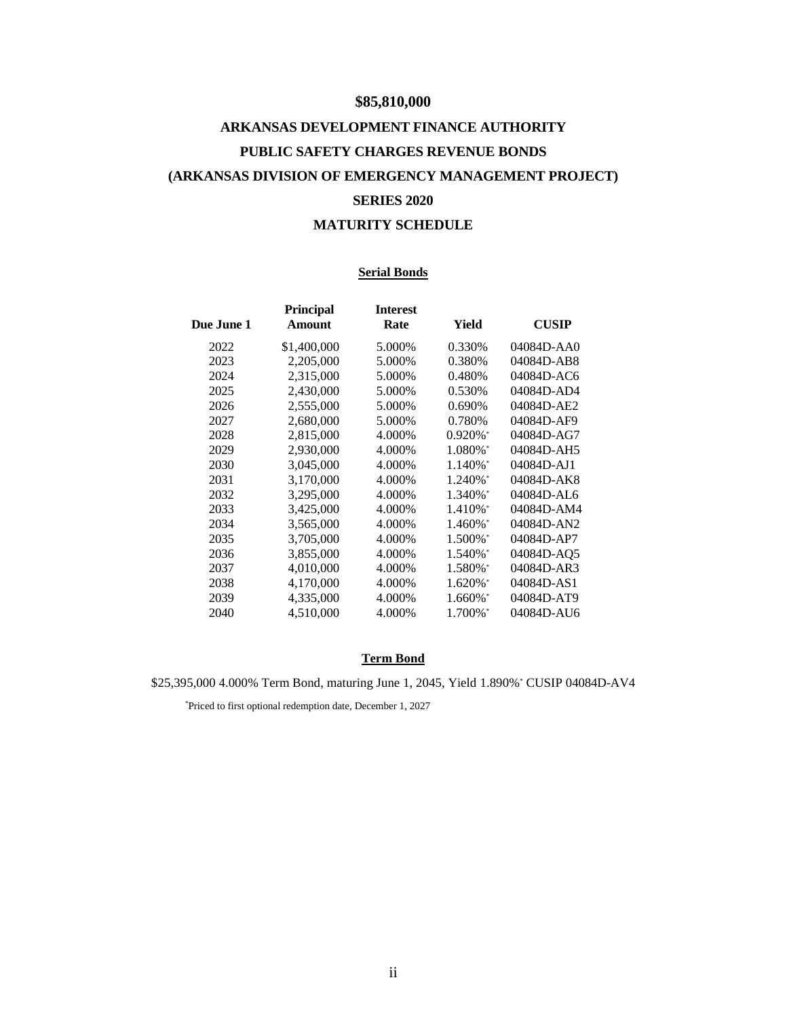## **\$85,810,000**

# **ARKANSAS DEVELOPMENT FINANCE AUTHORITY PUBLIC SAFETY CHARGES REVENUE BONDS (ARKANSAS DIVISION OF EMERGENCY MANAGEMENT PROJECT) SERIES 2020**

## **MATURITY SCHEDULE**

## **Serial Bonds**

| Due June 1 | Principal<br>Amount | <b>Interest</b><br>Rate | Yield                  | <b>CUSIP</b> |
|------------|---------------------|-------------------------|------------------------|--------------|
| 2022       | \$1,400,000         | 5.000%                  | 0.330\%                | $04084D-AAO$ |
| 2023       | 2,205,000           | 5.000%                  | 0.380%                 | 04084D-AB8   |
| 2024       | 2,315,000           | 5.000%                  | 0.480%                 | 04084D-AC6   |
| 2025       | 2,430,000           | 5.000%                  | 0.530%                 | 04084D-AD4   |
| 2026       | 2,555,000           | 5.000%                  | 0.690%                 | 04084D-AE2   |
| 2027       | 2,680,000           | 5.000%                  | 0.780%                 | 04084D-AF9   |
| 2028       | 2,815,000           | 4.000%                  | $0.920\%$ <sup>*</sup> | 04084D-AG7   |
| 2029       | 2,930,000           | 4.000\%                 | 1.080%*                | 04084D-AH5   |
| 2030       | 3,045,000           | 4.000%                  | 1.140%*                | 04084D-AJ1   |
| 2031       | 3,170,000           | 4.000%                  | 1.240%*                | 04084D-AK8   |
| 2032       | 3,295,000           | 4.000%                  | 1.340%*                | 04084D-AL6   |
| 2033       | 3,425,000           | 4.000%                  | 1.410%*                | 04084D-AM4   |
| 2034       | 3,565,000           | 4.000%                  | 1.460%*                | 04084D-AN2   |
| 2035       | 3,705,000           | 4.000%                  | 1.500%*                | 04084D-AP7   |
| 2036       | 3,855,000           | 4.000%                  | 1.540%*                | 04084D-AQ5   |
| 2037       | 4,010,000           | 4.000%                  | 1.580%*                | 04084D-AR3   |
| 2038       | 4,170,000           | 4.000%                  | $1.620\%$ <sup>*</sup> | 04084D-AS1   |
| 2039       | 4,335,000           | 4.000%                  | 1.660%*                | 04084D-AT9   |
| 2040       | 4,510,000           | 4.000%                  | 1.700%*                | 04084D-AU6   |
|            |                     |                         |                        |              |

## **Term Bond**

\$25,395,000 4.000% Term Bond, maturing June 1, 2045, Yield 1.890%\* CUSIP 04084D-AV4

\*Priced to first optional redemption date, December 1, 2027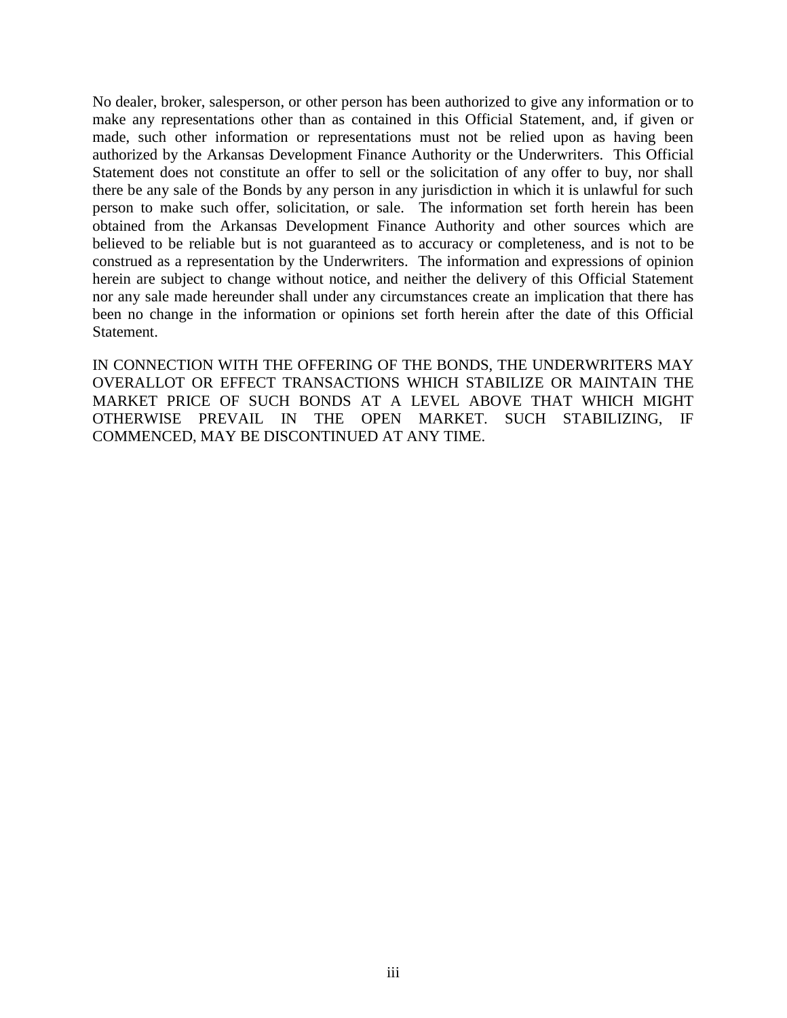No dealer, broker, salesperson, or other person has been authorized to give any information or to make any representations other than as contained in this Official Statement, and, if given or made, such other information or representations must not be relied upon as having been authorized by the Arkansas Development Finance Authority or the Underwriters. This Official Statement does not constitute an offer to sell or the solicitation of any offer to buy, nor shall there be any sale of the Bonds by any person in any jurisdiction in which it is unlawful for such person to make such offer, solicitation, or sale. The information set forth herein has been obtained from the Arkansas Development Finance Authority and other sources which are believed to be reliable but is not guaranteed as to accuracy or completeness, and is not to be construed as a representation by the Underwriters. The information and expressions of opinion herein are subject to change without notice, and neither the delivery of this Official Statement nor any sale made hereunder shall under any circumstances create an implication that there has been no change in the information or opinions set forth herein after the date of this Official Statement.

IN CONNECTION WITH THE OFFERING OF THE BONDS, THE UNDERWRITERS MAY OVERALLOT OR EFFECT TRANSACTIONS WHICH STABILIZE OR MAINTAIN THE MARKET PRICE OF SUCH BONDS AT A LEVEL ABOVE THAT WHICH MIGHT OTHERWISE PREVAIL IN THE OPEN MARKET. SUCH STABILIZING, IF COMMENCED, MAY BE DISCONTINUED AT ANY TIME.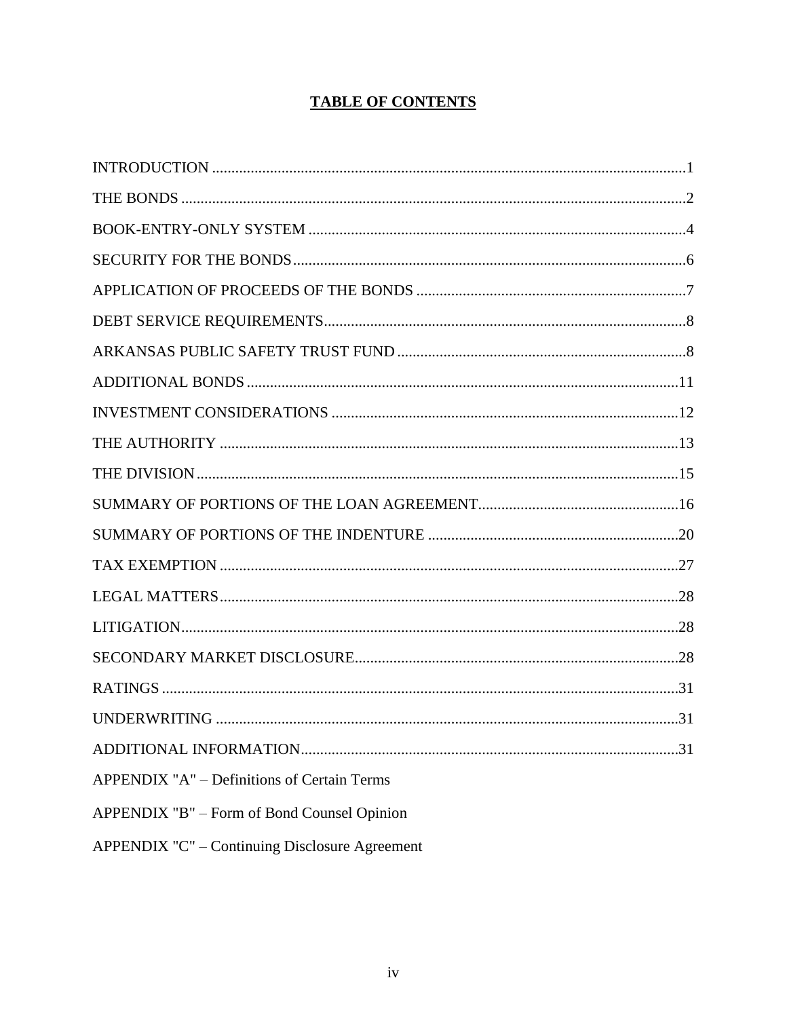## **TABLE OF CONTENTS**

| APPENDIX "A" - Definitions of Certain Terms    |  |
|------------------------------------------------|--|
| APPENDIX "B" – Form of Bond Counsel Opinion    |  |
| APPENDIX "C" - Continuing Disclosure Agreement |  |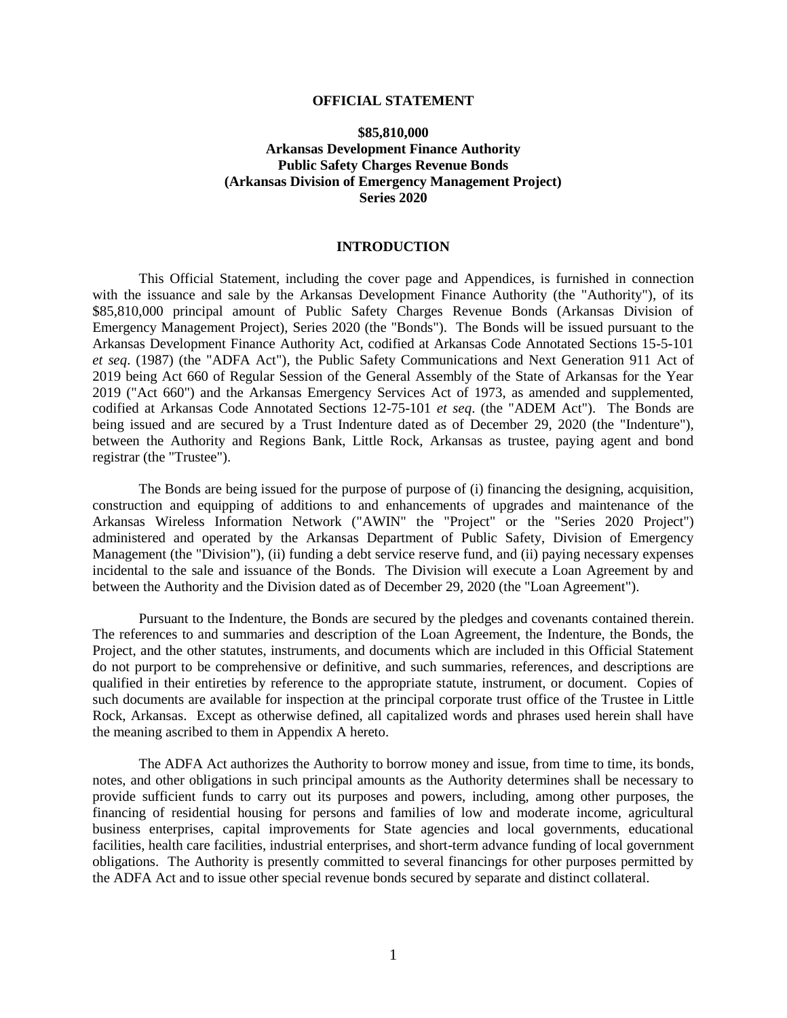#### **OFFICIAL STATEMENT**

## **\$85,810,000 Arkansas Development Finance Authority Public Safety Charges Revenue Bonds (Arkansas Division of Emergency Management Project) Series 2020**

## **INTRODUCTION**

<span id="page-4-0"></span>This Official Statement, including the cover page and Appendices, is furnished in connection with the issuance and sale by the Arkansas Development Finance Authority (the "Authority"), of its \$85,810,000 principal amount of Public Safety Charges Revenue Bonds (Arkansas Division of Emergency Management Project), Series 2020 (the "Bonds"). The Bonds will be issued pursuant to the Arkansas Development Finance Authority Act, codified at Arkansas Code Annotated Sections 15-5-101 *et seq*. (1987) (the "ADFA Act"), the Public Safety Communications and Next Generation 911 Act of 2019 being Act 660 of Regular Session of the General Assembly of the State of Arkansas for the Year 2019 ("Act 660") and the Arkansas Emergency Services Act of 1973, as amended and supplemented, codified at Arkansas Code Annotated Sections 12-75-101 *et seq*. (the "ADEM Act").The Bonds are being issued and are secured by a Trust Indenture dated as of December 29, 2020 (the "Indenture"), between the Authority and Regions Bank, Little Rock, Arkansas as trustee, paying agent and bond registrar (the "Trustee").

The Bonds are being issued for the purpose of purpose of (i) financing the designing, acquisition, construction and equipping of additions to and enhancements of upgrades and maintenance of the Arkansas Wireless Information Network ("AWIN" the "Project" or the "Series 2020 Project") administered and operated by the Arkansas Department of Public Safety, Division of Emergency Management (the "Division"), (ii) funding a debt service reserve fund, and (ii) paying necessary expenses incidental to the sale and issuance of the Bonds. The Division will execute a Loan Agreement by and between the Authority and the Division dated as of December 29, 2020 (the "Loan Agreement").

Pursuant to the Indenture, the Bonds are secured by the pledges and covenants contained therein. The references to and summaries and description of the Loan Agreement, the Indenture, the Bonds, the Project, and the other statutes, instruments, and documents which are included in this Official Statement do not purport to be comprehensive or definitive, and such summaries, references, and descriptions are qualified in their entireties by reference to the appropriate statute, instrument, or document. Copies of such documents are available for inspection at the principal corporate trust office of the Trustee in Little Rock, Arkansas. Except as otherwise defined, all capitalized words and phrases used herein shall have the meaning ascribed to them in Appendix A hereto.

The ADFA Act authorizes the Authority to borrow money and issue, from time to time, its bonds, notes, and other obligations in such principal amounts as the Authority determines shall be necessary to provide sufficient funds to carry out its purposes and powers, including, among other purposes, the financing of residential housing for persons and families of low and moderate income, agricultural business enterprises, capital improvements for State agencies and local governments, educational facilities, health care facilities, industrial enterprises, and short-term advance funding of local government obligations. The Authority is presently committed to several financings for other purposes permitted by the ADFA Act and to issue other special revenue bonds secured by separate and distinct collateral.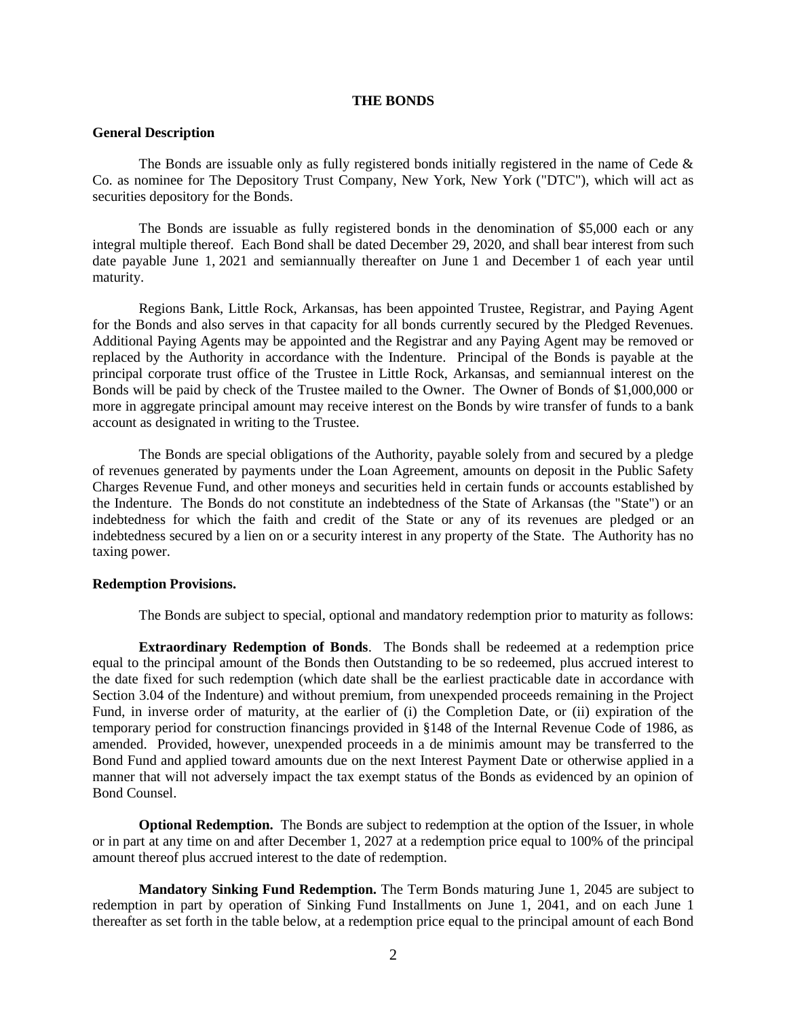#### **THE BONDS**

## <span id="page-5-0"></span>**General Description**

The Bonds are issuable only as fully registered bonds initially registered in the name of Cede & Co. as nominee for The Depository Trust Company, New York, New York ("DTC"), which will act as securities depository for the Bonds.

The Bonds are issuable as fully registered bonds in the denomination of \$5,000 each or any integral multiple thereof. Each Bond shall be dated December 29, 2020, and shall bear interest from such date payable June 1, 2021 and semiannually thereafter on June 1 and December 1 of each year until maturity.

Regions Bank, Little Rock, Arkansas, has been appointed Trustee, Registrar, and Paying Agent for the Bonds and also serves in that capacity for all bonds currently secured by the Pledged Revenues. Additional Paying Agents may be appointed and the Registrar and any Paying Agent may be removed or replaced by the Authority in accordance with the Indenture. Principal of the Bonds is payable at the principal corporate trust office of the Trustee in Little Rock, Arkansas, and semiannual interest on the Bonds will be paid by check of the Trustee mailed to the Owner. The Owner of Bonds of \$1,000,000 or more in aggregate principal amount may receive interest on the Bonds by wire transfer of funds to a bank account as designated in writing to the Trustee.

The Bonds are special obligations of the Authority, payable solely from and secured by a pledge of revenues generated by payments under the Loan Agreement, amounts on deposit in the Public Safety Charges Revenue Fund, and other moneys and securities held in certain funds or accounts established by the Indenture. The Bonds do not constitute an indebtedness of the State of Arkansas (the "State") or an indebtedness for which the faith and credit of the State or any of its revenues are pledged or an indebtedness secured by a lien on or a security interest in any property of the State. The Authority has no taxing power.

#### **Redemption Provisions.**

The Bonds are subject to special, optional and mandatory redemption prior to maturity as follows:

**Extraordinary Redemption of Bonds**. The Bonds shall be redeemed at a redemption price equal to the principal amount of the Bonds then Outstanding to be so redeemed, plus accrued interest to the date fixed for such redemption (which date shall be the earliest practicable date in accordance with Section 3.04 of the Indenture) and without premium, from unexpended proceeds remaining in the Project Fund, in inverse order of maturity, at the earlier of (i) the Completion Date, or (ii) expiration of the temporary period for construction financings provided in §148 of the Internal Revenue Code of 1986, as amended. Provided, however, unexpended proceeds in a de minimis amount may be transferred to the Bond Fund and applied toward amounts due on the next Interest Payment Date or otherwise applied in a manner that will not adversely impact the tax exempt status of the Bonds as evidenced by an opinion of Bond Counsel.

**Optional Redemption.** The Bonds are subject to redemption at the option of the Issuer, in whole or in part at any time on and after December 1, 2027 at a redemption price equal to 100% of the principal amount thereof plus accrued interest to the date of redemption.

**Mandatory Sinking Fund Redemption.** The Term Bonds maturing June 1, 2045 are subject to redemption in part by operation of Sinking Fund Installments on June 1, 2041, and on each June 1 thereafter as set forth in the table below, at a redemption price equal to the principal amount of each Bond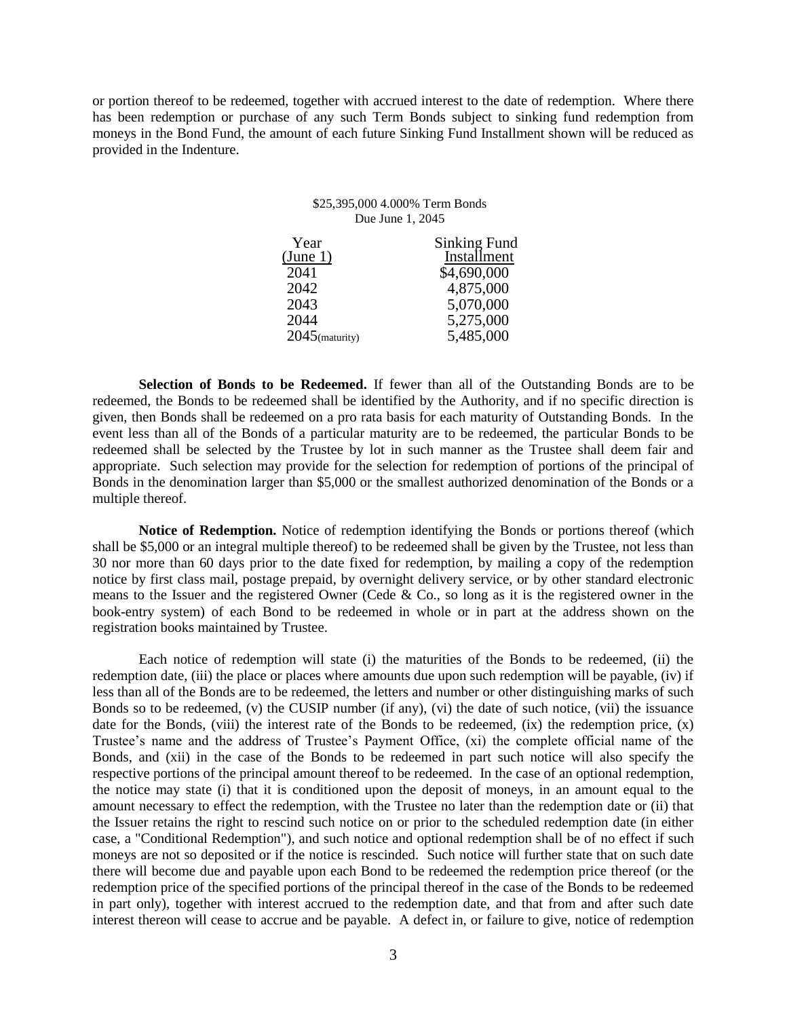or portion thereof to be redeemed, together with accrued interest to the date of redemption. Where there has been redemption or purchase of any such Term Bonds subject to sinking fund redemption from moneys in the Bond Fund, the amount of each future Sinking Fund Installment shown will be reduced as provided in the Indenture.

#### \$25,395,000 4.000% Term Bonds Due June 1, 2045

| Year              | <b>Sinking Fund</b> |
|-------------------|---------------------|
| (June 1)          | Installment         |
| 2041              | \$4,690,000         |
| 2042              | 4,875,000           |
| 2043              | 5,070,000           |
| 2044              | 5,275,000           |
| $2045$ (maturity) | 5,485,000           |
|                   |                     |

**Selection of Bonds to be Redeemed.** If fewer than all of the Outstanding Bonds are to be redeemed, the Bonds to be redeemed shall be identified by the Authority, and if no specific direction is given, then Bonds shall be redeemed on a pro rata basis for each maturity of Outstanding Bonds. In the event less than all of the Bonds of a particular maturity are to be redeemed, the particular Bonds to be redeemed shall be selected by the Trustee by lot in such manner as the Trustee shall deem fair and appropriate. Such selection may provide for the selection for redemption of portions of the principal of Bonds in the denomination larger than \$5,000 or the smallest authorized denomination of the Bonds or a multiple thereof.

**Notice of Redemption.** Notice of redemption identifying the Bonds or portions thereof (which shall be \$5,000 or an integral multiple thereof) to be redeemed shall be given by the Trustee, not less than 30 nor more than 60 days prior to the date fixed for redemption, by mailing a copy of the redemption notice by first class mail, postage prepaid, by overnight delivery service, or by other standard electronic means to the Issuer and the registered Owner (Cede & Co., so long as it is the registered owner in the book-entry system) of each Bond to be redeemed in whole or in part at the address shown on the registration books maintained by Trustee.

Each notice of redemption will state (i) the maturities of the Bonds to be redeemed, (ii) the redemption date, (iii) the place or places where amounts due upon such redemption will be payable, (iv) if less than all of the Bonds are to be redeemed, the letters and number or other distinguishing marks of such Bonds so to be redeemed, (v) the CUSIP number (if any), (vi) the date of such notice, (vii) the issuance date for the Bonds, (viii) the interest rate of the Bonds to be redeemed,  $(ix)$  the redemption price,  $(x)$ Trustee's name and the address of Trustee's Payment Office, (xi) the complete official name of the Bonds, and (xii) in the case of the Bonds to be redeemed in part such notice will also specify the respective portions of the principal amount thereof to be redeemed. In the case of an optional redemption, the notice may state (i) that it is conditioned upon the deposit of moneys, in an amount equal to the amount necessary to effect the redemption, with the Trustee no later than the redemption date or (ii) that the Issuer retains the right to rescind such notice on or prior to the scheduled redemption date (in either case, a "Conditional Redemption"), and such notice and optional redemption shall be of no effect if such moneys are not so deposited or if the notice is rescinded. Such notice will further state that on such date there will become due and payable upon each Bond to be redeemed the redemption price thereof (or the redemption price of the specified portions of the principal thereof in the case of the Bonds to be redeemed in part only), together with interest accrued to the redemption date, and that from and after such date interest thereon will cease to accrue and be payable. A defect in, or failure to give, notice of redemption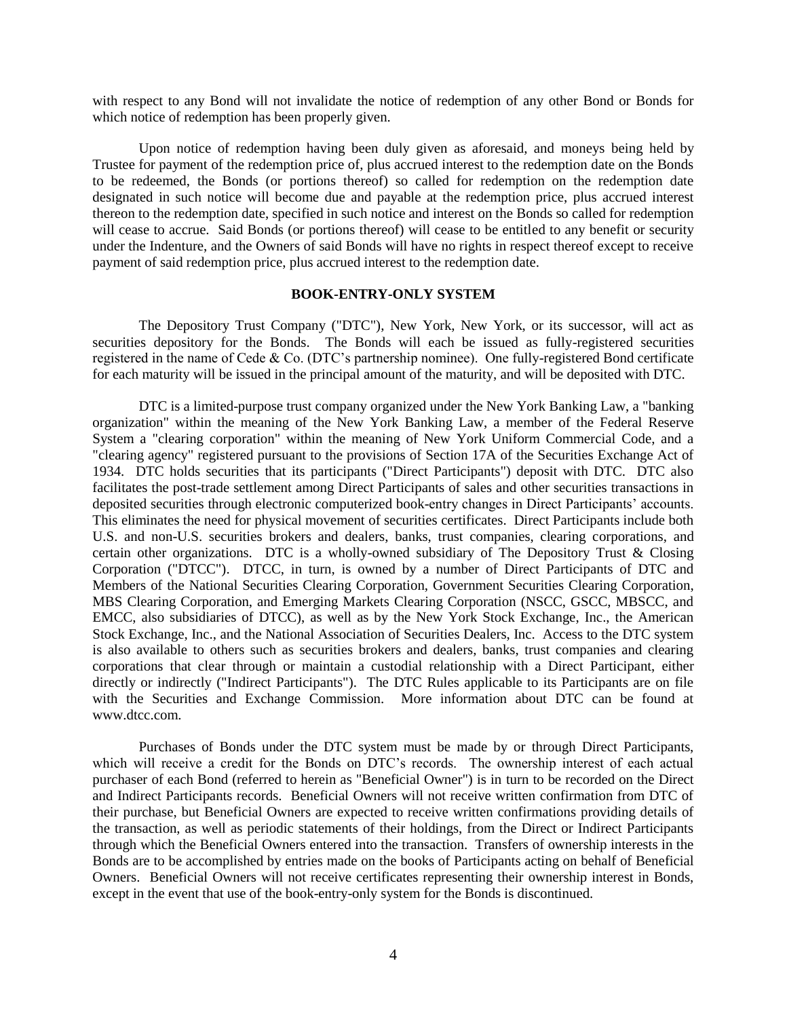with respect to any Bond will not invalidate the notice of redemption of any other Bond or Bonds for which notice of redemption has been properly given.

Upon notice of redemption having been duly given as aforesaid, and moneys being held by Trustee for payment of the redemption price of, plus accrued interest to the redemption date on the Bonds to be redeemed, the Bonds (or portions thereof) so called for redemption on the redemption date designated in such notice will become due and payable at the redemption price, plus accrued interest thereon to the redemption date, specified in such notice and interest on the Bonds so called for redemption will cease to accrue. Said Bonds (or portions thereof) will cease to be entitled to any benefit or security under the Indenture, and the Owners of said Bonds will have no rights in respect thereof except to receive payment of said redemption price, plus accrued interest to the redemption date.

## **BOOK-ENTRY-ONLY SYSTEM**

<span id="page-7-0"></span>The Depository Trust Company ("DTC"), New York, New York, or its successor, will act as securities depository for the Bonds. The Bonds will each be issued as fully-registered securities registered in the name of Cede & Co. (DTC's partnership nominee). One fully-registered Bond certificate for each maturity will be issued in the principal amount of the maturity, and will be deposited with DTC.

DTC is a limited-purpose trust company organized under the New York Banking Law, a "banking organization" within the meaning of the New York Banking Law, a member of the Federal Reserve System a "clearing corporation" within the meaning of New York Uniform Commercial Code, and a "clearing agency" registered pursuant to the provisions of Section 17A of the Securities Exchange Act of 1934. DTC holds securities that its participants ("Direct Participants") deposit with DTC. DTC also facilitates the post-trade settlement among Direct Participants of sales and other securities transactions in deposited securities through electronic computerized book-entry changes in Direct Participants' accounts. This eliminates the need for physical movement of securities certificates. Direct Participants include both U.S. and non-U.S. securities brokers and dealers, banks, trust companies, clearing corporations, and certain other organizations. DTC is a wholly-owned subsidiary of The Depository Trust & Closing Corporation ("DTCC"). DTCC, in turn, is owned by a number of Direct Participants of DTC and Members of the National Securities Clearing Corporation, Government Securities Clearing Corporation, MBS Clearing Corporation, and Emerging Markets Clearing Corporation (NSCC, GSCC, MBSCC, and EMCC, also subsidiaries of DTCC), as well as by the New York Stock Exchange, Inc., the American Stock Exchange, Inc., and the National Association of Securities Dealers, Inc. Access to the DTC system is also available to others such as securities brokers and dealers, banks, trust companies and clearing corporations that clear through or maintain a custodial relationship with a Direct Participant, either directly or indirectly ("Indirect Participants"). The DTC Rules applicable to its Participants are on file with the Securities and Exchange Commission. More information about DTC can be found at www.dtcc.com.

Purchases of Bonds under the DTC system must be made by or through Direct Participants, which will receive a credit for the Bonds on DTC's records. The ownership interest of each actual purchaser of each Bond (referred to herein as "Beneficial Owner") is in turn to be recorded on the Direct and Indirect Participants records. Beneficial Owners will not receive written confirmation from DTC of their purchase, but Beneficial Owners are expected to receive written confirmations providing details of the transaction, as well as periodic statements of their holdings, from the Direct or Indirect Participants through which the Beneficial Owners entered into the transaction. Transfers of ownership interests in the Bonds are to be accomplished by entries made on the books of Participants acting on behalf of Beneficial Owners. Beneficial Owners will not receive certificates representing their ownership interest in Bonds, except in the event that use of the book-entry-only system for the Bonds is discontinued.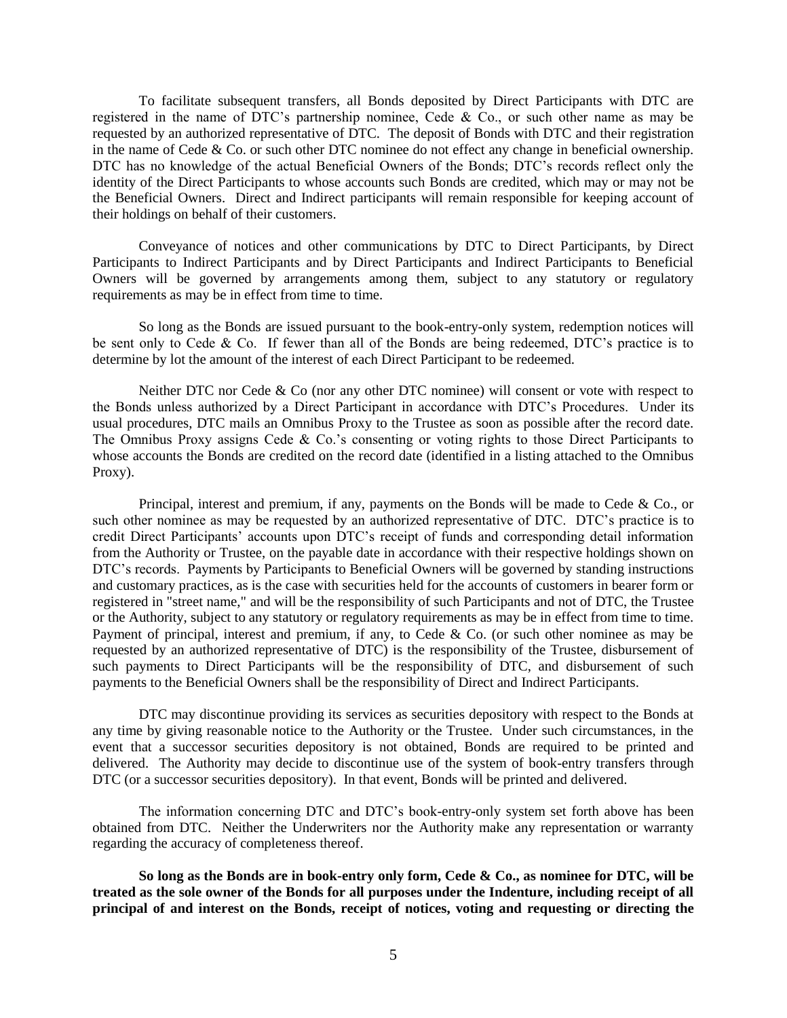To facilitate subsequent transfers, all Bonds deposited by Direct Participants with DTC are registered in the name of DTC's partnership nominee, Cede & Co., or such other name as may be requested by an authorized representative of DTC. The deposit of Bonds with DTC and their registration in the name of Cede & Co. or such other DTC nominee do not effect any change in beneficial ownership. DTC has no knowledge of the actual Beneficial Owners of the Bonds; DTC's records reflect only the identity of the Direct Participants to whose accounts such Bonds are credited, which may or may not be the Beneficial Owners. Direct and Indirect participants will remain responsible for keeping account of their holdings on behalf of their customers.

Conveyance of notices and other communications by DTC to Direct Participants, by Direct Participants to Indirect Participants and by Direct Participants and Indirect Participants to Beneficial Owners will be governed by arrangements among them, subject to any statutory or regulatory requirements as may be in effect from time to time.

So long as the Bonds are issued pursuant to the book-entry-only system, redemption notices will be sent only to Cede & Co. If fewer than all of the Bonds are being redeemed, DTC's practice is to determine by lot the amount of the interest of each Direct Participant to be redeemed.

Neither DTC nor Cede & Co (nor any other DTC nominee) will consent or vote with respect to the Bonds unless authorized by a Direct Participant in accordance with DTC's Procedures. Under its usual procedures, DTC mails an Omnibus Proxy to the Trustee as soon as possible after the record date. The Omnibus Proxy assigns Cede & Co.'s consenting or voting rights to those Direct Participants to whose accounts the Bonds are credited on the record date (identified in a listing attached to the Omnibus Proxy).

Principal, interest and premium, if any, payments on the Bonds will be made to Cede & Co., or such other nominee as may be requested by an authorized representative of DTC. DTC's practice is to credit Direct Participants' accounts upon DTC's receipt of funds and corresponding detail information from the Authority or Trustee, on the payable date in accordance with their respective holdings shown on DTC's records. Payments by Participants to Beneficial Owners will be governed by standing instructions and customary practices, as is the case with securities held for the accounts of customers in bearer form or registered in "street name," and will be the responsibility of such Participants and not of DTC, the Trustee or the Authority, subject to any statutory or regulatory requirements as may be in effect from time to time. Payment of principal, interest and premium, if any, to Cede & Co. (or such other nominee as may be requested by an authorized representative of DTC) is the responsibility of the Trustee, disbursement of such payments to Direct Participants will be the responsibility of DTC, and disbursement of such payments to the Beneficial Owners shall be the responsibility of Direct and Indirect Participants.

DTC may discontinue providing its services as securities depository with respect to the Bonds at any time by giving reasonable notice to the Authority or the Trustee. Under such circumstances, in the event that a successor securities depository is not obtained, Bonds are required to be printed and delivered. The Authority may decide to discontinue use of the system of book-entry transfers through DTC (or a successor securities depository). In that event, Bonds will be printed and delivered.

The information concerning DTC and DTC's book-entry-only system set forth above has been obtained from DTC. Neither the Underwriters nor the Authority make any representation or warranty regarding the accuracy of completeness thereof.

**So long as the Bonds are in book-entry only form, Cede & Co., as nominee for DTC, will be treated as the sole owner of the Bonds for all purposes under the Indenture, including receipt of all principal of and interest on the Bonds, receipt of notices, voting and requesting or directing the**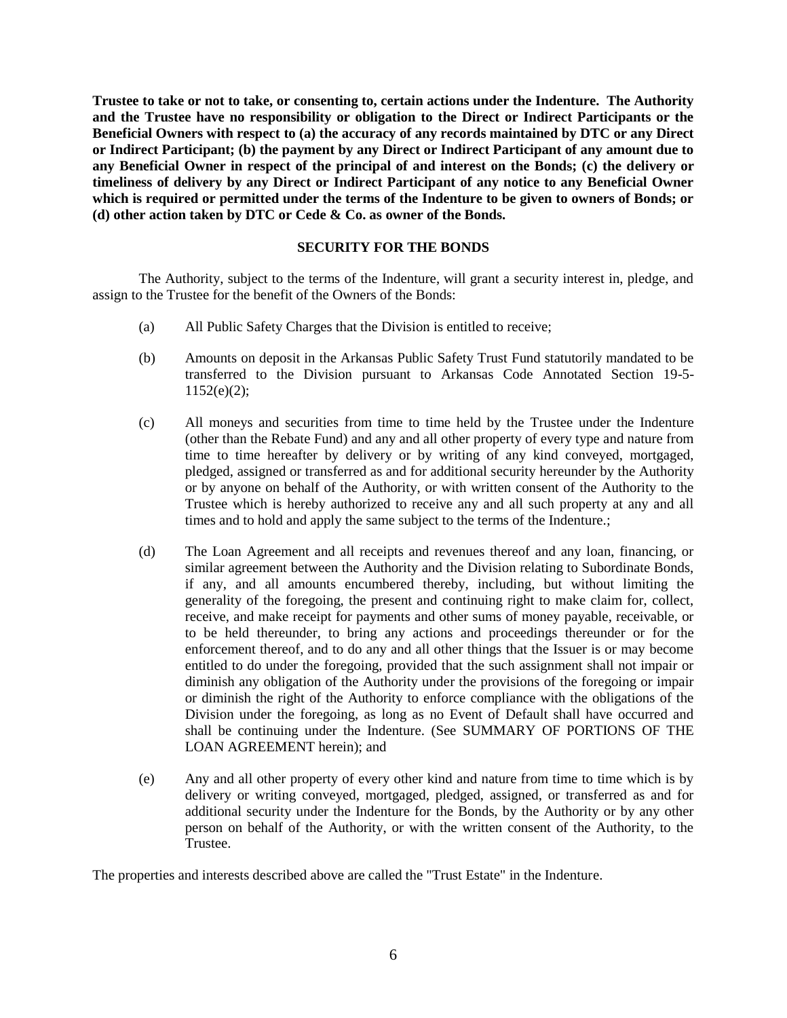**Trustee to take or not to take, or consenting to, certain actions under the Indenture. The Authority and the Trustee have no responsibility or obligation to the Direct or Indirect Participants or the Beneficial Owners with respect to (a) the accuracy of any records maintained by DTC or any Direct or Indirect Participant; (b) the payment by any Direct or Indirect Participant of any amount due to any Beneficial Owner in respect of the principal of and interest on the Bonds; (c) the delivery or timeliness of delivery by any Direct or Indirect Participant of any notice to any Beneficial Owner which is required or permitted under the terms of the Indenture to be given to owners of Bonds; or (d) other action taken by DTC or Cede & Co. as owner of the Bonds.**

## **SECURITY FOR THE BONDS**

<span id="page-9-0"></span>The Authority, subject to the terms of the Indenture, will grant a security interest in, pledge, and assign to the Trustee for the benefit of the Owners of the Bonds:

- (a) All Public Safety Charges that the Division is entitled to receive;
- (b) Amounts on deposit in the Arkansas Public Safety Trust Fund statutorily mandated to be transferred to the Division pursuant to Arkansas Code Annotated Section 19-5-  $1152(e)(2)$ ;
- (c) All moneys and securities from time to time held by the Trustee under the Indenture (other than the Rebate Fund) and any and all other property of every type and nature from time to time hereafter by delivery or by writing of any kind conveyed, mortgaged, pledged, assigned or transferred as and for additional security hereunder by the Authority or by anyone on behalf of the Authority, or with written consent of the Authority to the Trustee which is hereby authorized to receive any and all such property at any and all times and to hold and apply the same subject to the terms of the Indenture.;
- (d) The Loan Agreement and all receipts and revenues thereof and any loan, financing, or similar agreement between the Authority and the Division relating to Subordinate Bonds, if any, and all amounts encumbered thereby, including, but without limiting the generality of the foregoing, the present and continuing right to make claim for, collect, receive, and make receipt for payments and other sums of money payable, receivable, or to be held thereunder, to bring any actions and proceedings thereunder or for the enforcement thereof, and to do any and all other things that the Issuer is or may become entitled to do under the foregoing, provided that the such assignment shall not impair or diminish any obligation of the Authority under the provisions of the foregoing or impair or diminish the right of the Authority to enforce compliance with the obligations of the Division under the foregoing, as long as no Event of Default shall have occurred and shall be continuing under the Indenture. (See SUMMARY OF PORTIONS OF THE LOAN AGREEMENT herein); and
- (e) Any and all other property of every other kind and nature from time to time which is by delivery or writing conveyed, mortgaged, pledged, assigned, or transferred as and for additional security under the Indenture for the Bonds, by the Authority or by any other person on behalf of the Authority, or with the written consent of the Authority, to the Trustee.

The properties and interests described above are called the "Trust Estate" in the Indenture.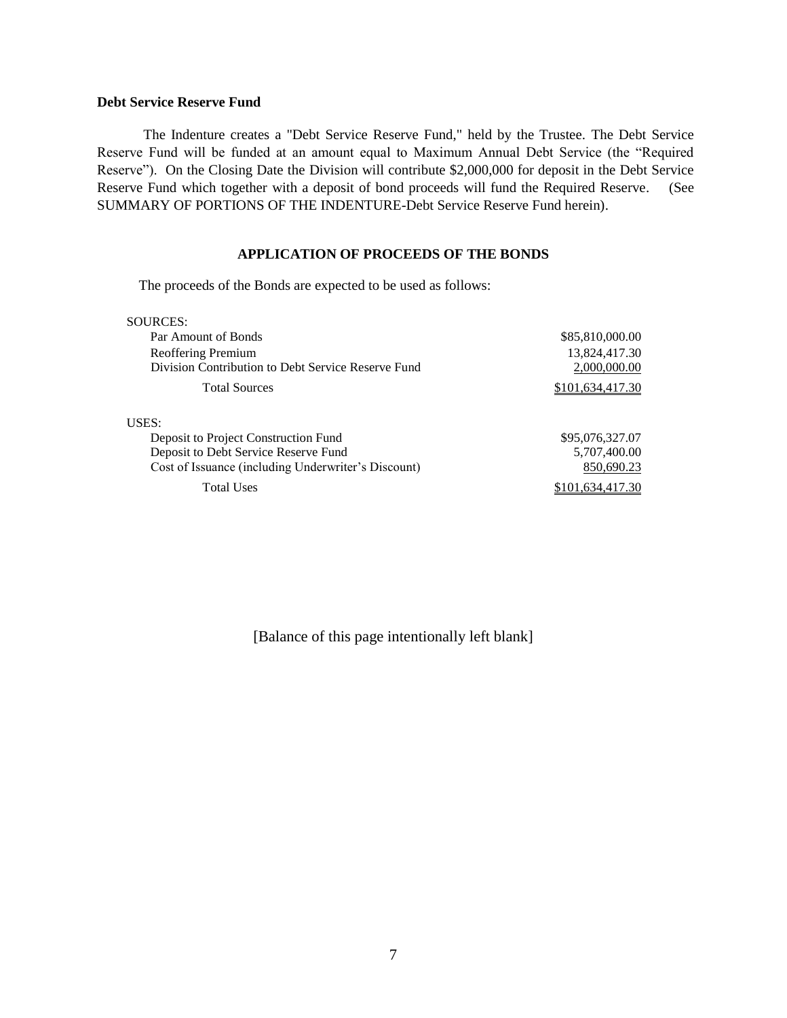## **Debt Service Reserve Fund**

The Indenture creates a "Debt Service Reserve Fund," held by the Trustee. The Debt Service Reserve Fund will be funded at an amount equal to Maximum Annual Debt Service (the "Required Reserve"). On the Closing Date the Division will contribute \$2,000,000 for deposit in the Debt Service Reserve Fund which together with a deposit of bond proceeds will fund the Required Reserve. (See SUMMARY OF PORTIONS OF THE INDENTURE-Debt Service Reserve Fund herein).

## **APPLICATION OF PROCEEDS OF THE BONDS**

<span id="page-10-0"></span>The proceeds of the Bonds are expected to be used as follows:

| SOURCES:                                            |                  |
|-----------------------------------------------------|------------------|
| Par Amount of Bonds                                 | \$85,810,000.00  |
| Reoffering Premium                                  | 13,824,417.30    |
| Division Contribution to Debt Service Reserve Fund  | 2,000,000.00     |
| <b>Total Sources</b>                                | \$101,634,417.30 |
| USES:                                               |                  |
| Deposit to Project Construction Fund                | \$95,076,327.07  |
| Deposit to Debt Service Reserve Fund                | 5,707,400.00     |
| Cost of Issuance (including Underwriter's Discount) | 850,690.23       |
| <b>Total Uses</b>                                   | \$101.634.417.30 |
|                                                     |                  |

[Balance of this page intentionally left blank]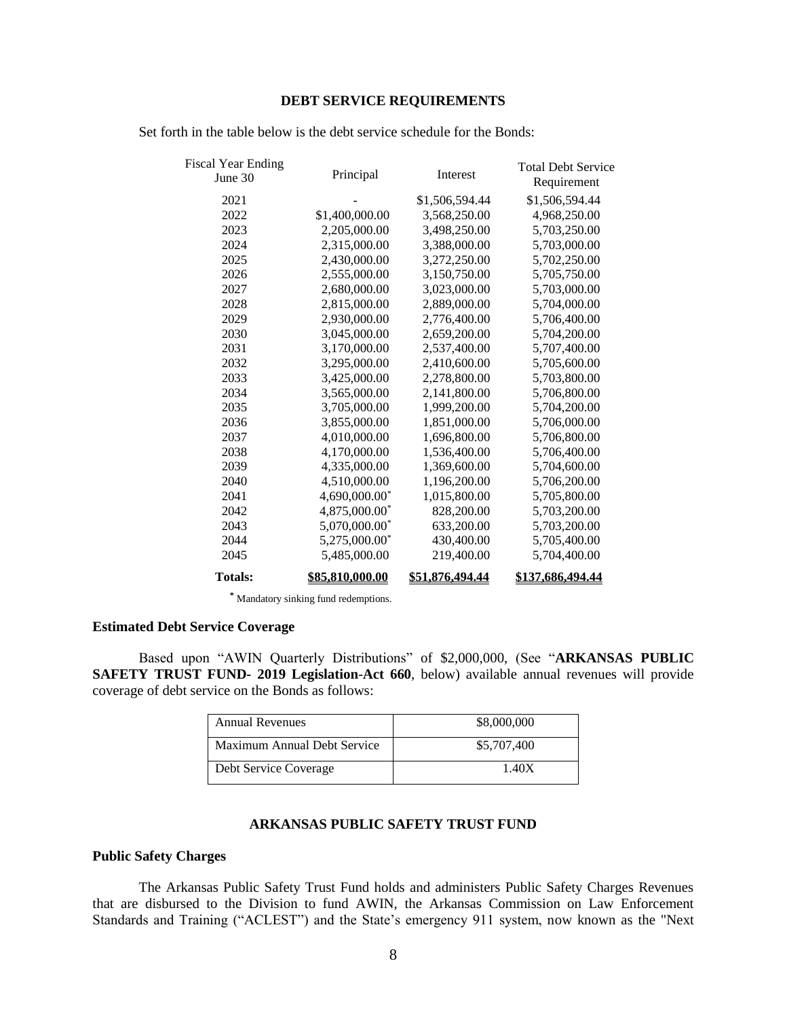## **DEBT SERVICE REQUIREMENTS**

| <b>Fiscal Year Ending</b><br>June 30 | Principal       | Interest        | <b>Total Debt Service</b><br>Requirement |
|--------------------------------------|-----------------|-----------------|------------------------------------------|
| 2021                                 |                 | \$1,506,594.44  | \$1,506,594.44                           |
| 2022                                 | \$1,400,000.00  | 3,568,250.00    | 4,968,250.00                             |
| 2023                                 | 2,205,000.00    | 3,498,250.00    | 5,703,250.00                             |
| 2024                                 | 2,315,000.00    | 3,388,000.00    | 5,703,000.00                             |
| 2025                                 | 2,430,000.00    | 3,272,250.00    | 5,702,250.00                             |
| 2026                                 | 2,555,000.00    | 3,150,750.00    | 5,705,750.00                             |
| 2027                                 | 2,680,000.00    | 3,023,000.00    | 5,703,000.00                             |
| 2028                                 | 2,815,000.00    | 2,889,000.00    | 5,704,000.00                             |
| 2029                                 | 2,930,000.00    | 2,776,400.00    | 5,706,400.00                             |
| 2030                                 | 3,045,000.00    | 2,659,200.00    | 5,704,200.00                             |
| 2031                                 | 3,170,000.00    | 2,537,400.00    | 5,707,400.00                             |
| 2032                                 | 3,295,000.00    | 2,410,600.00    | 5,705,600.00                             |
| 2033                                 | 3,425,000.00    | 2,278,800.00    | 5,703,800.00                             |
| 2034                                 | 3,565,000.00    | 2,141,800.00    | 5,706,800.00                             |
| 2035                                 | 3,705,000.00    | 1,999,200.00    | 5,704,200.00                             |
| 2036                                 | 3,855,000.00    | 1,851,000.00    | 5,706,000.00                             |
| 2037                                 | 4,010,000.00    | 1,696,800.00    | 5,706,800.00                             |
| 2038                                 | 4,170,000.00    | 1,536,400.00    | 5,706,400.00                             |
| 2039                                 | 4,335,000.00    | 1,369,600.00    | 5,704,600.00                             |
| 2040                                 | 4,510,000.00    | 1,196,200.00    | 5,706,200.00                             |
| 2041                                 | 4,690,000.00*   | 1,015,800.00    | 5,705,800.00                             |
| 2042                                 | 4,875,000.00*   | 828,200.00      | 5,703,200.00                             |
| 2043                                 | 5,070,000.00*   | 633,200.00      | 5,703,200.00                             |
| 2044                                 | 5,275,000.00*   | 430,400.00      | 5,705,400.00                             |
| 2045                                 | 5,485,000.00    | 219,400.00      | 5,704,400.00                             |
| <b>Totals:</b>                       | \$85.810.000.00 | \$51,876,494.44 | \$137.686.494.44                         |

Set forth in the table below is the debt service schedule for the Bonds:

**\*** Mandatory sinking fund redemptions.

## **Estimated Debt Service Coverage**

Based upon "AWIN Quarterly Distributions" of \$2,000,000, (See "**ARKANSAS PUBLIC SAFETY TRUST FUND- 2019 Legislation**-**Act 660**, below) available annual revenues will provide coverage of debt service on the Bonds as follows:

| <b>Annual Revenues</b>      | \$8,000,000 |
|-----------------------------|-------------|
| Maximum Annual Debt Service | \$5,707,400 |
| Debt Service Coverage       | 1.40X       |

## **ARKANSAS PUBLIC SAFETY TRUST FUND**

## **Public Safety Charges**

The Arkansas Public Safety Trust Fund holds and administers Public Safety Charges Revenues that are disbursed to the Division to fund AWIN, the Arkansas Commission on Law Enforcement Standards and Training ("ACLEST") and the State's emergency 911 system, now known as the "Next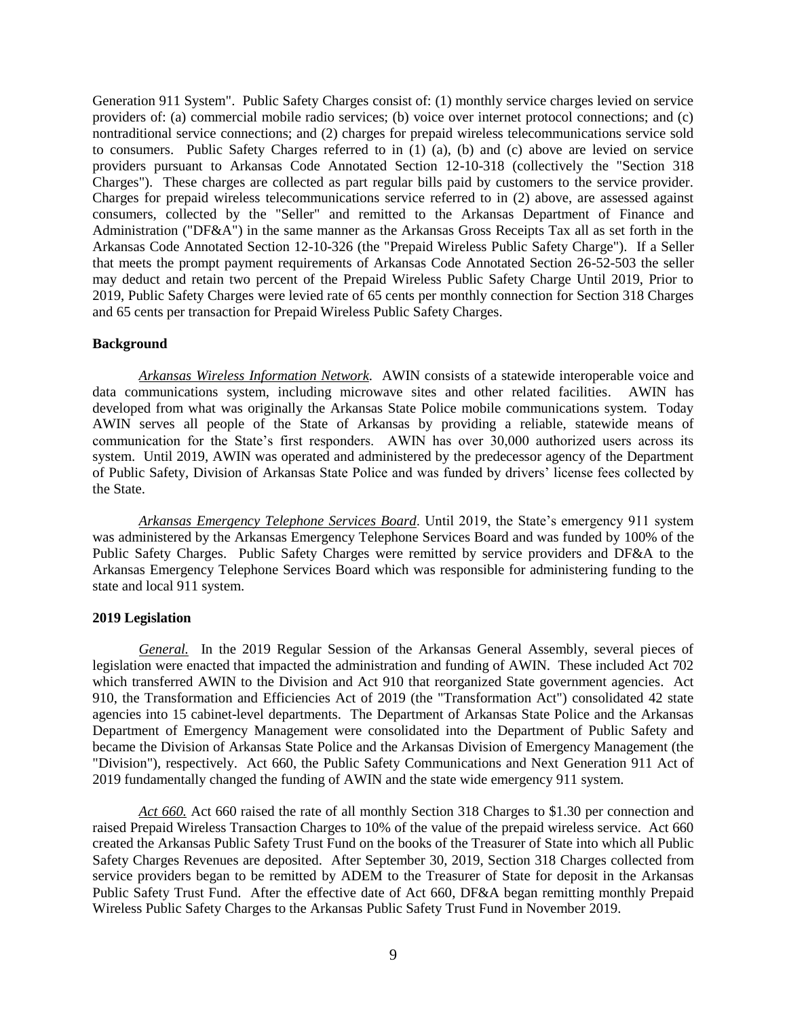Generation 911 System". Public Safety Charges consist of: (1) monthly service charges levied on service providers of: (a) commercial mobile radio services; (b) voice over internet protocol connections; and (c) nontraditional service connections; and (2) charges for prepaid wireless telecommunications service sold to consumers. Public Safety Charges referred to in (1) (a), (b) and (c) above are levied on service providers pursuant to Arkansas Code Annotated Section 12-10-318 (collectively the "Section 318 Charges"). These charges are collected as part regular bills paid by customers to the service provider. Charges for prepaid wireless telecommunications service referred to in (2) above, are assessed against consumers, collected by the "Seller" and remitted to the Arkansas Department of Finance and Administration ("DF&A") in the same manner as the Arkansas Gross Receipts Tax all as set forth in the Arkansas Code Annotated Section 12-10-326 (the "Prepaid Wireless Public Safety Charge"). If a Seller that meets the prompt payment requirements of Arkansas Code Annotated Section 26-52-503 the seller may deduct and retain two percent of the Prepaid Wireless Public Safety Charge Until 2019, Prior to 2019, Public Safety Charges were levied rate of 65 cents per monthly connection for Section 318 Charges and 65 cents per transaction for Prepaid Wireless Public Safety Charges.

#### **Background**

*Arkansas Wireless Information Network.* AWIN consists of a statewide interoperable voice and data communications system, including microwave sites and other related facilities. AWIN has developed from what was originally the Arkansas State Police mobile communications system. Today AWIN serves all people of the State of Arkansas by providing a reliable, statewide means of communication for the State's first responders. AWIN has over 30,000 authorized users across its system. Until 2019, AWIN was operated and administered by the predecessor agency of the Department of Public Safety, Division of Arkansas State Police and was funded by drivers' license fees collected by the State.

*Arkansas Emergency Telephone Services Board*. Until 2019, the State's emergency 911 system was administered by the Arkansas Emergency Telephone Services Board and was funded by 100% of the Public Safety Charges. Public Safety Charges were remitted by service providers and DF&A to the Arkansas Emergency Telephone Services Board which was responsible for administering funding to the state and local 911 system.

## **2019 Legislation**

*General.* In the 2019 Regular Session of the Arkansas General Assembly, several pieces of legislation were enacted that impacted the administration and funding of AWIN. These included Act 702 which transferred AWIN to the Division and Act 910 that reorganized State government agencies. Act 910, the Transformation and Efficiencies Act of 2019 (the "Transformation Act") consolidated 42 state agencies into 15 cabinet-level departments. The Department of Arkansas State Police and the Arkansas Department of Emergency Management were consolidated into the Department of Public Safety and became the Division of Arkansas State Police and the Arkansas Division of Emergency Management (the "Division"), respectively. Act 660, the Public Safety Communications and Next Generation 911 Act of 2019 fundamentally changed the funding of AWIN and the state wide emergency 911 system.

*Act 660.* Act 660 raised the rate of all monthly Section 318 Charges to \$1.30 per connection and raised Prepaid Wireless Transaction Charges to 10% of the value of the prepaid wireless service. Act 660 created the Arkansas Public Safety Trust Fund on the books of the Treasurer of State into which all Public Safety Charges Revenues are deposited. After September 30, 2019, Section 318 Charges collected from service providers began to be remitted by ADEM to the Treasurer of State for deposit in the Arkansas Public Safety Trust Fund. After the effective date of Act 660, DF&A began remitting monthly Prepaid Wireless Public Safety Charges to the Arkansas Public Safety Trust Fund in November 2019.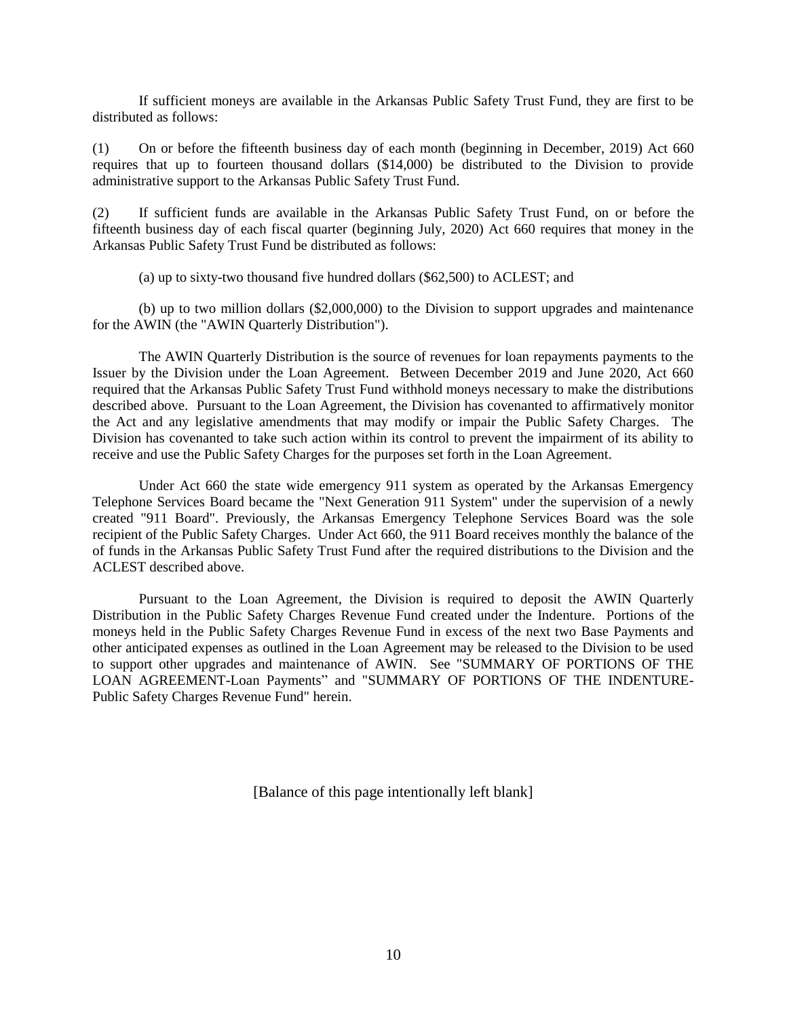If sufficient moneys are available in the Arkansas Public Safety Trust Fund, they are first to be distributed as follows:

(1) On or before the fifteenth business day of each month (beginning in December, 2019) Act 660 requires that up to fourteen thousand dollars (\$14,000) be distributed to the Division to provide administrative support to the Arkansas Public Safety Trust Fund.

(2) If sufficient funds are available in the Arkansas Public Safety Trust Fund, on or before the fifteenth business day of each fiscal quarter (beginning July, 2020) Act 660 requires that money in the Arkansas Public Safety Trust Fund be distributed as follows:

(a) up to sixty-two thousand five hundred dollars (\$62,500) to ACLEST; and

(b) up to two million dollars (\$2,000,000) to the Division to support upgrades and maintenance for the AWIN (the "AWIN Quarterly Distribution").

The AWIN Quarterly Distribution is the source of revenues for loan repayments payments to the Issuer by the Division under the Loan Agreement. Between December 2019 and June 2020, Act 660 required that the Arkansas Public Safety Trust Fund withhold moneys necessary to make the distributions described above. Pursuant to the Loan Agreement, the Division has covenanted to affirmatively monitor the Act and any legislative amendments that may modify or impair the Public Safety Charges. The Division has covenanted to take such action within its control to prevent the impairment of its ability to receive and use the Public Safety Charges for the purposes set forth in the Loan Agreement.

Under Act 660 the state wide emergency 911 system as operated by the Arkansas Emergency Telephone Services Board became the "Next Generation 911 System" under the supervision of a newly created "911 Board". Previously, the Arkansas Emergency Telephone Services Board was the sole recipient of the Public Safety Charges. Under Act 660, the 911 Board receives monthly the balance of the of funds in the Arkansas Public Safety Trust Fund after the required distributions to the Division and the ACLEST described above.

Pursuant to the Loan Agreement, the Division is required to deposit the AWIN Quarterly Distribution in the Public Safety Charges Revenue Fund created under the Indenture. Portions of the moneys held in the Public Safety Charges Revenue Fund in excess of the next two Base Payments and other anticipated expenses as outlined in the Loan Agreement may be released to the Division to be used to support other upgrades and maintenance of AWIN. See "SUMMARY OF PORTIONS OF THE LOAN AGREEMENT-Loan Payments" and "SUMMARY OF PORTIONS OF THE INDENTURE-Public Safety Charges Revenue Fund" herein.

[Balance of this page intentionally left blank]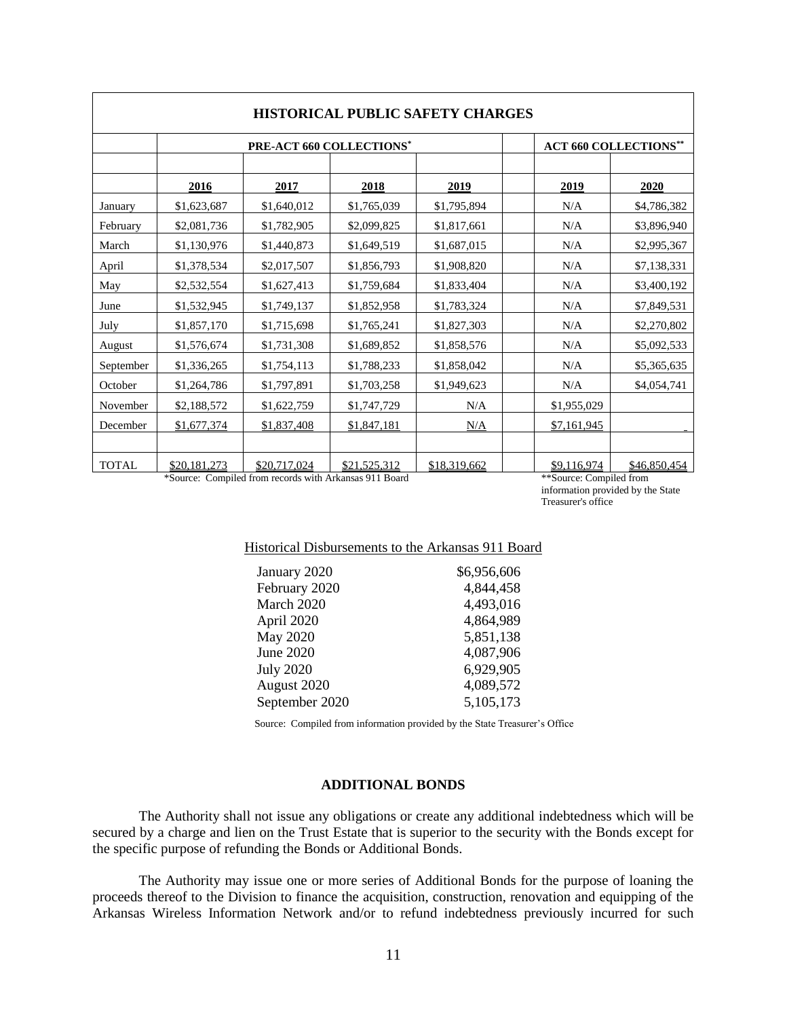| <b>HISTORICAL PUBLIC SAFETY CHARGES</b> |                          |              |              |              |                              |              |
|-----------------------------------------|--------------------------|--------------|--------------|--------------|------------------------------|--------------|
|                                         | PRE-ACT 660 COLLECTIONS* |              |              |              | <b>ACT 660 COLLECTIONS**</b> |              |
|                                         | 2016                     | 2017         | 2018         | 2019         | 2019                         | 2020         |
| January                                 | \$1,623,687              | \$1,640,012  | \$1,765,039  | \$1,795,894  | N/A                          | \$4,786,382  |
| February                                | \$2,081,736              | \$1,782,905  | \$2,099,825  | \$1,817,661  | N/A                          | \$3,896,940  |
| March                                   | \$1,130,976              | \$1,440,873  | \$1,649,519  | \$1,687,015  | N/A                          | \$2,995,367  |
| April                                   | \$1,378,534              | \$2,017,507  | \$1,856,793  | \$1,908,820  | N/A                          | \$7,138,331  |
| May                                     | \$2,532,554              | \$1,627,413  | \$1,759,684  | \$1,833,404  | N/A                          | \$3,400,192  |
| June                                    | \$1,532,945              | \$1,749,137  | \$1,852,958  | \$1,783,324  | N/A                          | \$7,849,531  |
| July                                    | \$1,857,170              | \$1,715,698  | \$1,765,241  | \$1,827,303  | N/A                          | \$2,270,802  |
| August                                  | \$1,576,674              | \$1,731,308  | \$1,689,852  | \$1,858,576  | N/A                          | \$5,092,533  |
| September                               | \$1,336,265              | \$1,754,113  | \$1,788,233  | \$1,858,042  | N/A                          | \$5,365,635  |
| October                                 | \$1,264,786              | \$1,797,891  | \$1,703,258  | \$1,949,623  | N/A                          | \$4,054,741  |
| November                                | \$2,188,572              | \$1,622,759  | \$1,747,729  | N/A          | \$1,955,029                  |              |
| December                                | \$1,677,374              | \$1,837,408  | \$1,847,181  | N/A          | \$7,161,945                  |              |
|                                         |                          |              |              |              |                              |              |
| <b>TOTAL</b>                            | \$20,181,273             | \$20,717,024 | \$21,525,312 | \$18,319,662 | \$9,116,974                  | \$46,850,454 |

\*Source: Compiled from records with Arkansas 911 Board \*\*Source: Compiled from

information provided by the State Treasurer's office

## Historical Disbursements to the Arkansas 911 Board

| \$6,956,606 |
|-------------|
| 4,844,458   |
| 4,493,016   |
| 4,864,989   |
| 5,851,138   |
| 4,087,906   |
| 6,929,905   |
| 4,089,572   |
| 5,105,173   |
|             |

Source: Compiled from information provided by the State Treasurer's Office

## **ADDITIONAL BONDS**

<span id="page-14-0"></span>The Authority shall not issue any obligations or create any additional indebtedness which will be secured by a charge and lien on the Trust Estate that is superior to the security with the Bonds except for the specific purpose of refunding the Bonds or Additional Bonds.

The Authority may issue one or more series of Additional Bonds for the purpose of loaning the proceeds thereof to the Division to finance the acquisition, construction, renovation and equipping of the Arkansas Wireless Information Network and/or to refund indebtedness previously incurred for such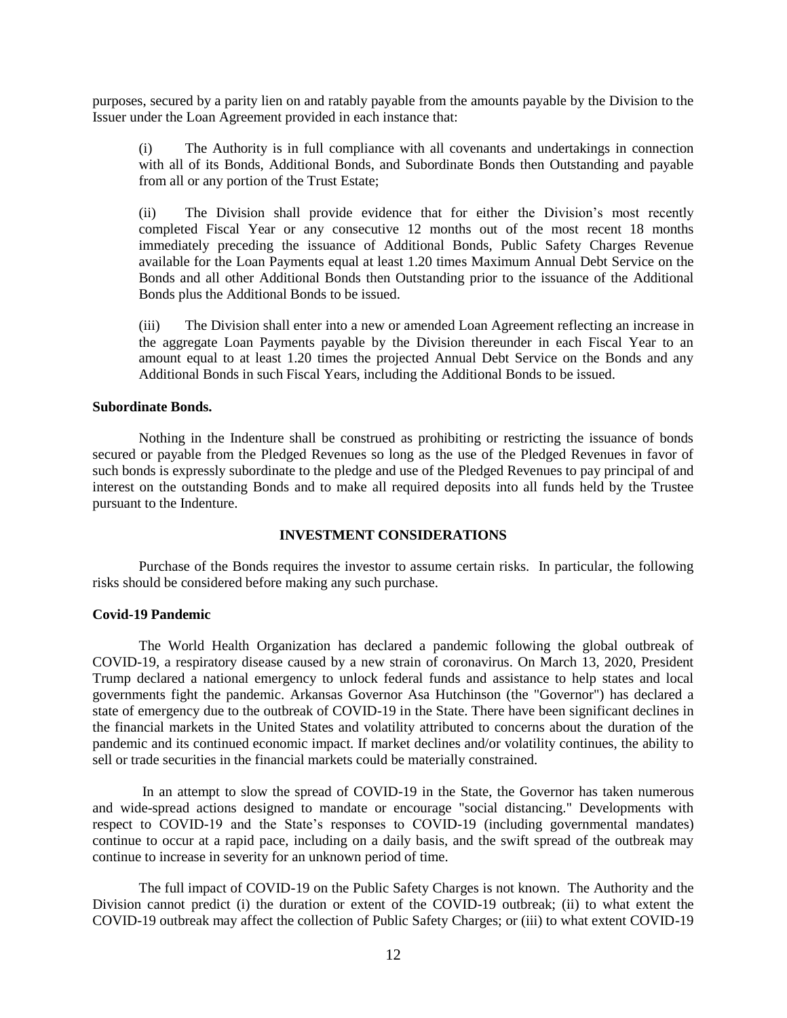purposes, secured by a parity lien on and ratably payable from the amounts payable by the Division to the Issuer under the Loan Agreement provided in each instance that:

(i) The Authority is in full compliance with all covenants and undertakings in connection with all of its Bonds, Additional Bonds, and Subordinate Bonds then Outstanding and payable from all or any portion of the Trust Estate;

(ii) The Division shall provide evidence that for either the Division's most recently completed Fiscal Year or any consecutive 12 months out of the most recent 18 months immediately preceding the issuance of Additional Bonds, Public Safety Charges Revenue available for the Loan Payments equal at least 1.20 times Maximum Annual Debt Service on the Bonds and all other Additional Bonds then Outstanding prior to the issuance of the Additional Bonds plus the Additional Bonds to be issued.

(iii) The Division shall enter into a new or amended Loan Agreement reflecting an increase in the aggregate Loan Payments payable by the Division thereunder in each Fiscal Year to an amount equal to at least 1.20 times the projected Annual Debt Service on the Bonds and any Additional Bonds in such Fiscal Years, including the Additional Bonds to be issued.

#### **Subordinate Bonds.**

Nothing in the Indenture shall be construed as prohibiting or restricting the issuance of bonds secured or payable from the Pledged Revenues so long as the use of the Pledged Revenues in favor of such bonds is expressly subordinate to the pledge and use of the Pledged Revenues to pay principal of and interest on the outstanding Bonds and to make all required deposits into all funds held by the Trustee pursuant to the Indenture.

#### **INVESTMENT CONSIDERATIONS**

Purchase of the Bonds requires the investor to assume certain risks. In particular, the following risks should be considered before making any such purchase.

#### **Covid-19 Pandemic**

The World Health Organization has declared a pandemic following the global outbreak of COVID-19, a respiratory disease caused by a new strain of coronavirus. On March 13, 2020, President Trump declared a national emergency to unlock federal funds and assistance to help states and local governments fight the pandemic. Arkansas Governor Asa Hutchinson (the "Governor") has declared a state of emergency due to the outbreak of COVID-19 in the State. There have been significant declines in the financial markets in the United States and volatility attributed to concerns about the duration of the pandemic and its continued economic impact. If market declines and/or volatility continues, the ability to sell or trade securities in the financial markets could be materially constrained.

In an attempt to slow the spread of COVID-19 in the State, the Governor has taken numerous and wide-spread actions designed to mandate or encourage "social distancing." Developments with respect to COVID-19 and the State's responses to COVID-19 (including governmental mandates) continue to occur at a rapid pace, including on a daily basis, and the swift spread of the outbreak may continue to increase in severity for an unknown period of time.

The full impact of COVID-19 on the Public Safety Charges is not known. The Authority and the Division cannot predict (i) the duration or extent of the COVID-19 outbreak; (ii) to what extent the COVID-19 outbreak may affect the collection of Public Safety Charges; or (iii) to what extent COVID-19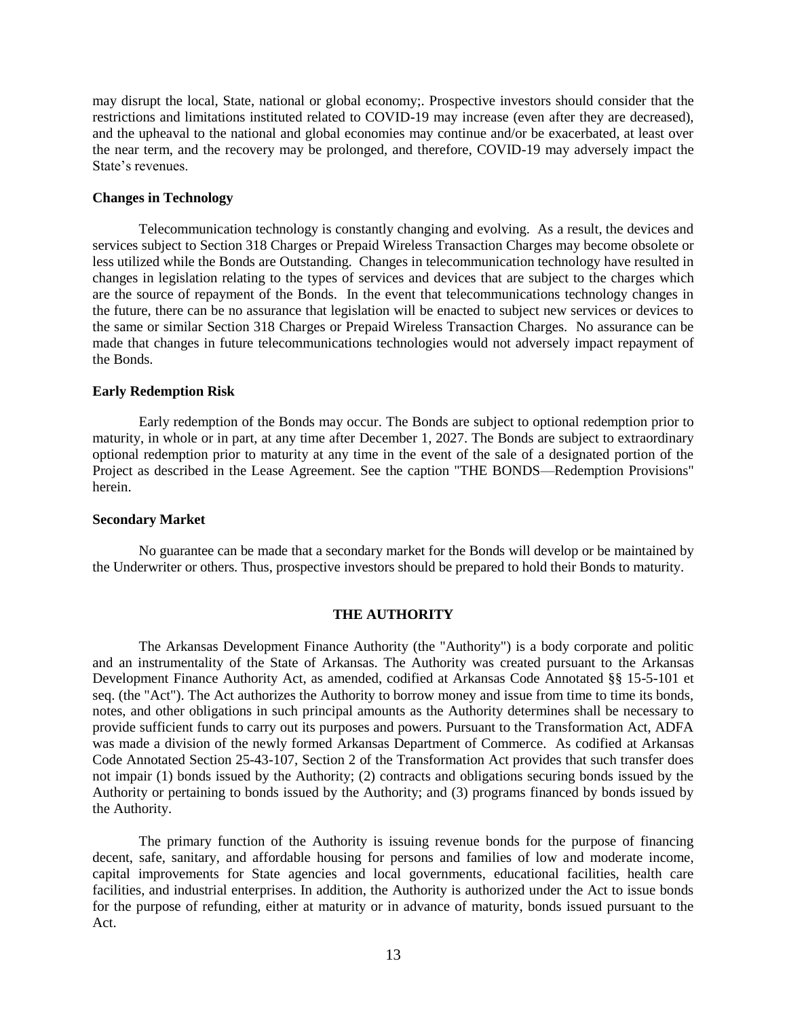may disrupt the local, State, national or global economy;. Prospective investors should consider that the restrictions and limitations instituted related to COVID-19 may increase (even after they are decreased), and the upheaval to the national and global economies may continue and/or be exacerbated, at least over the near term, and the recovery may be prolonged, and therefore, COVID-19 may adversely impact the State's revenues.

## **Changes in Technology**

Telecommunication technology is constantly changing and evolving. As a result, the devices and services subject to Section 318 Charges or Prepaid Wireless Transaction Charges may become obsolete or less utilized while the Bonds are Outstanding. Changes in telecommunication technology have resulted in changes in legislation relating to the types of services and devices that are subject to the charges which are the source of repayment of the Bonds. In the event that telecommunications technology changes in the future, there can be no assurance that legislation will be enacted to subject new services or devices to the same or similar Section 318 Charges or Prepaid Wireless Transaction Charges. No assurance can be made that changes in future telecommunications technologies would not adversely impact repayment of the Bonds.

## **Early Redemption Risk**

Early redemption of the Bonds may occur. The Bonds are subject to optional redemption prior to maturity, in whole or in part, at any time after December 1, 2027. The Bonds are subject to extraordinary optional redemption prior to maturity at any time in the event of the sale of a designated portion of the Project as described in the Lease Agreement. See the caption "THE BONDS—Redemption Provisions" herein.

## **Secondary Market**

No guarantee can be made that a secondary market for the Bonds will develop or be maintained by the Underwriter or others. Thus, prospective investors should be prepared to hold their Bonds to maturity.

## **THE AUTHORITY**

<span id="page-16-0"></span>The Arkansas Development Finance Authority (the "Authority") is a body corporate and politic and an instrumentality of the State of Arkansas. The Authority was created pursuant to the Arkansas Development Finance Authority Act, as amended, codified at Arkansas Code Annotated §§ 15-5-101 et seq. (the "Act"). The Act authorizes the Authority to borrow money and issue from time to time its bonds, notes, and other obligations in such principal amounts as the Authority determines shall be necessary to provide sufficient funds to carry out its purposes and powers. Pursuant to the Transformation Act, ADFA was made a division of the newly formed Arkansas Department of Commerce. As codified at Arkansas Code Annotated Section 25-43-107, Section 2 of the Transformation Act provides that such transfer does not impair (1) bonds issued by the Authority; (2) contracts and obligations securing bonds issued by the Authority or pertaining to bonds issued by the Authority; and (3) programs financed by bonds issued by the Authority.

The primary function of the Authority is issuing revenue bonds for the purpose of financing decent, safe, sanitary, and affordable housing for persons and families of low and moderate income, capital improvements for State agencies and local governments, educational facilities, health care facilities, and industrial enterprises. In addition, the Authority is authorized under the Act to issue bonds for the purpose of refunding, either at maturity or in advance of maturity, bonds issued pursuant to the Act.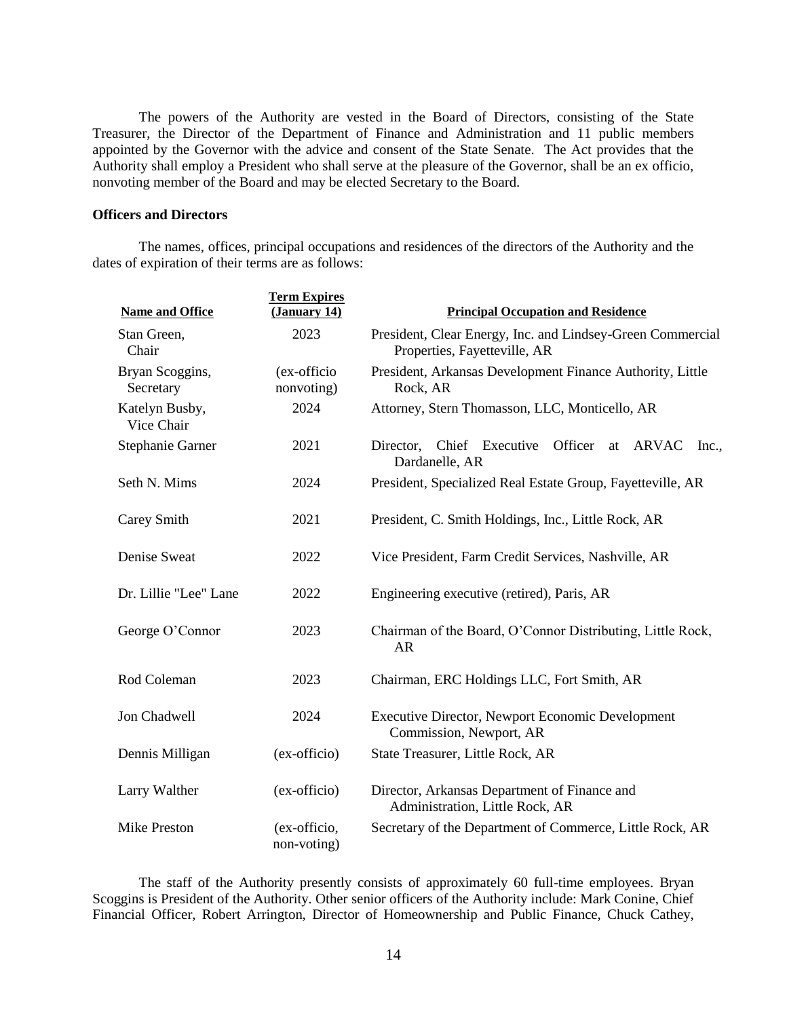The powers of the Authority are vested in the Board of Directors, consisting of the State Treasurer, the Director of the Department of Finance and Administration and 11 public members appointed by the Governor with the advice and consent of the State Senate. The Act provides that the Authority shall employ a President who shall serve at the pleasure of the Governor, shall be an ex officio, nonvoting member of the Board and may be elected Secretary to the Board.

## **Officers and Directors**

The names, offices, principal occupations and residences of the directors of the Authority and the dates of expiration of their terms are as follows:

| <b>Name and Office</b>       | <b>Term Expires</b><br>(January 14) | <b>Principal Occupation and Residence</b>                                                  |
|------------------------------|-------------------------------------|--------------------------------------------------------------------------------------------|
| Stan Green,<br>Chair         | 2023                                | President, Clear Energy, Inc. and Lindsey-Green Commercial<br>Properties, Fayetteville, AR |
| Bryan Scoggins,<br>Secretary | (ex-officio<br>nonvoting)           | President, Arkansas Development Finance Authority, Little<br>Rock, AR                      |
| Katelyn Busby,<br>Vice Chair | 2024                                | Attorney, Stern Thomasson, LLC, Monticello, AR                                             |
| Stephanie Garner             | 2021                                | Director, Chief Executive<br>Officer<br>ARVAC<br>at<br>Inc.<br>Dardanelle, AR              |
| Seth N. Mims                 | 2024                                | President, Specialized Real Estate Group, Fayetteville, AR                                 |
| Carey Smith                  | 2021                                | President, C. Smith Holdings, Inc., Little Rock, AR                                        |
| Denise Sweat                 | 2022                                | Vice President, Farm Credit Services, Nashville, AR                                        |
| Dr. Lillie "Lee" Lane        | 2022                                | Engineering executive (retired), Paris, AR                                                 |
| George O'Connor              | 2023                                | Chairman of the Board, O'Connor Distributing, Little Rock,<br><b>AR</b>                    |
| Rod Coleman                  | 2023                                | Chairman, ERC Holdings LLC, Fort Smith, AR                                                 |
| Jon Chadwell                 | 2024                                | Executive Director, Newport Economic Development<br>Commission, Newport, AR                |
| Dennis Milligan              | (ex-officio)                        | State Treasurer, Little Rock, AR                                                           |
| Larry Walther                | (ex-officio)                        | Director, Arkansas Department of Finance and<br>Administration, Little Rock, AR            |
| <b>Mike Preston</b>          | (ex-officio,<br>non-voting)         | Secretary of the Department of Commerce, Little Rock, AR                                   |

The staff of the Authority presently consists of approximately 60 full-time employees. Bryan Scoggins is President of the Authority. Other senior officers of the Authority include: Mark Conine, Chief Financial Officer, Robert Arrington, Director of Homeownership and Public Finance, Chuck Cathey,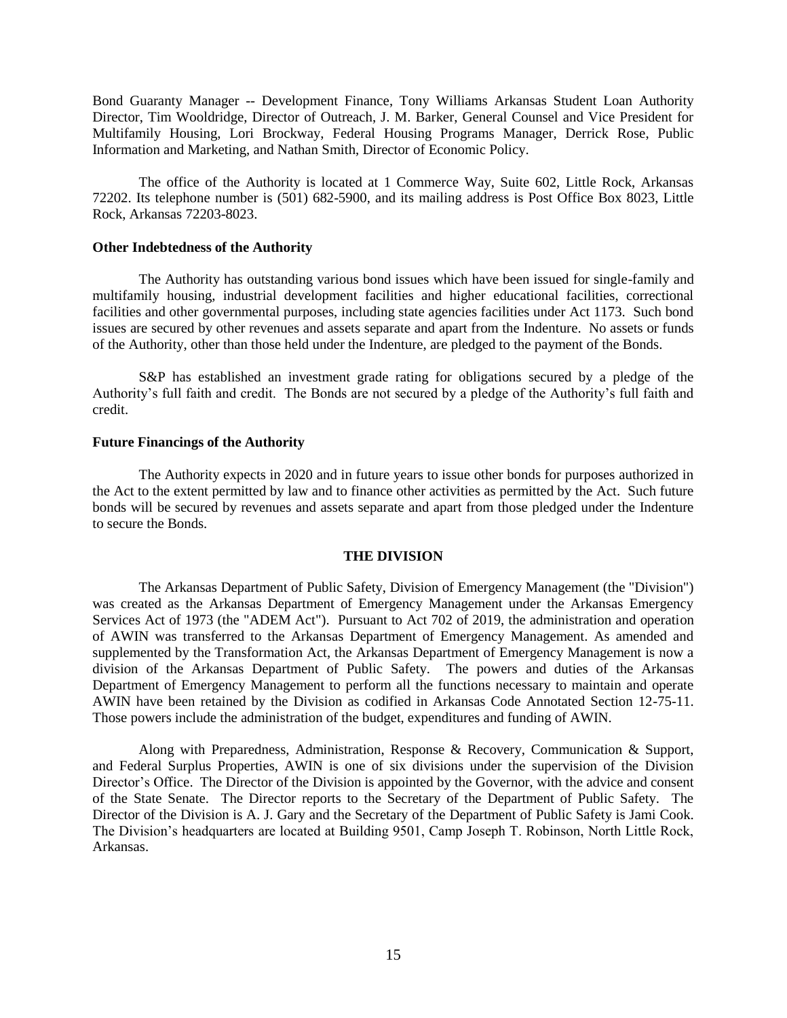Bond Guaranty Manager -- Development Finance, Tony Williams Arkansas Student Loan Authority Director, Tim Wooldridge, Director of Outreach, J. M. Barker, General Counsel and Vice President for Multifamily Housing, Lori Brockway, Federal Housing Programs Manager, Derrick Rose, Public Information and Marketing, and Nathan Smith, Director of Economic Policy.

The office of the Authority is located at 1 Commerce Way, Suite 602, Little Rock, Arkansas 72202. Its telephone number is (501) 682-5900, and its mailing address is Post Office Box 8023, Little Rock, Arkansas 72203-8023.

#### **Other Indebtedness of the Authority**

The Authority has outstanding various bond issues which have been issued for single-family and multifamily housing, industrial development facilities and higher educational facilities, correctional facilities and other governmental purposes, including state agencies facilities under Act 1173. Such bond issues are secured by other revenues and assets separate and apart from the Indenture. No assets or funds of the Authority, other than those held under the Indenture, are pledged to the payment of the Bonds.

S&P has established an investment grade rating for obligations secured by a pledge of the Authority's full faith and credit. The Bonds are not secured by a pledge of the Authority's full faith and credit.

### **Future Financings of the Authority**

The Authority expects in 2020 and in future years to issue other bonds for purposes authorized in the Act to the extent permitted by law and to finance other activities as permitted by the Act. Such future bonds will be secured by revenues and assets separate and apart from those pledged under the Indenture to secure the Bonds.

#### **THE DIVISION**

<span id="page-18-0"></span>The Arkansas Department of Public Safety, Division of Emergency Management (the "Division") was created as the Arkansas Department of Emergency Management under the Arkansas Emergency Services Act of 1973 (the "ADEM Act"). Pursuant to Act 702 of 2019, the administration and operation of AWIN was transferred to the Arkansas Department of Emergency Management. As amended and supplemented by the Transformation Act, the Arkansas Department of Emergency Management is now a division of the Arkansas Department of Public Safety. The powers and duties of the Arkansas Department of Emergency Management to perform all the functions necessary to maintain and operate AWIN have been retained by the Division as codified in Arkansas Code Annotated Section 12-75-11. Those powers include the administration of the budget, expenditures and funding of AWIN.

Along with Preparedness, Administration, Response & Recovery, Communication & Support, and Federal Surplus Properties, AWIN is one of six divisions under the supervision of the Division Director's Office. The Director of the Division is appointed by the Governor, with the advice and consent of the State Senate. The Director reports to the Secretary of the Department of Public Safety. The Director of the Division is A. J. Gary and the Secretary of the Department of Public Safety is Jami Cook. The Division's headquarters are located at Building 9501, Camp Joseph T. Robinson, North Little Rock, Arkansas.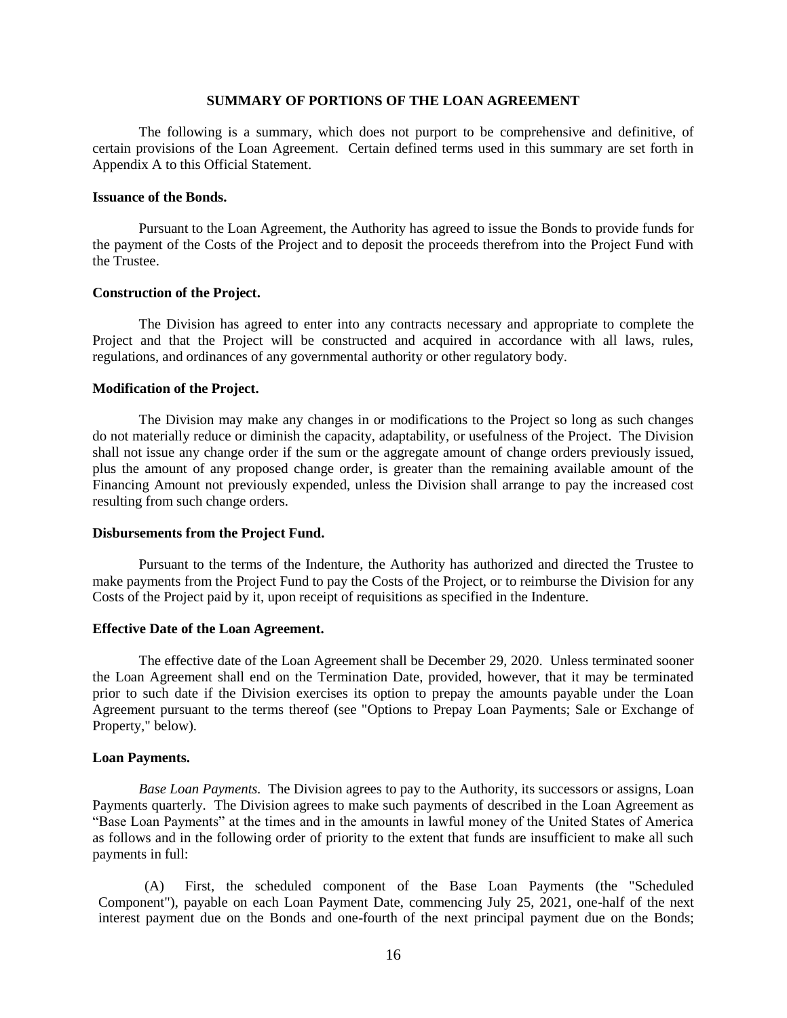## **SUMMARY OF PORTIONS OF THE LOAN AGREEMENT**

<span id="page-19-0"></span>The following is a summary, which does not purport to be comprehensive and definitive, of certain provisions of the Loan Agreement. Certain defined terms used in this summary are set forth in Appendix A to this Official Statement.

#### **Issuance of the Bonds.**

Pursuant to the Loan Agreement, the Authority has agreed to issue the Bonds to provide funds for the payment of the Costs of the Project and to deposit the proceeds therefrom into the Project Fund with the Trustee.

## **Construction of the Project.**

The Division has agreed to enter into any contracts necessary and appropriate to complete the Project and that the Project will be constructed and acquired in accordance with all laws, rules, regulations, and ordinances of any governmental authority or other regulatory body.

## **Modification of the Project.**

The Division may make any changes in or modifications to the Project so long as such changes do not materially reduce or diminish the capacity, adaptability, or usefulness of the Project. The Division shall not issue any change order if the sum or the aggregate amount of change orders previously issued, plus the amount of any proposed change order, is greater than the remaining available amount of the Financing Amount not previously expended, unless the Division shall arrange to pay the increased cost resulting from such change orders.

## **Disbursements from the Project Fund.**

Pursuant to the terms of the Indenture, the Authority has authorized and directed the Trustee to make payments from the Project Fund to pay the Costs of the Project, or to reimburse the Division for any Costs of the Project paid by it, upon receipt of requisitions as specified in the Indenture.

#### **Effective Date of the Loan Agreement.**

The effective date of the Loan Agreement shall be December 29, 2020. Unless terminated sooner the Loan Agreement shall end on the Termination Date, provided, however, that it may be terminated prior to such date if the Division exercises its option to prepay the amounts payable under the Loan Agreement pursuant to the terms thereof (see "Options to Prepay Loan Payments; Sale or Exchange of Property," below).

## **Loan Payments.**

*Base Loan Payments.* The Division agrees to pay to the Authority, its successors or assigns, Loan Payments quarterly. The Division agrees to make such payments of described in the Loan Agreement as "Base Loan Payments" at the times and in the amounts in lawful money of the United States of America as follows and in the following order of priority to the extent that funds are insufficient to make all such payments in full:

(A) First, the scheduled component of the Base Loan Payments (the "Scheduled Component"), payable on each Loan Payment Date, commencing July 25, 2021, one-half of the next interest payment due on the Bonds and one-fourth of the next principal payment due on the Bonds;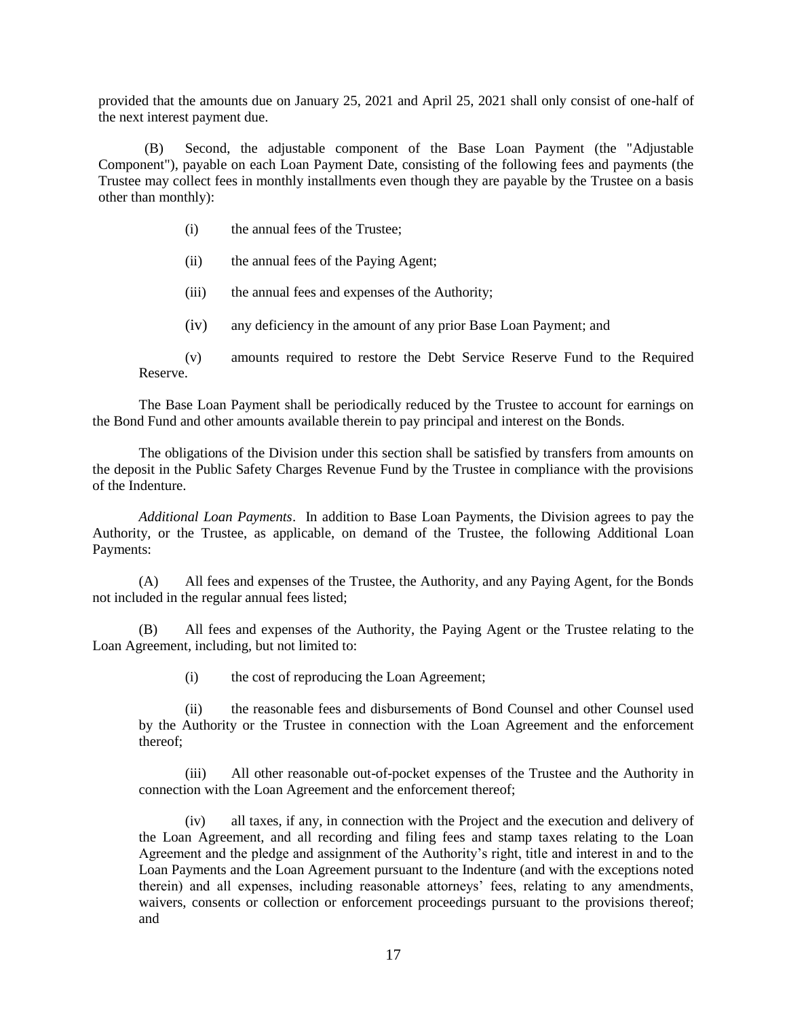provided that the amounts due on January 25, 2021 and April 25, 2021 shall only consist of one-half of the next interest payment due.

(B) Second, the adjustable component of the Base Loan Payment (the "Adjustable Component"), payable on each Loan Payment Date, consisting of the following fees and payments (the Trustee may collect fees in monthly installments even though they are payable by the Trustee on a basis other than monthly):

- (i) the annual fees of the Trustee;
- (ii) the annual fees of the Paying Agent;
- (iii) the annual fees and expenses of the Authority;
- (iv) any deficiency in the amount of any prior Base Loan Payment; and
- (v) amounts required to restore the Debt Service Reserve Fund to the Required Reserve.

The Base Loan Payment shall be periodically reduced by the Trustee to account for earnings on the Bond Fund and other amounts available therein to pay principal and interest on the Bonds.

The obligations of the Division under this section shall be satisfied by transfers from amounts on the deposit in the Public Safety Charges Revenue Fund by the Trustee in compliance with the provisions of the Indenture.

*Additional Loan Payments*. In addition to Base Loan Payments, the Division agrees to pay the Authority, or the Trustee, as applicable, on demand of the Trustee, the following Additional Loan Payments:

(A) All fees and expenses of the Trustee, the Authority, and any Paying Agent, for the Bonds not included in the regular annual fees listed;

(B) All fees and expenses of the Authority, the Paying Agent or the Trustee relating to the Loan Agreement, including, but not limited to:

(i) the cost of reproducing the Loan Agreement;

(ii) the reasonable fees and disbursements of Bond Counsel and other Counsel used by the Authority or the Trustee in connection with the Loan Agreement and the enforcement thereof;

(iii) All other reasonable out-of-pocket expenses of the Trustee and the Authority in connection with the Loan Agreement and the enforcement thereof;

(iv) all taxes, if any, in connection with the Project and the execution and delivery of the Loan Agreement, and all recording and filing fees and stamp taxes relating to the Loan Agreement and the pledge and assignment of the Authority's right, title and interest in and to the Loan Payments and the Loan Agreement pursuant to the Indenture (and with the exceptions noted therein) and all expenses, including reasonable attorneys' fees, relating to any amendments, waivers, consents or collection or enforcement proceedings pursuant to the provisions thereof; and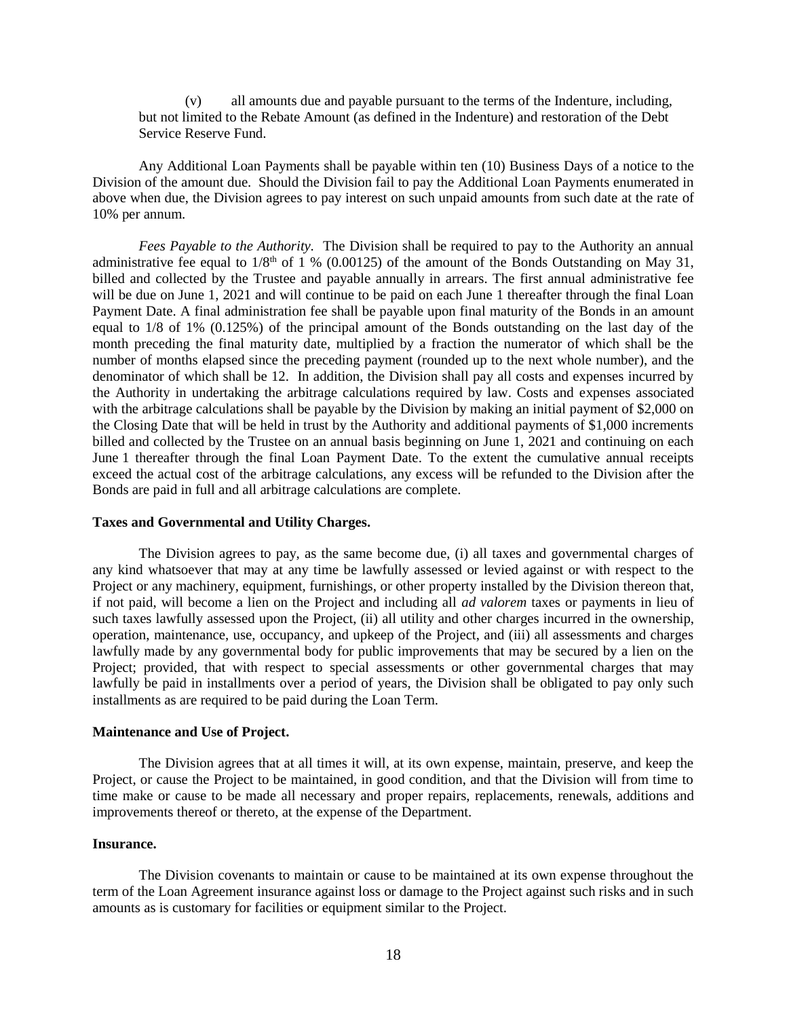(v) all amounts due and payable pursuant to the terms of the Indenture, including, but not limited to the Rebate Amount (as defined in the Indenture) and restoration of the Debt Service Reserve Fund.

Any Additional Loan Payments shall be payable within ten (10) Business Days of a notice to the Division of the amount due. Should the Division fail to pay the Additional Loan Payments enumerated in above when due, the Division agrees to pay interest on such unpaid amounts from such date at the rate of 10% per annum.

*Fees Payable to the Authority.* The Division shall be required to pay to the Authority an annual administrative fee equal to  $1/8<sup>th</sup>$  of 1 % (0.00125) of the amount of the Bonds Outstanding on May 31, billed and collected by the Trustee and payable annually in arrears. The first annual administrative fee will be due on June 1, 2021 and will continue to be paid on each June 1 thereafter through the final Loan Payment Date. A final administration fee shall be payable upon final maturity of the Bonds in an amount equal to 1/8 of 1% (0.125%) of the principal amount of the Bonds outstanding on the last day of the month preceding the final maturity date, multiplied by a fraction the numerator of which shall be the number of months elapsed since the preceding payment (rounded up to the next whole number), and the denominator of which shall be 12. In addition, the Division shall pay all costs and expenses incurred by the Authority in undertaking the arbitrage calculations required by law. Costs and expenses associated with the arbitrage calculations shall be payable by the Division by making an initial payment of \$2,000 on the Closing Date that will be held in trust by the Authority and additional payments of \$1,000 increments billed and collected by the Trustee on an annual basis beginning on June 1, 2021 and continuing on each June 1 thereafter through the final Loan Payment Date. To the extent the cumulative annual receipts exceed the actual cost of the arbitrage calculations, any excess will be refunded to the Division after the Bonds are paid in full and all arbitrage calculations are complete.

#### **Taxes and Governmental and Utility Charges.**

The Division agrees to pay, as the same become due, (i) all taxes and governmental charges of any kind whatsoever that may at any time be lawfully assessed or levied against or with respect to the Project or any machinery, equipment, furnishings, or other property installed by the Division thereon that, if not paid, will become a lien on the Project and including all *ad valorem* taxes or payments in lieu of such taxes lawfully assessed upon the Project, (ii) all utility and other charges incurred in the ownership, operation, maintenance, use, occupancy, and upkeep of the Project, and (iii) all assessments and charges lawfully made by any governmental body for public improvements that may be secured by a lien on the Project; provided, that with respect to special assessments or other governmental charges that may lawfully be paid in installments over a period of years, the Division shall be obligated to pay only such installments as are required to be paid during the Loan Term.

#### **Maintenance and Use of Project.**

The Division agrees that at all times it will, at its own expense, maintain, preserve, and keep the Project, or cause the Project to be maintained, in good condition, and that the Division will from time to time make or cause to be made all necessary and proper repairs, replacements, renewals, additions and improvements thereof or thereto, at the expense of the Department.

## **Insurance.**

The Division covenants to maintain or cause to be maintained at its own expense throughout the term of the Loan Agreement insurance against loss or damage to the Project against such risks and in such amounts as is customary for facilities or equipment similar to the Project.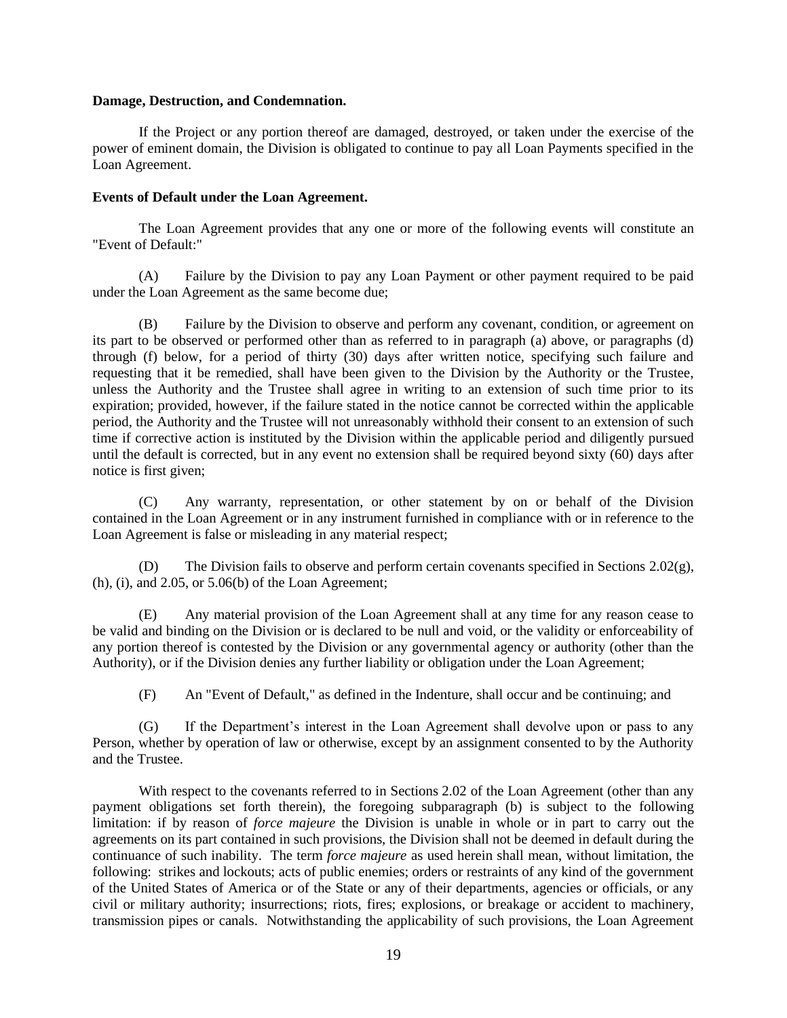## **Damage, Destruction, and Condemnation.**

If the Project or any portion thereof are damaged, destroyed, or taken under the exercise of the power of eminent domain, the Division is obligated to continue to pay all Loan Payments specified in the Loan Agreement.

## **Events of Default under the Loan Agreement.**

The Loan Agreement provides that any one or more of the following events will constitute an "Event of Default:"

(A) Failure by the Division to pay any Loan Payment or other payment required to be paid under the Loan Agreement as the same become due;

(B) Failure by the Division to observe and perform any covenant, condition, or agreement on its part to be observed or performed other than as referred to in paragraph (a) above, or paragraphs (d) through (f) below, for a period of thirty (30) days after written notice, specifying such failure and requesting that it be remedied, shall have been given to the Division by the Authority or the Trustee, unless the Authority and the Trustee shall agree in writing to an extension of such time prior to its expiration; provided, however, if the failure stated in the notice cannot be corrected within the applicable period, the Authority and the Trustee will not unreasonably withhold their consent to an extension of such time if corrective action is instituted by the Division within the applicable period and diligently pursued until the default is corrected, but in any event no extension shall be required beyond sixty (60) days after notice is first given;

(C) Any warranty, representation, or other statement by on or behalf of the Division contained in the Loan Agreement or in any instrument furnished in compliance with or in reference to the Loan Agreement is false or misleading in any material respect;

The Division fails to observe and perform certain covenants specified in Sections  $2.02(g)$ , (h), (i), and 2.05, or 5.06(b) of the Loan Agreement;

(E) Any material provision of the Loan Agreement shall at any time for any reason cease to be valid and binding on the Division or is declared to be null and void, or the validity or enforceability of any portion thereof is contested by the Division or any governmental agency or authority (other than the Authority), or if the Division denies any further liability or obligation under the Loan Agreement;

(F) An "Event of Default," as defined in the Indenture, shall occur and be continuing; and

(G) If the Department's interest in the Loan Agreement shall devolve upon or pass to any Person, whether by operation of law or otherwise, except by an assignment consented to by the Authority and the Trustee.

With respect to the covenants referred to in Sections 2.02 of the Loan Agreement (other than any payment obligations set forth therein), the foregoing subparagraph (b) is subject to the following limitation: if by reason of *force majeure* the Division is unable in whole or in part to carry out the agreements on its part contained in such provisions, the Division shall not be deemed in default during the continuance of such inability. The term *force majeure* as used herein shall mean, without limitation, the following: strikes and lockouts; acts of public enemies; orders or restraints of any kind of the government of the United States of America or of the State or any of their departments, agencies or officials, or any civil or military authority; insurrections; riots, fires; explosions, or breakage or accident to machinery, transmission pipes or canals. Notwithstanding the applicability of such provisions, the Loan Agreement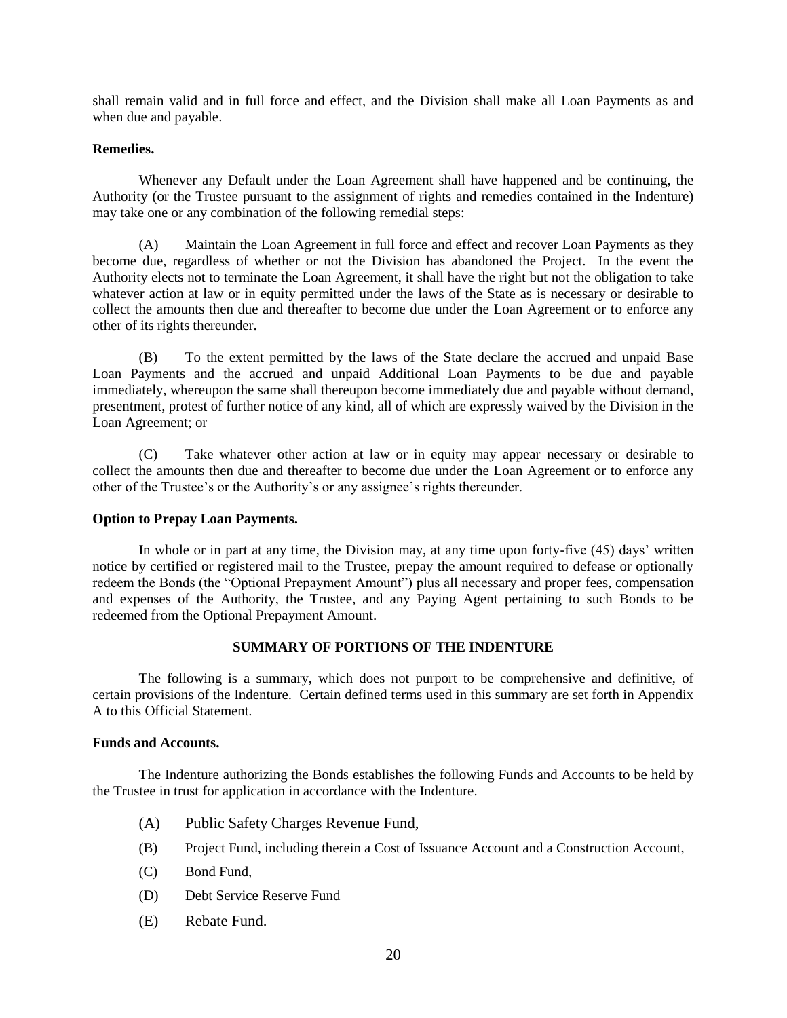shall remain valid and in full force and effect, and the Division shall make all Loan Payments as and when due and payable.

## **Remedies.**

Whenever any Default under the Loan Agreement shall have happened and be continuing, the Authority (or the Trustee pursuant to the assignment of rights and remedies contained in the Indenture) may take one or any combination of the following remedial steps:

(A) Maintain the Loan Agreement in full force and effect and recover Loan Payments as they become due, regardless of whether or not the Division has abandoned the Project. In the event the Authority elects not to terminate the Loan Agreement, it shall have the right but not the obligation to take whatever action at law or in equity permitted under the laws of the State as is necessary or desirable to collect the amounts then due and thereafter to become due under the Loan Agreement or to enforce any other of its rights thereunder.

(B) To the extent permitted by the laws of the State declare the accrued and unpaid Base Loan Payments and the accrued and unpaid Additional Loan Payments to be due and payable immediately, whereupon the same shall thereupon become immediately due and payable without demand, presentment, protest of further notice of any kind, all of which are expressly waived by the Division in the Loan Agreement; or

(C) Take whatever other action at law or in equity may appear necessary or desirable to collect the amounts then due and thereafter to become due under the Loan Agreement or to enforce any other of the Trustee's or the Authority's or any assignee's rights thereunder.

## **Option to Prepay Loan Payments.**

In whole or in part at any time, the Division may, at any time upon forty-five (45) days' written notice by certified or registered mail to the Trustee, prepay the amount required to defease or optionally redeem the Bonds (the "Optional Prepayment Amount") plus all necessary and proper fees, compensation and expenses of the Authority, the Trustee, and any Paying Agent pertaining to such Bonds to be redeemed from the Optional Prepayment Amount.

## **SUMMARY OF PORTIONS OF THE INDENTURE**

<span id="page-23-0"></span>The following is a summary, which does not purport to be comprehensive and definitive, of certain provisions of the Indenture. Certain defined terms used in this summary are set forth in Appendix A to this Official Statement.

## **Funds and Accounts.**

The Indenture authorizing the Bonds establishes the following Funds and Accounts to be held by the Trustee in trust for application in accordance with the Indenture.

- (A) Public Safety Charges Revenue Fund,
- (B) Project Fund, including therein a Cost of Issuance Account and a Construction Account,
- (C) Bond Fund,
- (D) Debt Service Reserve Fund
- (E) Rebate Fund.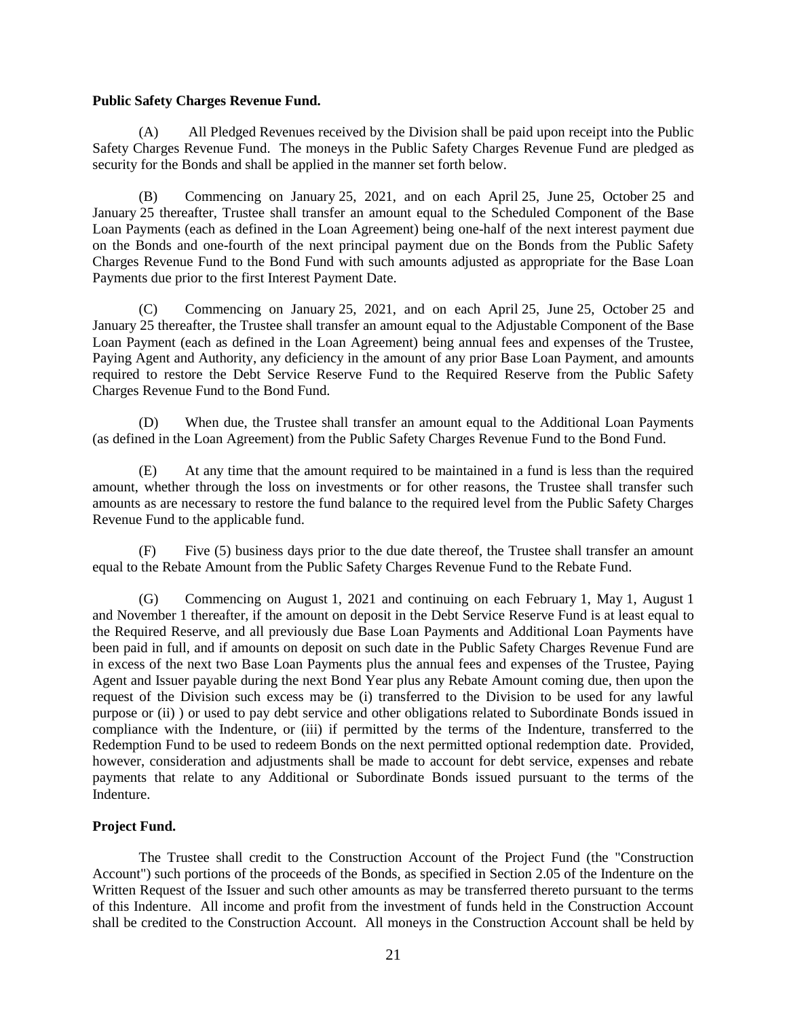## **Public Safety Charges Revenue Fund.**

(A) All Pledged Revenues received by the Division shall be paid upon receipt into the Public Safety Charges Revenue Fund. The moneys in the Public Safety Charges Revenue Fund are pledged as security for the Bonds and shall be applied in the manner set forth below.

(B) Commencing on January 25, 2021, and on each April 25, June 25, October 25 and January 25 thereafter, Trustee shall transfer an amount equal to the Scheduled Component of the Base Loan Payments (each as defined in the Loan Agreement) being one-half of the next interest payment due on the Bonds and one-fourth of the next principal payment due on the Bonds from the Public Safety Charges Revenue Fund to the Bond Fund with such amounts adjusted as appropriate for the Base Loan Payments due prior to the first Interest Payment Date.

(C) Commencing on January 25, 2021, and on each April 25, June 25, October 25 and January 25 thereafter, the Trustee shall transfer an amount equal to the Adjustable Component of the Base Loan Payment (each as defined in the Loan Agreement) being annual fees and expenses of the Trustee, Paying Agent and Authority, any deficiency in the amount of any prior Base Loan Payment, and amounts required to restore the Debt Service Reserve Fund to the Required Reserve from the Public Safety Charges Revenue Fund to the Bond Fund.

(D) When due, the Trustee shall transfer an amount equal to the Additional Loan Payments (as defined in the Loan Agreement) from the Public Safety Charges Revenue Fund to the Bond Fund.

(E) At any time that the amount required to be maintained in a fund is less than the required amount, whether through the loss on investments or for other reasons, the Trustee shall transfer such amounts as are necessary to restore the fund balance to the required level from the Public Safety Charges Revenue Fund to the applicable fund.

(F) Five (5) business days prior to the due date thereof, the Trustee shall transfer an amount equal to the Rebate Amount from the Public Safety Charges Revenue Fund to the Rebate Fund.

(G) Commencing on August 1, 2021 and continuing on each February 1, May 1, August 1 and November 1 thereafter, if the amount on deposit in the Debt Service Reserve Fund is at least equal to the Required Reserve, and all previously due Base Loan Payments and Additional Loan Payments have been paid in full, and if amounts on deposit on such date in the Public Safety Charges Revenue Fund are in excess of the next two Base Loan Payments plus the annual fees and expenses of the Trustee, Paying Agent and Issuer payable during the next Bond Year plus any Rebate Amount coming due, then upon the request of the Division such excess may be (i) transferred to the Division to be used for any lawful purpose or (ii) ) or used to pay debt service and other obligations related to Subordinate Bonds issued in compliance with the Indenture, or (iii) if permitted by the terms of the Indenture, transferred to the Redemption Fund to be used to redeem Bonds on the next permitted optional redemption date. Provided, however, consideration and adjustments shall be made to account for debt service, expenses and rebate payments that relate to any Additional or Subordinate Bonds issued pursuant to the terms of the Indenture.

## **Project Fund.**

The Trustee shall credit to the Construction Account of the Project Fund (the "Construction Account") such portions of the proceeds of the Bonds, as specified in Section 2.05 of the Indenture on the Written Request of the Issuer and such other amounts as may be transferred thereto pursuant to the terms of this Indenture. All income and profit from the investment of funds held in the Construction Account shall be credited to the Construction Account. All moneys in the Construction Account shall be held by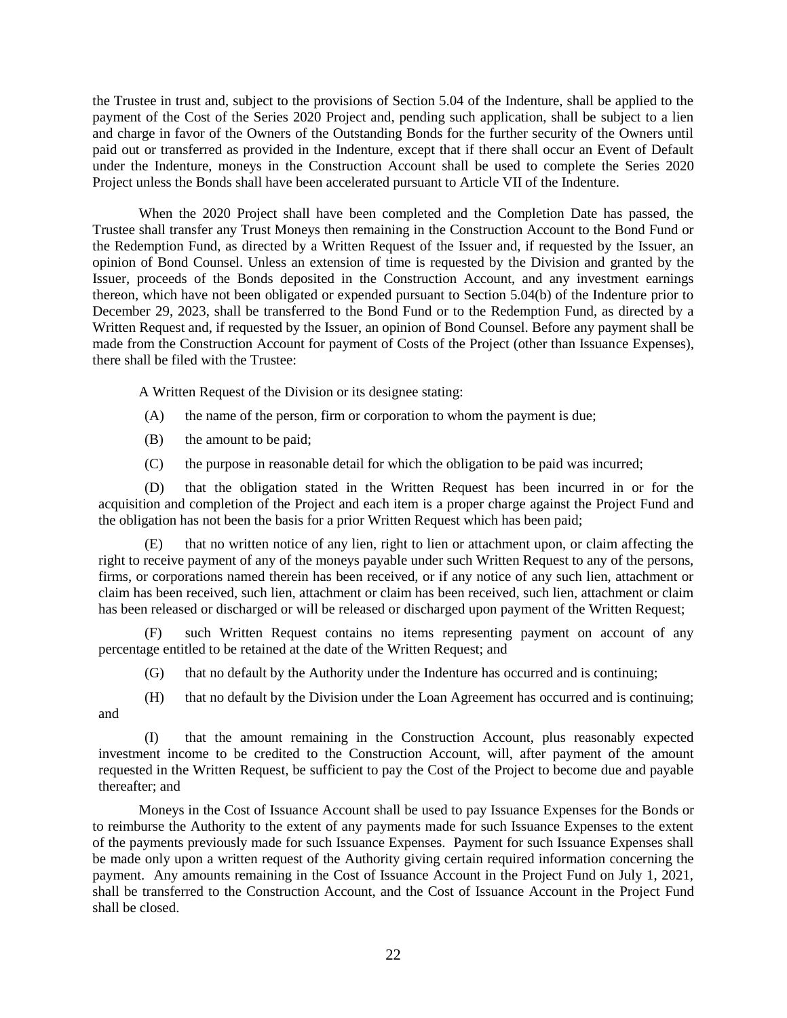the Trustee in trust and, subject to the provisions of Section 5.04 of the Indenture, shall be applied to the payment of the Cost of the Series 2020 Project and, pending such application, shall be subject to a lien and charge in favor of the Owners of the Outstanding Bonds for the further security of the Owners until paid out or transferred as provided in the Indenture, except that if there shall occur an Event of Default under the Indenture, moneys in the Construction Account shall be used to complete the Series 2020 Project unless the Bonds shall have been accelerated pursuant to Article VII of the Indenture.

When the 2020 Project shall have been completed and the Completion Date has passed, the Trustee shall transfer any Trust Moneys then remaining in the Construction Account to the Bond Fund or the Redemption Fund, as directed by a Written Request of the Issuer and, if requested by the Issuer, an opinion of Bond Counsel. Unless an extension of time is requested by the Division and granted by the Issuer, proceeds of the Bonds deposited in the Construction Account, and any investment earnings thereon, which have not been obligated or expended pursuant to Section 5.04(b) of the Indenture prior to December 29, 2023, shall be transferred to the Bond Fund or to the Redemption Fund, as directed by a Written Request and, if requested by the Issuer, an opinion of Bond Counsel. Before any payment shall be made from the Construction Account for payment of Costs of the Project (other than Issuance Expenses), there shall be filed with the Trustee:

A Written Request of the Division or its designee stating:

- (A) the name of the person, firm or corporation to whom the payment is due;
- (B) the amount to be paid;
- (C) the purpose in reasonable detail for which the obligation to be paid was incurred;

(D) that the obligation stated in the Written Request has been incurred in or for the acquisition and completion of the Project and each item is a proper charge against the Project Fund and the obligation has not been the basis for a prior Written Request which has been paid;

(E) that no written notice of any lien, right to lien or attachment upon, or claim affecting the right to receive payment of any of the moneys payable under such Written Request to any of the persons, firms, or corporations named therein has been received, or if any notice of any such lien, attachment or claim has been received, such lien, attachment or claim has been received, such lien, attachment or claim has been released or discharged or will be released or discharged upon payment of the Written Request;

(F) such Written Request contains no items representing payment on account of any percentage entitled to be retained at the date of the Written Request; and

(G) that no default by the Authority under the Indenture has occurred and is continuing;

(H) that no default by the Division under the Loan Agreement has occurred and is continuing; and

(I) that the amount remaining in the Construction Account, plus reasonably expected investment income to be credited to the Construction Account, will, after payment of the amount requested in the Written Request, be sufficient to pay the Cost of the Project to become due and payable thereafter; and

Moneys in the Cost of Issuance Account shall be used to pay Issuance Expenses for the Bonds or to reimburse the Authority to the extent of any payments made for such Issuance Expenses to the extent of the payments previously made for such Issuance Expenses. Payment for such Issuance Expenses shall be made only upon a written request of the Authority giving certain required information concerning the payment. Any amounts remaining in the Cost of Issuance Account in the Project Fund on July 1, 2021, shall be transferred to the Construction Account, and the Cost of Issuance Account in the Project Fund shall be closed.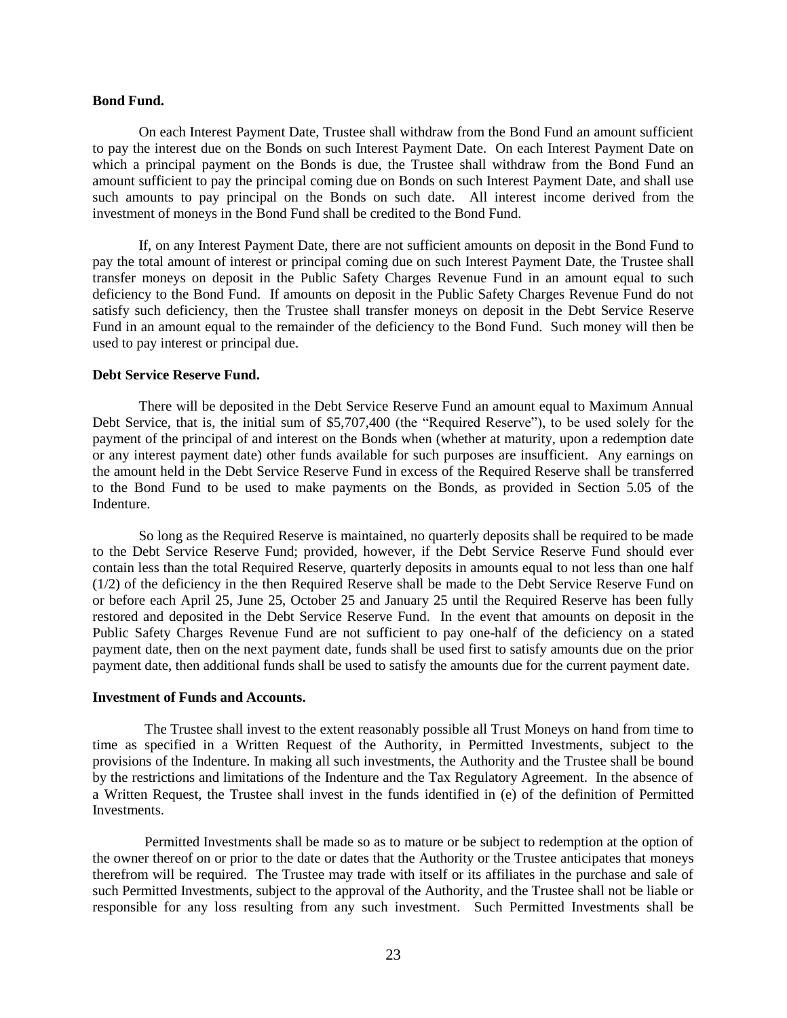#### **Bond Fund.**

On each Interest Payment Date, Trustee shall withdraw from the Bond Fund an amount sufficient to pay the interest due on the Bonds on such Interest Payment Date. On each Interest Payment Date on which a principal payment on the Bonds is due, the Trustee shall withdraw from the Bond Fund an amount sufficient to pay the principal coming due on Bonds on such Interest Payment Date, and shall use such amounts to pay principal on the Bonds on such date. All interest income derived from the investment of moneys in the Bond Fund shall be credited to the Bond Fund.

If, on any Interest Payment Date, there are not sufficient amounts on deposit in the Bond Fund to pay the total amount of interest or principal coming due on such Interest Payment Date, the Trustee shall transfer moneys on deposit in the Public Safety Charges Revenue Fund in an amount equal to such deficiency to the Bond Fund. If amounts on deposit in the Public Safety Charges Revenue Fund do not satisfy such deficiency, then the Trustee shall transfer moneys on deposit in the Debt Service Reserve Fund in an amount equal to the remainder of the deficiency to the Bond Fund. Such money will then be used to pay interest or principal due.

## **Debt Service Reserve Fund.**

There will be deposited in the Debt Service Reserve Fund an amount equal to Maximum Annual Debt Service, that is, the initial sum of \$5,707,400 (the "Required Reserve"), to be used solely for the payment of the principal of and interest on the Bonds when (whether at maturity, upon a redemption date or any interest payment date) other funds available for such purposes are insufficient. Any earnings on the amount held in the Debt Service Reserve Fund in excess of the Required Reserve shall be transferred to the Bond Fund to be used to make payments on the Bonds, as provided in Section 5.05 of the Indenture.

So long as the Required Reserve is maintained, no quarterly deposits shall be required to be made to the Debt Service Reserve Fund; provided, however, if the Debt Service Reserve Fund should ever contain less than the total Required Reserve, quarterly deposits in amounts equal to not less than one half (1/2) of the deficiency in the then Required Reserve shall be made to the Debt Service Reserve Fund on or before each April 25, June 25, October 25 and January 25 until the Required Reserve has been fully restored and deposited in the Debt Service Reserve Fund. In the event that amounts on deposit in the Public Safety Charges Revenue Fund are not sufficient to pay one-half of the deficiency on a stated payment date, then on the next payment date, funds shall be used first to satisfy amounts due on the prior payment date, then additional funds shall be used to satisfy the amounts due for the current payment date.

#### **Investment of Funds and Accounts.**

The Trustee shall invest to the extent reasonably possible all Trust Moneys on hand from time to time as specified in a Written Request of the Authority, in Permitted Investments, subject to the provisions of the Indenture. In making all such investments, the Authority and the Trustee shall be bound by the restrictions and limitations of the Indenture and the Tax Regulatory Agreement. In the absence of a Written Request, the Trustee shall invest in the funds identified in (e) of the definition of Permitted **Investments** 

Permitted Investments shall be made so as to mature or be subject to redemption at the option of the owner thereof on or prior to the date or dates that the Authority or the Trustee anticipates that moneys therefrom will be required. The Trustee may trade with itself or its affiliates in the purchase and sale of such Permitted Investments, subject to the approval of the Authority, and the Trustee shall not be liable or responsible for any loss resulting from any such investment. Such Permitted Investments shall be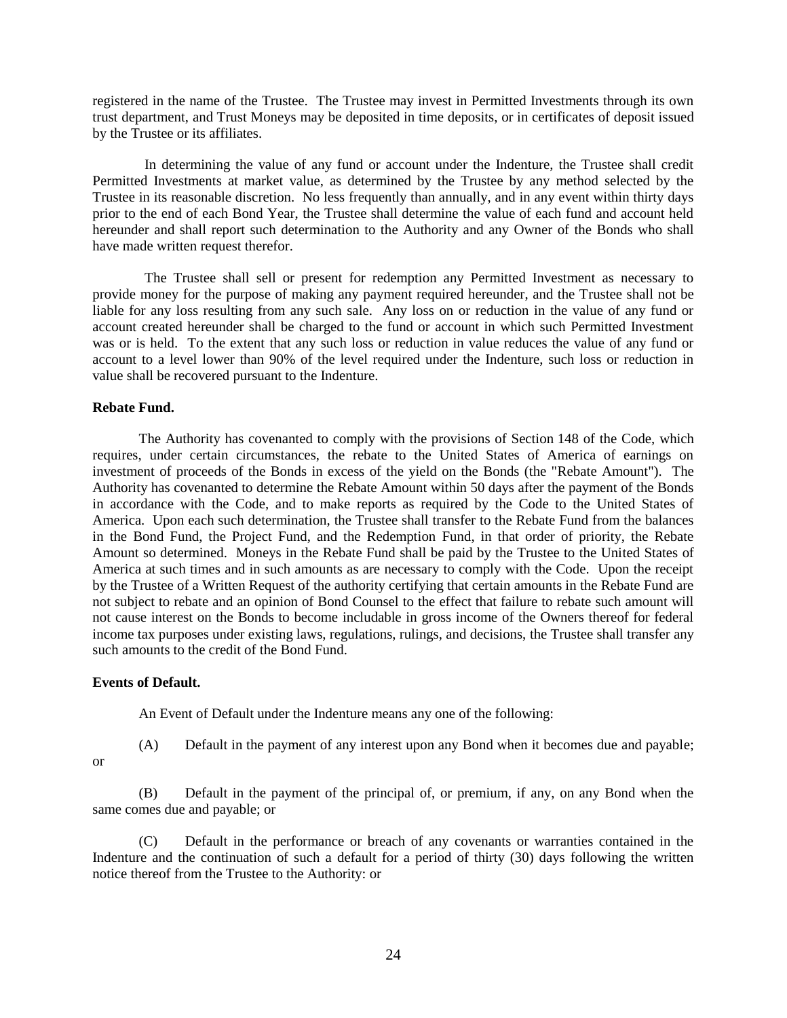registered in the name of the Trustee. The Trustee may invest in Permitted Investments through its own trust department, and Trust Moneys may be deposited in time deposits, or in certificates of deposit issued by the Trustee or its affiliates.

In determining the value of any fund or account under the Indenture, the Trustee shall credit Permitted Investments at market value, as determined by the Trustee by any method selected by the Trustee in its reasonable discretion. No less frequently than annually, and in any event within thirty days prior to the end of each Bond Year, the Trustee shall determine the value of each fund and account held hereunder and shall report such determination to the Authority and any Owner of the Bonds who shall have made written request therefor.

The Trustee shall sell or present for redemption any Permitted Investment as necessary to provide money for the purpose of making any payment required hereunder, and the Trustee shall not be liable for any loss resulting from any such sale. Any loss on or reduction in the value of any fund or account created hereunder shall be charged to the fund or account in which such Permitted Investment was or is held. To the extent that any such loss or reduction in value reduces the value of any fund or account to a level lower than 90% of the level required under the Indenture, such loss or reduction in value shall be recovered pursuant to the Indenture.

## **Rebate Fund.**

The Authority has covenanted to comply with the provisions of Section 148 of the Code, which requires, under certain circumstances, the rebate to the United States of America of earnings on investment of proceeds of the Bonds in excess of the yield on the Bonds (the "Rebate Amount"). The Authority has covenanted to determine the Rebate Amount within 50 days after the payment of the Bonds in accordance with the Code, and to make reports as required by the Code to the United States of America. Upon each such determination, the Trustee shall transfer to the Rebate Fund from the balances in the Bond Fund, the Project Fund, and the Redemption Fund, in that order of priority, the Rebate Amount so determined. Moneys in the Rebate Fund shall be paid by the Trustee to the United States of America at such times and in such amounts as are necessary to comply with the Code. Upon the receipt by the Trustee of a Written Request of the authority certifying that certain amounts in the Rebate Fund are not subject to rebate and an opinion of Bond Counsel to the effect that failure to rebate such amount will not cause interest on the Bonds to become includable in gross income of the Owners thereof for federal income tax purposes under existing laws, regulations, rulings, and decisions, the Trustee shall transfer any such amounts to the credit of the Bond Fund.

## **Events of Default.**

An Event of Default under the Indenture means any one of the following:

or

(A) Default in the payment of any interest upon any Bond when it becomes due and payable;

(B) Default in the payment of the principal of, or premium, if any, on any Bond when the same comes due and payable; or

(C) Default in the performance or breach of any covenants or warranties contained in the Indenture and the continuation of such a default for a period of thirty (30) days following the written notice thereof from the Trustee to the Authority: or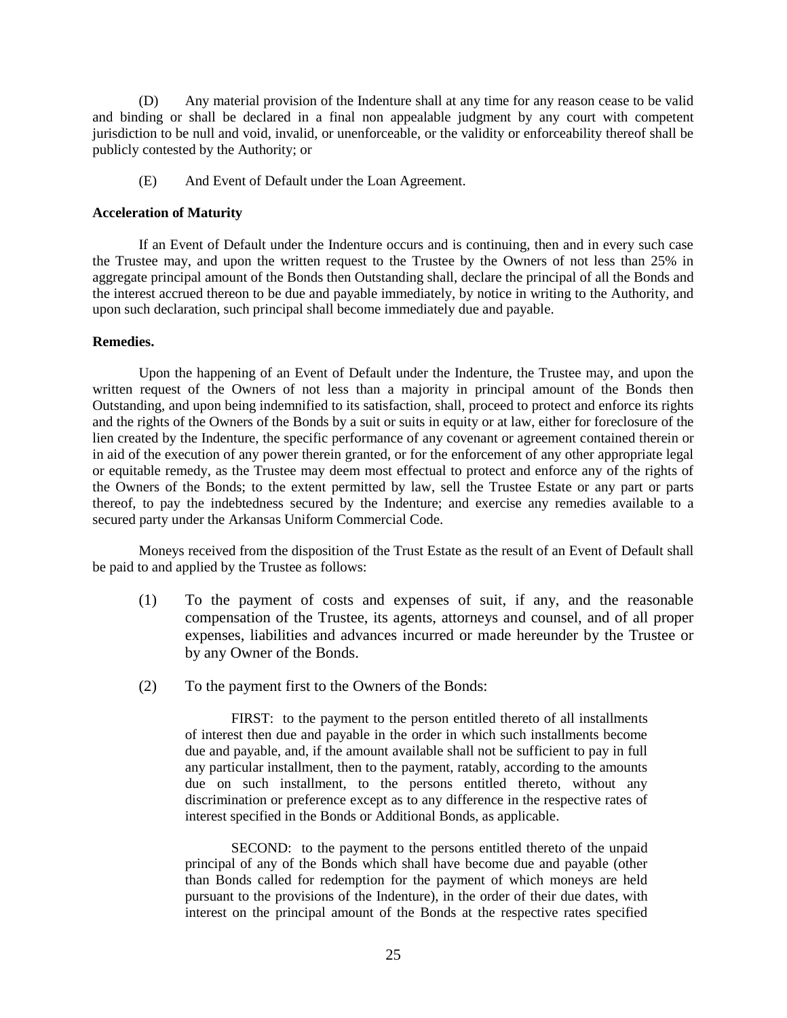(D) Any material provision of the Indenture shall at any time for any reason cease to be valid and binding or shall be declared in a final non appealable judgment by any court with competent jurisdiction to be null and void, invalid, or unenforceable, or the validity or enforceability thereof shall be publicly contested by the Authority; or

(E) And Event of Default under the Loan Agreement.

## **Acceleration of Maturity**

If an Event of Default under the Indenture occurs and is continuing, then and in every such case the Trustee may, and upon the written request to the Trustee by the Owners of not less than 25% in aggregate principal amount of the Bonds then Outstanding shall, declare the principal of all the Bonds and the interest accrued thereon to be due and payable immediately, by notice in writing to the Authority, and upon such declaration, such principal shall become immediately due and payable.

## **Remedies.**

Upon the happening of an Event of Default under the Indenture, the Trustee may, and upon the written request of the Owners of not less than a majority in principal amount of the Bonds then Outstanding, and upon being indemnified to its satisfaction, shall, proceed to protect and enforce its rights and the rights of the Owners of the Bonds by a suit or suits in equity or at law, either for foreclosure of the lien created by the Indenture, the specific performance of any covenant or agreement contained therein or in aid of the execution of any power therein granted, or for the enforcement of any other appropriate legal or equitable remedy, as the Trustee may deem most effectual to protect and enforce any of the rights of the Owners of the Bonds; to the extent permitted by law, sell the Trustee Estate or any part or parts thereof, to pay the indebtedness secured by the Indenture; and exercise any remedies available to a secured party under the Arkansas Uniform Commercial Code.

Moneys received from the disposition of the Trust Estate as the result of an Event of Default shall be paid to and applied by the Trustee as follows:

- (1) To the payment of costs and expenses of suit, if any, and the reasonable compensation of the Trustee, its agents, attorneys and counsel, and of all proper expenses, liabilities and advances incurred or made hereunder by the Trustee or by any Owner of the Bonds.
- (2) To the payment first to the Owners of the Bonds:

FIRST: to the payment to the person entitled thereto of all installments of interest then due and payable in the order in which such installments become due and payable, and, if the amount available shall not be sufficient to pay in full any particular installment, then to the payment, ratably, according to the amounts due on such installment, to the persons entitled thereto, without any discrimination or preference except as to any difference in the respective rates of interest specified in the Bonds or Additional Bonds, as applicable.

SECOND: to the payment to the persons entitled thereto of the unpaid principal of any of the Bonds which shall have become due and payable (other than Bonds called for redemption for the payment of which moneys are held pursuant to the provisions of the Indenture), in the order of their due dates, with interest on the principal amount of the Bonds at the respective rates specified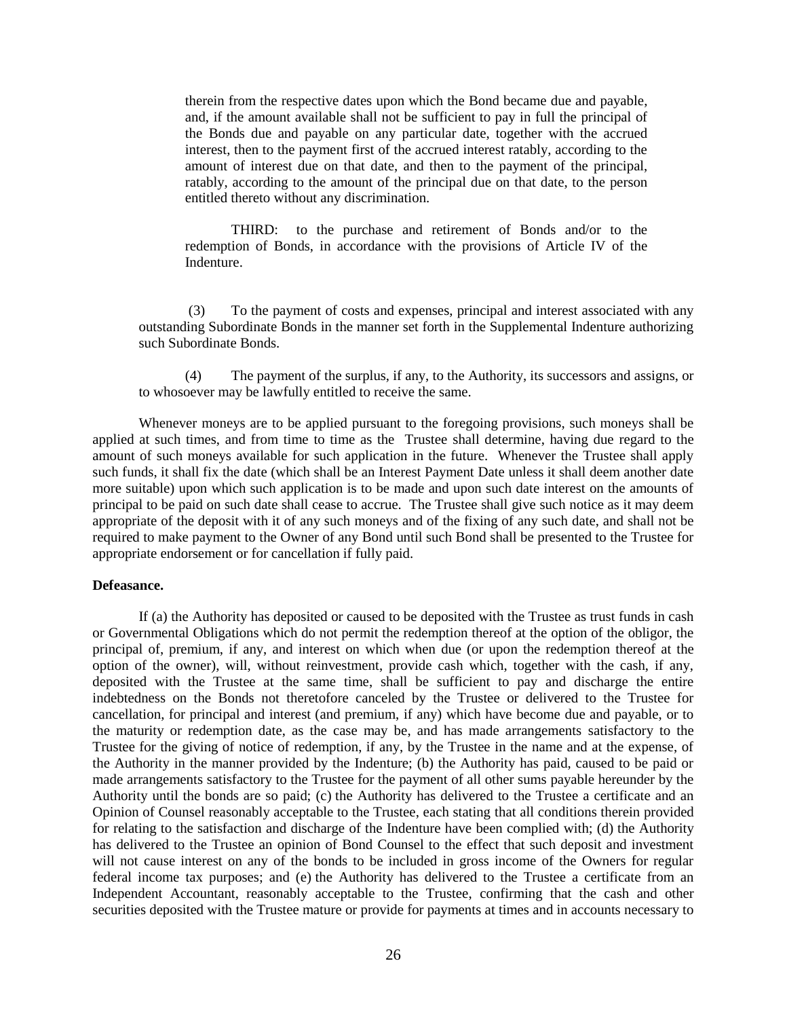therein from the respective dates upon which the Bond became due and payable, and, if the amount available shall not be sufficient to pay in full the principal of the Bonds due and payable on any particular date, together with the accrued interest, then to the payment first of the accrued interest ratably, according to the amount of interest due on that date, and then to the payment of the principal, ratably, according to the amount of the principal due on that date, to the person entitled thereto without any discrimination.

THIRD: to the purchase and retirement of Bonds and/or to the redemption of Bonds, in accordance with the provisions of Article IV of the Indenture.

(3) To the payment of costs and expenses, principal and interest associated with any outstanding Subordinate Bonds in the manner set forth in the Supplemental Indenture authorizing such Subordinate Bonds.

(4) The payment of the surplus, if any, to the Authority, its successors and assigns, or to whosoever may be lawfully entitled to receive the same.

Whenever moneys are to be applied pursuant to the foregoing provisions, such moneys shall be applied at such times, and from time to time as the Trustee shall determine, having due regard to the amount of such moneys available for such application in the future. Whenever the Trustee shall apply such funds, it shall fix the date (which shall be an Interest Payment Date unless it shall deem another date more suitable) upon which such application is to be made and upon such date interest on the amounts of principal to be paid on such date shall cease to accrue. The Trustee shall give such notice as it may deem appropriate of the deposit with it of any such moneys and of the fixing of any such date, and shall not be required to make payment to the Owner of any Bond until such Bond shall be presented to the Trustee for appropriate endorsement or for cancellation if fully paid.

## **Defeasance.**

If (a) the Authority has deposited or caused to be deposited with the Trustee as trust funds in cash or Governmental Obligations which do not permit the redemption thereof at the option of the obligor, the principal of, premium, if any, and interest on which when due (or upon the redemption thereof at the option of the owner), will, without reinvestment, provide cash which, together with the cash, if any, deposited with the Trustee at the same time, shall be sufficient to pay and discharge the entire indebtedness on the Bonds not theretofore canceled by the Trustee or delivered to the Trustee for cancellation, for principal and interest (and premium, if any) which have become due and payable, or to the maturity or redemption date, as the case may be, and has made arrangements satisfactory to the Trustee for the giving of notice of redemption, if any, by the Trustee in the name and at the expense, of the Authority in the manner provided by the Indenture; (b) the Authority has paid, caused to be paid or made arrangements satisfactory to the Trustee for the payment of all other sums payable hereunder by the Authority until the bonds are so paid; (c) the Authority has delivered to the Trustee a certificate and an Opinion of Counsel reasonably acceptable to the Trustee, each stating that all conditions therein provided for relating to the satisfaction and discharge of the Indenture have been complied with; (d) the Authority has delivered to the Trustee an opinion of Bond Counsel to the effect that such deposit and investment will not cause interest on any of the bonds to be included in gross income of the Owners for regular federal income tax purposes; and (e) the Authority has delivered to the Trustee a certificate from an Independent Accountant, reasonably acceptable to the Trustee, confirming that the cash and other securities deposited with the Trustee mature or provide for payments at times and in accounts necessary to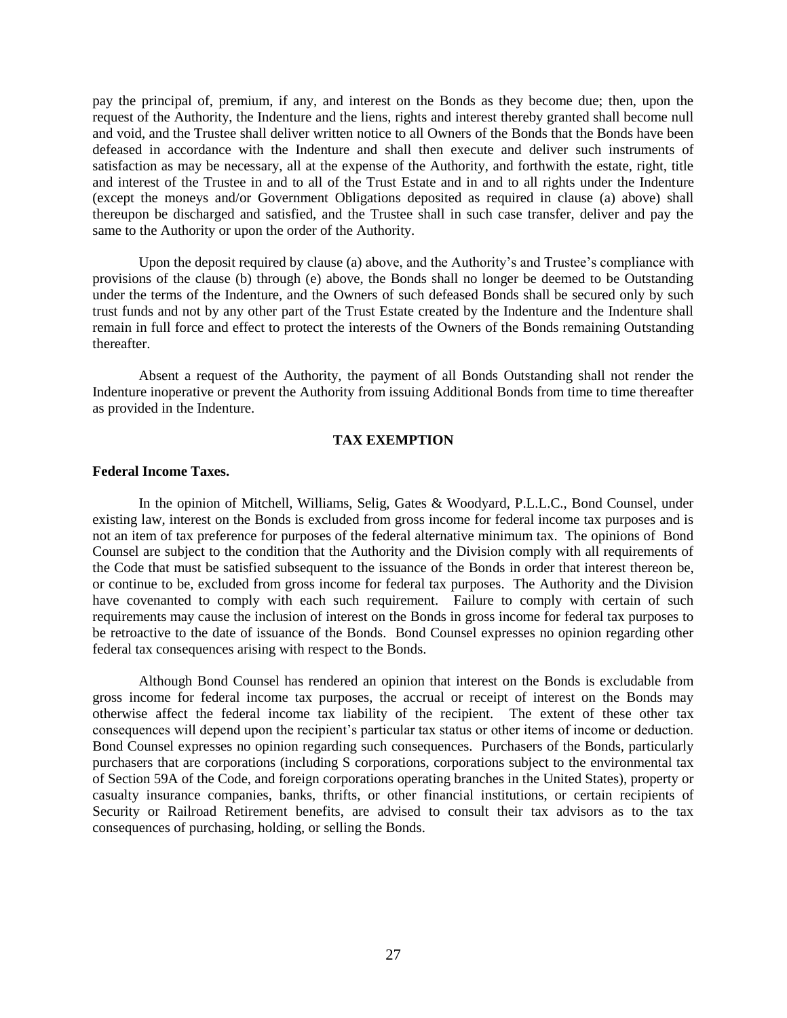pay the principal of, premium, if any, and interest on the Bonds as they become due; then, upon the request of the Authority, the Indenture and the liens, rights and interest thereby granted shall become null and void, and the Trustee shall deliver written notice to all Owners of the Bonds that the Bonds have been defeased in accordance with the Indenture and shall then execute and deliver such instruments of satisfaction as may be necessary, all at the expense of the Authority, and forthwith the estate, right, title and interest of the Trustee in and to all of the Trust Estate and in and to all rights under the Indenture (except the moneys and/or Government Obligations deposited as required in clause (a) above) shall thereupon be discharged and satisfied, and the Trustee shall in such case transfer, deliver and pay the same to the Authority or upon the order of the Authority.

Upon the deposit required by clause (a) above, and the Authority's and Trustee's compliance with provisions of the clause (b) through (e) above, the Bonds shall no longer be deemed to be Outstanding under the terms of the Indenture, and the Owners of such defeased Bonds shall be secured only by such trust funds and not by any other part of the Trust Estate created by the Indenture and the Indenture shall remain in full force and effect to protect the interests of the Owners of the Bonds remaining Outstanding thereafter.

Absent a request of the Authority, the payment of all Bonds Outstanding shall not render the Indenture inoperative or prevent the Authority from issuing Additional Bonds from time to time thereafter as provided in the Indenture.

## **TAX EXEMPTION**

## <span id="page-30-0"></span>**Federal Income Taxes.**

In the opinion of Mitchell, Williams, Selig, Gates & Woodyard, P.L.L.C., Bond Counsel, under existing law, interest on the Bonds is excluded from gross income for federal income tax purposes and is not an item of tax preference for purposes of the federal alternative minimum tax. The opinions of Bond Counsel are subject to the condition that the Authority and the Division comply with all requirements of the Code that must be satisfied subsequent to the issuance of the Bonds in order that interest thereon be, or continue to be, excluded from gross income for federal tax purposes. The Authority and the Division have covenanted to comply with each such requirement. Failure to comply with certain of such requirements may cause the inclusion of interest on the Bonds in gross income for federal tax purposes to be retroactive to the date of issuance of the Bonds. Bond Counsel expresses no opinion regarding other federal tax consequences arising with respect to the Bonds.

Although Bond Counsel has rendered an opinion that interest on the Bonds is excludable from gross income for federal income tax purposes, the accrual or receipt of interest on the Bonds may otherwise affect the federal income tax liability of the recipient. The extent of these other tax consequences will depend upon the recipient's particular tax status or other items of income or deduction. Bond Counsel expresses no opinion regarding such consequences. Purchasers of the Bonds, particularly purchasers that are corporations (including S corporations, corporations subject to the environmental tax of Section 59A of the Code, and foreign corporations operating branches in the United States), property or casualty insurance companies, banks, thrifts, or other financial institutions, or certain recipients of Security or Railroad Retirement benefits, are advised to consult their tax advisors as to the tax consequences of purchasing, holding, or selling the Bonds.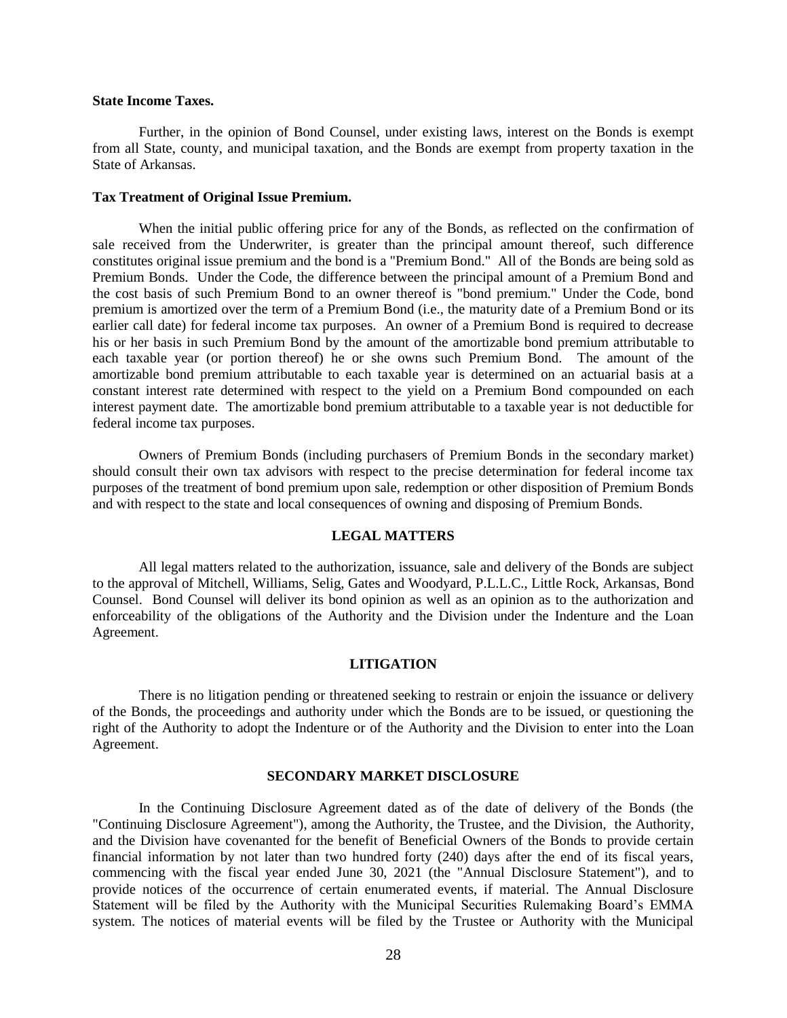#### **State Income Taxes.**

Further, in the opinion of Bond Counsel, under existing laws, interest on the Bonds is exempt from all State, county, and municipal taxation, and the Bonds are exempt from property taxation in the State of Arkansas.

#### **Tax Treatment of Original Issue Premium.**

When the initial public offering price for any of the Bonds, as reflected on the confirmation of sale received from the Underwriter, is greater than the principal amount thereof, such difference constitutes original issue premium and the bond is a "Premium Bond." All of the Bonds are being sold as Premium Bonds. Under the Code, the difference between the principal amount of a Premium Bond and the cost basis of such Premium Bond to an owner thereof is "bond premium." Under the Code, bond premium is amortized over the term of a Premium Bond (i.e., the maturity date of a Premium Bond or its earlier call date) for federal income tax purposes. An owner of a Premium Bond is required to decrease his or her basis in such Premium Bond by the amount of the amortizable bond premium attributable to each taxable year (or portion thereof) he or she owns such Premium Bond. The amount of the amortizable bond premium attributable to each taxable year is determined on an actuarial basis at a constant interest rate determined with respect to the yield on a Premium Bond compounded on each interest payment date. The amortizable bond premium attributable to a taxable year is not deductible for federal income tax purposes.

Owners of Premium Bonds (including purchasers of Premium Bonds in the secondary market) should consult their own tax advisors with respect to the precise determination for federal income tax purposes of the treatment of bond premium upon sale, redemption or other disposition of Premium Bonds and with respect to the state and local consequences of owning and disposing of Premium Bonds.

## **LEGAL MATTERS**

<span id="page-31-0"></span>All legal matters related to the authorization, issuance, sale and delivery of the Bonds are subject to the approval of Mitchell, Williams, Selig, Gates and Woodyard, P.L.L.C., Little Rock, Arkansas, Bond Counsel. Bond Counsel will deliver its bond opinion as well as an opinion as to the authorization and enforceability of the obligations of the Authority and the Division under the Indenture and the Loan Agreement.

## **LITIGATION**

<span id="page-31-1"></span>There is no litigation pending or threatened seeking to restrain or enjoin the issuance or delivery of the Bonds, the proceedings and authority under which the Bonds are to be issued, or questioning the right of the Authority to adopt the Indenture or of the Authority and the Division to enter into the Loan Agreement.

#### **SECONDARY MARKET DISCLOSURE**

<span id="page-31-2"></span>In the Continuing Disclosure Agreement dated as of the date of delivery of the Bonds (the "Continuing Disclosure Agreement"), among the Authority, the Trustee, and the Division, the Authority, and the Division have covenanted for the benefit of Beneficial Owners of the Bonds to provide certain financial information by not later than two hundred forty (240) days after the end of its fiscal years, commencing with the fiscal year ended June 30, 2021 (the "Annual Disclosure Statement"), and to provide notices of the occurrence of certain enumerated events, if material. The Annual Disclosure Statement will be filed by the Authority with the Municipal Securities Rulemaking Board's EMMA system. The notices of material events will be filed by the Trustee or Authority with the Municipal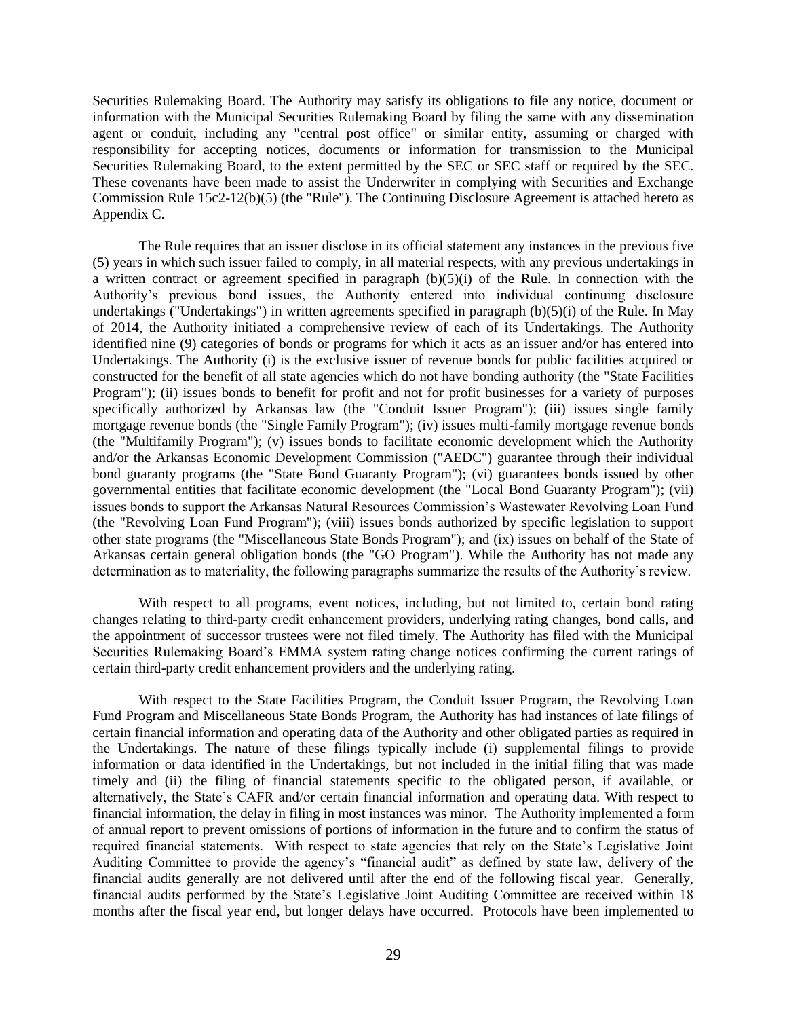Securities Rulemaking Board. The Authority may satisfy its obligations to file any notice, document or information with the Municipal Securities Rulemaking Board by filing the same with any dissemination agent or conduit, including any "central post office" or similar entity, assuming or charged with responsibility for accepting notices, documents or information for transmission to the Municipal Securities Rulemaking Board, to the extent permitted by the SEC or SEC staff or required by the SEC. These covenants have been made to assist the Underwriter in complying with Securities and Exchange Commission Rule 15c2-12(b)(5) (the "Rule"). The Continuing Disclosure Agreement is attached hereto as Appendix C.

The Rule requires that an issuer disclose in its official statement any instances in the previous five (5) years in which such issuer failed to comply, in all material respects, with any previous undertakings in a written contract or agreement specified in paragraph  $(b)(5)(i)$  of the Rule. In connection with the Authority's previous bond issues, the Authority entered into individual continuing disclosure undertakings ("Undertakings") in written agreements specified in paragraph (b)(5)(i) of the Rule. In May of 2014, the Authority initiated a comprehensive review of each of its Undertakings. The Authority identified nine (9) categories of bonds or programs for which it acts as an issuer and/or has entered into Undertakings. The Authority (i) is the exclusive issuer of revenue bonds for public facilities acquired or constructed for the benefit of all state agencies which do not have bonding authority (the "State Facilities Program"); (ii) issues bonds to benefit for profit and not for profit businesses for a variety of purposes specifically authorized by Arkansas law (the "Conduit Issuer Program"); (iii) issues single family mortgage revenue bonds (the "Single Family Program"); (iv) issues multi-family mortgage revenue bonds (the "Multifamily Program"); (v) issues bonds to facilitate economic development which the Authority and/or the Arkansas Economic Development Commission ("AEDC") guarantee through their individual bond guaranty programs (the "State Bond Guaranty Program"); (vi) guarantees bonds issued by other governmental entities that facilitate economic development (the "Local Bond Guaranty Program"); (vii) issues bonds to support the Arkansas Natural Resources Commission's Wastewater Revolving Loan Fund (the "Revolving Loan Fund Program"); (viii) issues bonds authorized by specific legislation to support other state programs (the "Miscellaneous State Bonds Program"); and (ix) issues on behalf of the State of Arkansas certain general obligation bonds (the "GO Program"). While the Authority has not made any determination as to materiality, the following paragraphs summarize the results of the Authority's review.

With respect to all programs, event notices, including, but not limited to, certain bond rating changes relating to third-party credit enhancement providers, underlying rating changes, bond calls, and the appointment of successor trustees were not filed timely. The Authority has filed with the Municipal Securities Rulemaking Board's EMMA system rating change notices confirming the current ratings of certain third-party credit enhancement providers and the underlying rating.

With respect to the State Facilities Program, the Conduit Issuer Program, the Revolving Loan Fund Program and Miscellaneous State Bonds Program, the Authority has had instances of late filings of certain financial information and operating data of the Authority and other obligated parties as required in the Undertakings. The nature of these filings typically include (i) supplemental filings to provide information or data identified in the Undertakings, but not included in the initial filing that was made timely and (ii) the filing of financial statements specific to the obligated person, if available, or alternatively, the State's CAFR and/or certain financial information and operating data. With respect to financial information, the delay in filing in most instances was minor. The Authority implemented a form of annual report to prevent omissions of portions of information in the future and to confirm the status of required financial statements. With respect to state agencies that rely on the State's Legislative Joint Auditing Committee to provide the agency's "financial audit" as defined by state law, delivery of the financial audits generally are not delivered until after the end of the following fiscal year. Generally, financial audits performed by the State's Legislative Joint Auditing Committee are received within 18 months after the fiscal year end, but longer delays have occurred. Protocols have been implemented to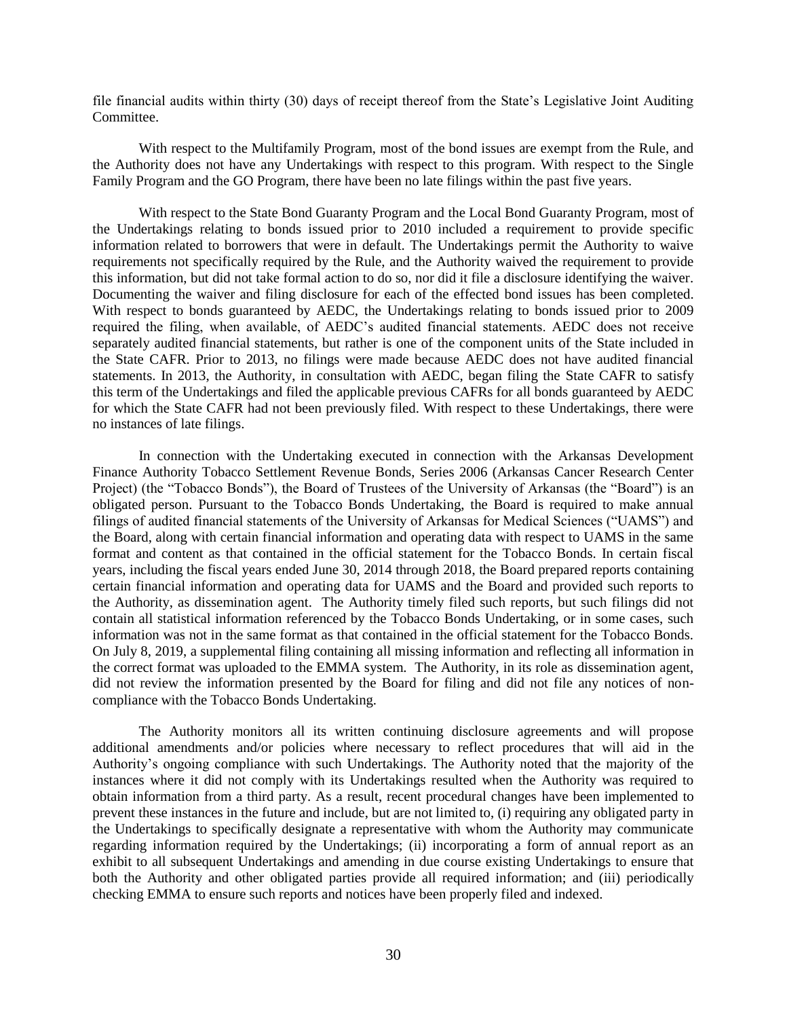file financial audits within thirty (30) days of receipt thereof from the State's Legislative Joint Auditing Committee.

With respect to the Multifamily Program, most of the bond issues are exempt from the Rule, and the Authority does not have any Undertakings with respect to this program. With respect to the Single Family Program and the GO Program, there have been no late filings within the past five years.

With respect to the State Bond Guaranty Program and the Local Bond Guaranty Program, most of the Undertakings relating to bonds issued prior to 2010 included a requirement to provide specific information related to borrowers that were in default. The Undertakings permit the Authority to waive requirements not specifically required by the Rule, and the Authority waived the requirement to provide this information, but did not take formal action to do so, nor did it file a disclosure identifying the waiver. Documenting the waiver and filing disclosure for each of the effected bond issues has been completed. With respect to bonds guaranteed by AEDC, the Undertakings relating to bonds issued prior to 2009 required the filing, when available, of AEDC's audited financial statements. AEDC does not receive separately audited financial statements, but rather is one of the component units of the State included in the State CAFR. Prior to 2013, no filings were made because AEDC does not have audited financial statements. In 2013, the Authority, in consultation with AEDC, began filing the State CAFR to satisfy this term of the Undertakings and filed the applicable previous CAFRs for all bonds guaranteed by AEDC for which the State CAFR had not been previously filed. With respect to these Undertakings, there were no instances of late filings.

In connection with the Undertaking executed in connection with the Arkansas Development Finance Authority Tobacco Settlement Revenue Bonds, Series 2006 (Arkansas Cancer Research Center Project) (the "Tobacco Bonds"), the Board of Trustees of the University of Arkansas (the "Board") is an obligated person. Pursuant to the Tobacco Bonds Undertaking, the Board is required to make annual filings of audited financial statements of the University of Arkansas for Medical Sciences ("UAMS") and the Board, along with certain financial information and operating data with respect to UAMS in the same format and content as that contained in the official statement for the Tobacco Bonds. In certain fiscal years, including the fiscal years ended June 30, 2014 through 2018, the Board prepared reports containing certain financial information and operating data for UAMS and the Board and provided such reports to the Authority, as dissemination agent. The Authority timely filed such reports, but such filings did not contain all statistical information referenced by the Tobacco Bonds Undertaking, or in some cases, such information was not in the same format as that contained in the official statement for the Tobacco Bonds. On July 8, 2019, a supplemental filing containing all missing information and reflecting all information in the correct format was uploaded to the EMMA system. The Authority, in its role as dissemination agent, did not review the information presented by the Board for filing and did not file any notices of noncompliance with the Tobacco Bonds Undertaking.

The Authority monitors all its written continuing disclosure agreements and will propose additional amendments and/or policies where necessary to reflect procedures that will aid in the Authority's ongoing compliance with such Undertakings. The Authority noted that the majority of the instances where it did not comply with its Undertakings resulted when the Authority was required to obtain information from a third party. As a result, recent procedural changes have been implemented to prevent these instances in the future and include, but are not limited to, (i) requiring any obligated party in the Undertakings to specifically designate a representative with whom the Authority may communicate regarding information required by the Undertakings; (ii) incorporating a form of annual report as an exhibit to all subsequent Undertakings and amending in due course existing Undertakings to ensure that both the Authority and other obligated parties provide all required information; and (iii) periodically checking EMMA to ensure such reports and notices have been properly filed and indexed.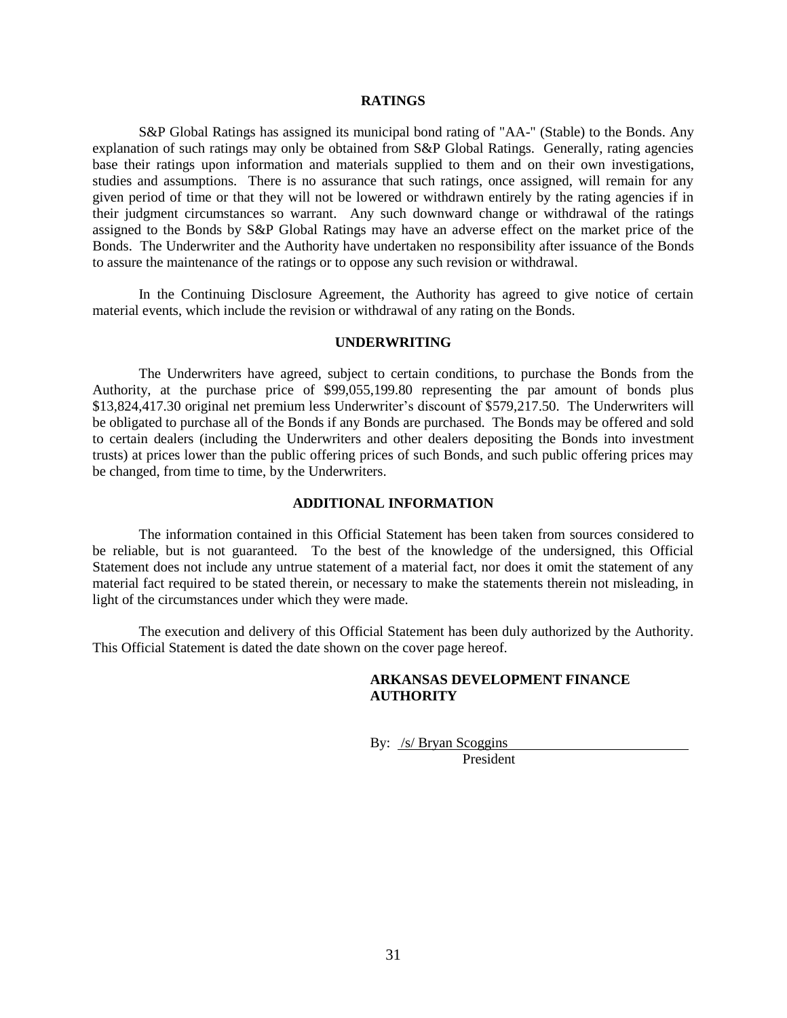#### **RATINGS**

<span id="page-34-0"></span>S&P Global Ratings has assigned its municipal bond rating of "AA-" (Stable) to the Bonds. Any explanation of such ratings may only be obtained from S&P Global Ratings. Generally, rating agencies base their ratings upon information and materials supplied to them and on their own investigations, studies and assumptions. There is no assurance that such ratings, once assigned, will remain for any given period of time or that they will not be lowered or withdrawn entirely by the rating agencies if in their judgment circumstances so warrant. Any such downward change or withdrawal of the ratings assigned to the Bonds by S&P Global Ratings may have an adverse effect on the market price of the Bonds. The Underwriter and the Authority have undertaken no responsibility after issuance of the Bonds to assure the maintenance of the ratings or to oppose any such revision or withdrawal.

In the Continuing Disclosure Agreement, the Authority has agreed to give notice of certain material events, which include the revision or withdrawal of any rating on the Bonds.

#### **UNDERWRITING**

<span id="page-34-1"></span>The Underwriters have agreed, subject to certain conditions, to purchase the Bonds from the Authority, at the purchase price of \$99,055,199.80 representing the par amount of bonds plus \$13,824,417.30 original net premium less Underwriter's discount of \$579,217.50. The Underwriters will be obligated to purchase all of the Bonds if any Bonds are purchased. The Bonds may be offered and sold to certain dealers (including the Underwriters and other dealers depositing the Bonds into investment trusts) at prices lower than the public offering prices of such Bonds, and such public offering prices may be changed, from time to time, by the Underwriters.

## **ADDITIONAL INFORMATION**

<span id="page-34-2"></span>The information contained in this Official Statement has been taken from sources considered to be reliable, but is not guaranteed. To the best of the knowledge of the undersigned, this Official Statement does not include any untrue statement of a material fact, nor does it omit the statement of any material fact required to be stated therein, or necessary to make the statements therein not misleading, in light of the circumstances under which they were made.

The execution and delivery of this Official Statement has been duly authorized by the Authority. This Official Statement is dated the date shown on the cover page hereof.

## **ARKANSAS DEVELOPMENT FINANCE AUTHORITY**

By: /s/ Bryan Scoggins President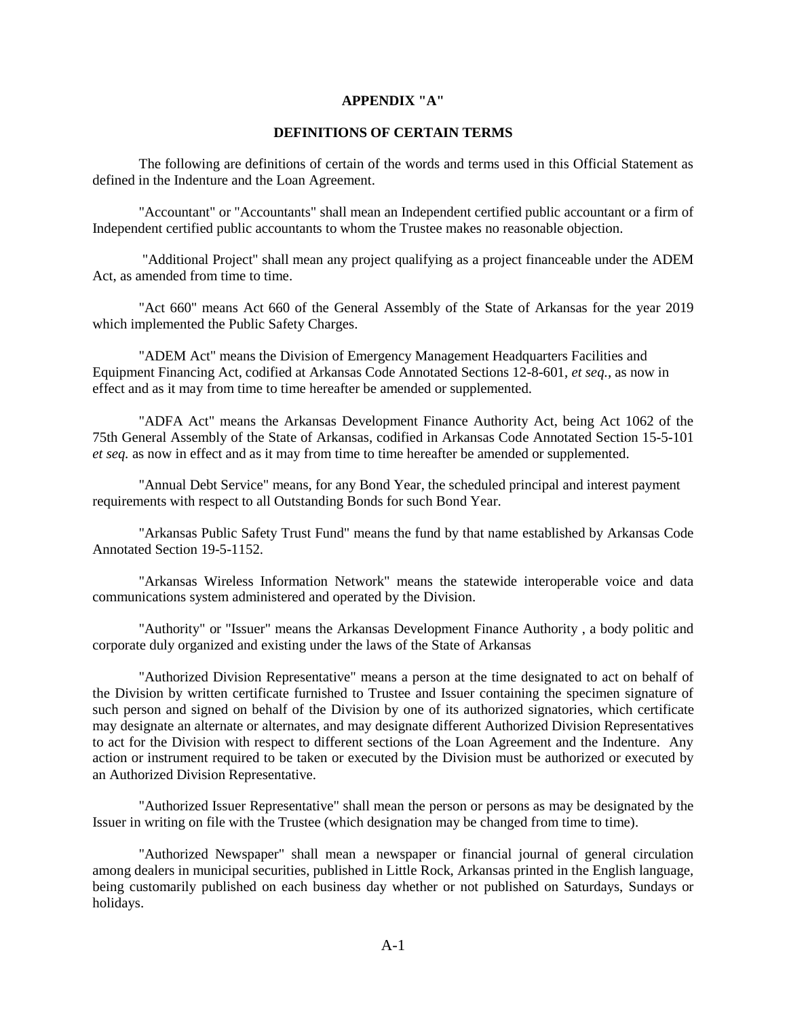## **APPENDIX "A"**

## **DEFINITIONS OF CERTAIN TERMS**

The following are definitions of certain of the words and terms used in this Official Statement as defined in the Indenture and the Loan Agreement.

"Accountant" or "Accountants" shall mean an Independent certified public accountant or a firm of Independent certified public accountants to whom the Trustee makes no reasonable objection.

"Additional Project" shall mean any project qualifying as a project financeable under the ADEM Act, as amended from time to time.

"Act 660" means Act 660 of the General Assembly of the State of Arkansas for the year 2019 which implemented the Public Safety Charges.

"ADEM Act" means the Division of Emergency Management Headquarters Facilities and Equipment Financing Act, codified at Arkansas Code Annotated Sections 12-8-601, *et seq.*, as now in effect and as it may from time to time hereafter be amended or supplemented.

"ADFA Act" means the Arkansas Development Finance Authority Act, being Act 1062 of the 75th General Assembly of the State of Arkansas, codified in Arkansas Code Annotated Section 15-5-101 *et seq.* as now in effect and as it may from time to time hereafter be amended or supplemented.

"Annual Debt Service" means, for any Bond Year, the scheduled principal and interest payment requirements with respect to all Outstanding Bonds for such Bond Year.

"Arkansas Public Safety Trust Fund" means the fund by that name established by Arkansas Code Annotated Section 19-5-1152.

"Arkansas Wireless Information Network" means the statewide interoperable voice and data communications system administered and operated by the Division.

"Authority" or "Issuer" means the Arkansas Development Finance Authority , a body politic and corporate duly organized and existing under the laws of the State of Arkansas

"Authorized Division Representative" means a person at the time designated to act on behalf of the Division by written certificate furnished to Trustee and Issuer containing the specimen signature of such person and signed on behalf of the Division by one of its authorized signatories, which certificate may designate an alternate or alternates, and may designate different Authorized Division Representatives to act for the Division with respect to different sections of the Loan Agreement and the Indenture. Any action or instrument required to be taken or executed by the Division must be authorized or executed by an Authorized Division Representative.

"Authorized Issuer Representative" shall mean the person or persons as may be designated by the Issuer in writing on file with the Trustee (which designation may be changed from time to time).

"Authorized Newspaper" shall mean a newspaper or financial journal of general circulation among dealers in municipal securities, published in Little Rock, Arkansas printed in the English language, being customarily published on each business day whether or not published on Saturdays, Sundays or holidays.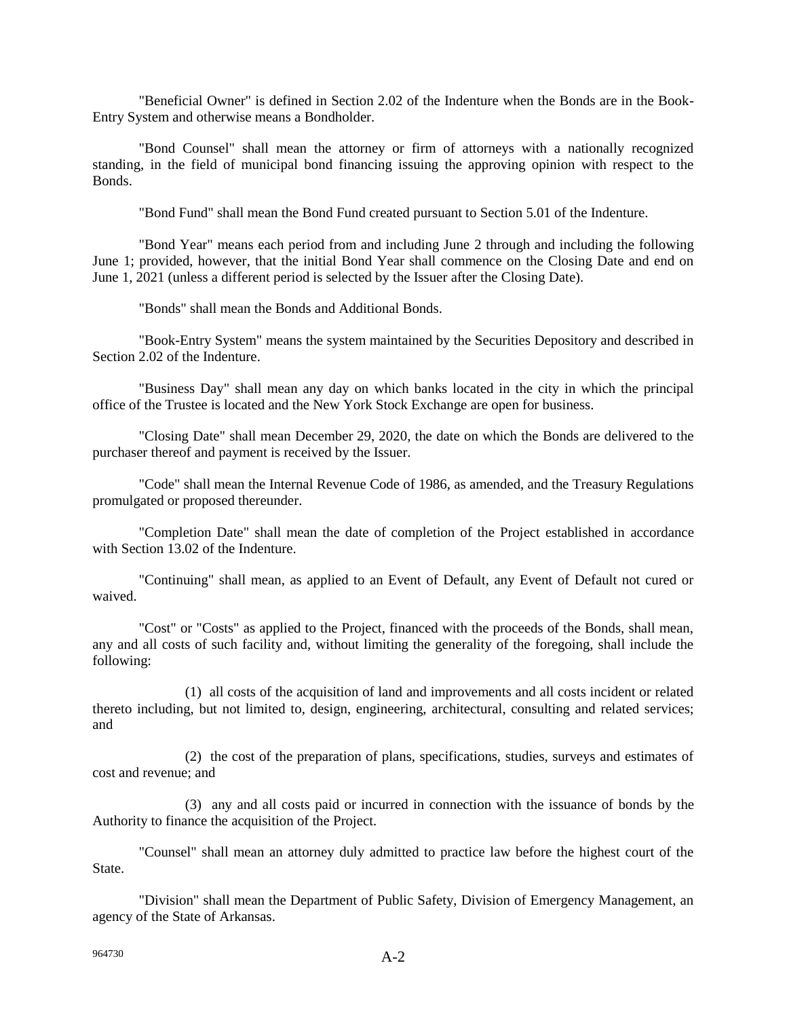"Beneficial Owner" is defined in Section 2.02 of the Indenture when the Bonds are in the Book-Entry System and otherwise means a Bondholder.

"Bond Counsel" shall mean the attorney or firm of attorneys with a nationally recognized standing, in the field of municipal bond financing issuing the approving opinion with respect to the Bonds.

"Bond Fund" shall mean the Bond Fund created pursuant to Section 5.01 of the Indenture.

"Bond Year" means each period from and including June 2 through and including the following June 1; provided, however, that the initial Bond Year shall commence on the Closing Date and end on June 1, 2021 (unless a different period is selected by the Issuer after the Closing Date).

"Bonds" shall mean the Bonds and Additional Bonds.

"Book-Entry System" means the system maintained by the Securities Depository and described in Section 2.02 of the Indenture.

"Business Day" shall mean any day on which banks located in the city in which the principal office of the Trustee is located and the New York Stock Exchange are open for business.

"Closing Date" shall mean December 29, 2020, the date on which the Bonds are delivered to the purchaser thereof and payment is received by the Issuer.

"Code" shall mean the Internal Revenue Code of 1986, as amended, and the Treasury Regulations promulgated or proposed thereunder.

"Completion Date" shall mean the date of completion of the Project established in accordance with Section 13.02 of the Indenture.

"Continuing" shall mean, as applied to an Event of Default, any Event of Default not cured or waived.

"Cost" or "Costs" as applied to the Project, financed with the proceeds of the Bonds, shall mean, any and all costs of such facility and, without limiting the generality of the foregoing, shall include the following:

(1) all costs of the acquisition of land and improvements and all costs incident or related thereto including, but not limited to, design, engineering, architectural, consulting and related services; and

(2) the cost of the preparation of plans, specifications, studies, surveys and estimates of cost and revenue; and

(3) any and all costs paid or incurred in connection with the issuance of bonds by the Authority to finance the acquisition of the Project.

"Counsel" shall mean an attorney duly admitted to practice law before the highest court of the State.

"Division" shall mean the Department of Public Safety, Division of Emergency Management, an agency of the State of Arkansas.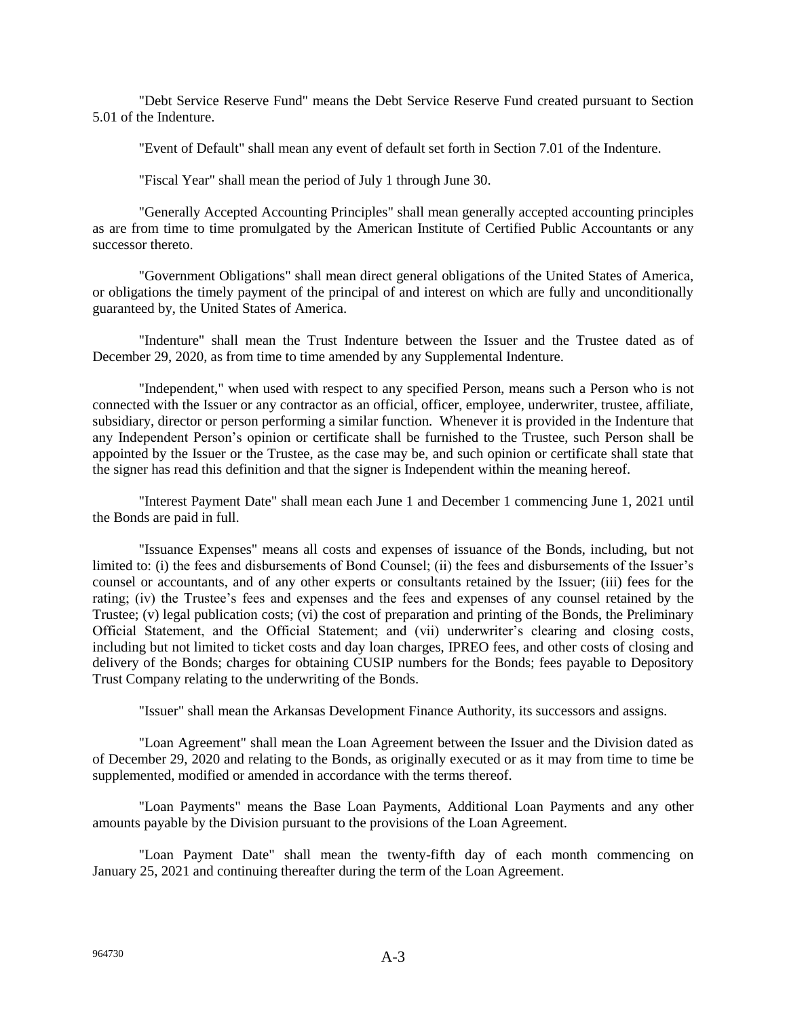"Debt Service Reserve Fund" means the Debt Service Reserve Fund created pursuant to Section 5.01 of the Indenture.

"Event of Default" shall mean any event of default set forth in Section 7.01 of the Indenture.

"Fiscal Year" shall mean the period of July 1 through June 30.

"Generally Accepted Accounting Principles" shall mean generally accepted accounting principles as are from time to time promulgated by the American Institute of Certified Public Accountants or any successor thereto.

"Government Obligations" shall mean direct general obligations of the United States of America, or obligations the timely payment of the principal of and interest on which are fully and unconditionally guaranteed by, the United States of America.

"Indenture" shall mean the Trust Indenture between the Issuer and the Trustee dated as of December 29, 2020, as from time to time amended by any Supplemental Indenture.

"Independent," when used with respect to any specified Person, means such a Person who is not connected with the Issuer or any contractor as an official, officer, employee, underwriter, trustee, affiliate, subsidiary, director or person performing a similar function. Whenever it is provided in the Indenture that any Independent Person's opinion or certificate shall be furnished to the Trustee, such Person shall be appointed by the Issuer or the Trustee, as the case may be, and such opinion or certificate shall state that the signer has read this definition and that the signer is Independent within the meaning hereof.

"Interest Payment Date" shall mean each June 1 and December 1 commencing June 1, 2021 until the Bonds are paid in full.

"Issuance Expenses" means all costs and expenses of issuance of the Bonds, including, but not limited to: (i) the fees and disbursements of Bond Counsel; (ii) the fees and disbursements of the Issuer's counsel or accountants, and of any other experts or consultants retained by the Issuer; (iii) fees for the rating; (iv) the Trustee's fees and expenses and the fees and expenses of any counsel retained by the Trustee; (v) legal publication costs; (vi) the cost of preparation and printing of the Bonds, the Preliminary Official Statement, and the Official Statement; and (vii) underwriter's clearing and closing costs, including but not limited to ticket costs and day loan charges, IPREO fees, and other costs of closing and delivery of the Bonds; charges for obtaining CUSIP numbers for the Bonds; fees payable to Depository Trust Company relating to the underwriting of the Bonds.

"Issuer" shall mean the Arkansas Development Finance Authority, its successors and assigns.

"Loan Agreement" shall mean the Loan Agreement between the Issuer and the Division dated as of December 29, 2020 and relating to the Bonds, as originally executed or as it may from time to time be supplemented, modified or amended in accordance with the terms thereof.

"Loan Payments" means the Base Loan Payments, Additional Loan Payments and any other amounts payable by the Division pursuant to the provisions of the Loan Agreement.

"Loan Payment Date" shall mean the twenty-fifth day of each month commencing on January 25, 2021 and continuing thereafter during the term of the Loan Agreement.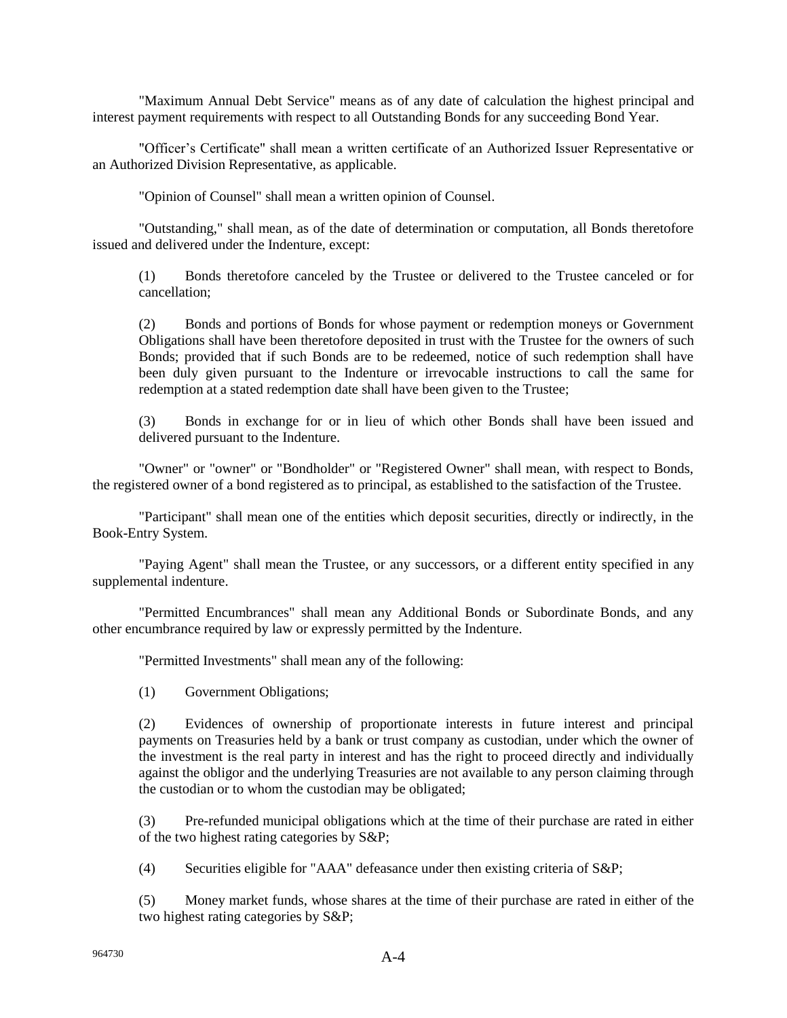"Maximum Annual Debt Service" means as of any date of calculation the highest principal and interest payment requirements with respect to all Outstanding Bonds for any succeeding Bond Year.

"Officer's Certificate" shall mean a written certificate of an Authorized Issuer Representative or an Authorized Division Representative, as applicable.

"Opinion of Counsel" shall mean a written opinion of Counsel.

"Outstanding," shall mean, as of the date of determination or computation, all Bonds theretofore issued and delivered under the Indenture, except:

(1) Bonds theretofore canceled by the Trustee or delivered to the Trustee canceled or for cancellation;

(2) Bonds and portions of Bonds for whose payment or redemption moneys or Government Obligations shall have been theretofore deposited in trust with the Trustee for the owners of such Bonds; provided that if such Bonds are to be redeemed, notice of such redemption shall have been duly given pursuant to the Indenture or irrevocable instructions to call the same for redemption at a stated redemption date shall have been given to the Trustee;

(3) Bonds in exchange for or in lieu of which other Bonds shall have been issued and delivered pursuant to the Indenture.

"Owner" or "owner" or "Bondholder" or "Registered Owner" shall mean, with respect to Bonds, the registered owner of a bond registered as to principal, as established to the satisfaction of the Trustee.

"Participant" shall mean one of the entities which deposit securities, directly or indirectly, in the Book-Entry System.

"Paying Agent" shall mean the Trustee, or any successors, or a different entity specified in any supplemental indenture.

"Permitted Encumbrances" shall mean any Additional Bonds or Subordinate Bonds, and any other encumbrance required by law or expressly permitted by the Indenture.

"Permitted Investments" shall mean any of the following:

(1) Government Obligations;

(2) Evidences of ownership of proportionate interests in future interest and principal payments on Treasuries held by a bank or trust company as custodian, under which the owner of the investment is the real party in interest and has the right to proceed directly and individually against the obligor and the underlying Treasuries are not available to any person claiming through the custodian or to whom the custodian may be obligated;

(3) Pre-refunded municipal obligations which at the time of their purchase are rated in either of the two highest rating categories by S&P;

(4) Securities eligible for "AAA" defeasance under then existing criteria of S&P;

(5) Money market funds, whose shares at the time of their purchase are rated in either of the two highest rating categories by S&P;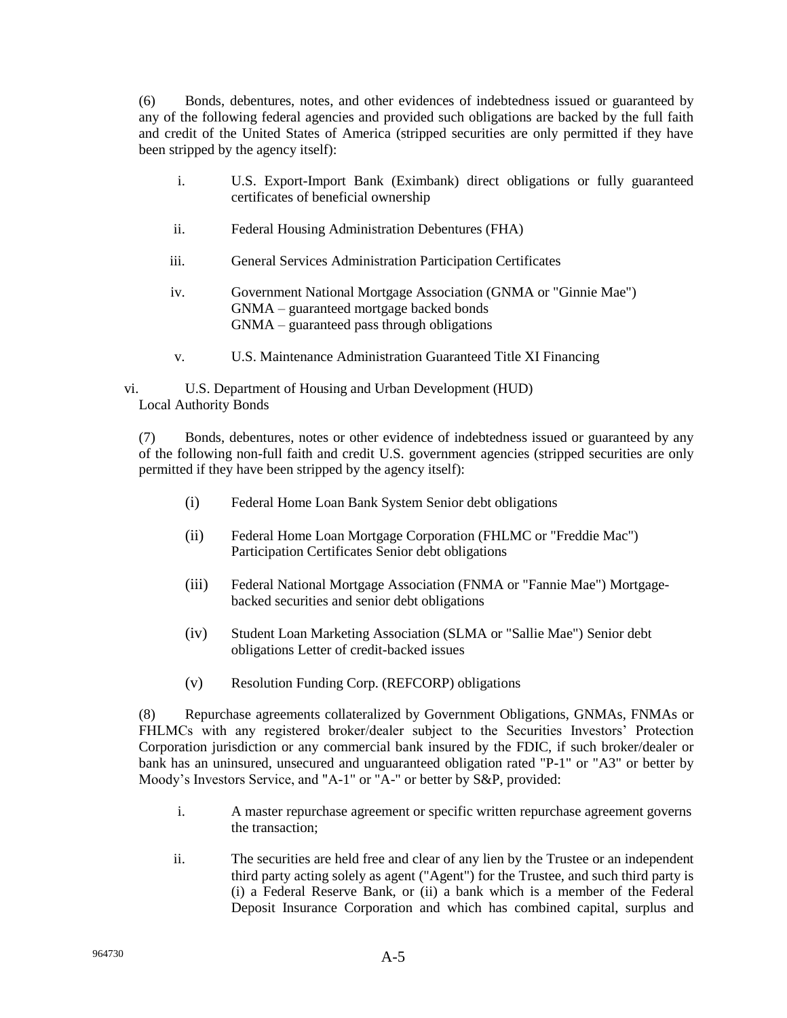(6) Bonds, debentures, notes, and other evidences of indebtedness issued or guaranteed by any of the following federal agencies and provided such obligations are backed by the full faith and credit of the United States of America (stripped securities are only permitted if they have been stripped by the agency itself):

- i. U.S. Export-Import Bank (Eximbank) direct obligations or fully guaranteed certificates of beneficial ownership
- ii. Federal Housing Administration Debentures (FHA)
- iii. General Services Administration Participation Certificates
- iv. Government National Mortgage Association (GNMA or "Ginnie Mae") GNMA – guaranteed mortgage backed bonds GNMA – guaranteed pass through obligations
- v. U.S. Maintenance Administration Guaranteed Title XI Financing

vi. U.S. Department of Housing and Urban Development (HUD) Local Authority Bonds

(7) Bonds, debentures, notes or other evidence of indebtedness issued or guaranteed by any of the following non-full faith and credit U.S. government agencies (stripped securities are only permitted if they have been stripped by the agency itself):

- (i) Federal Home Loan Bank System Senior debt obligations
- (ii) Federal Home Loan Mortgage Corporation (FHLMC or "Freddie Mac") Participation Certificates Senior debt obligations
- (iii) Federal National Mortgage Association (FNMA or "Fannie Mae") Mortgagebacked securities and senior debt obligations
- (iv) Student Loan Marketing Association (SLMA or "Sallie Mae") Senior debt obligations Letter of credit-backed issues
- (v) Resolution Funding Corp. (REFCORP) obligations

(8) Repurchase agreements collateralized by Government Obligations, GNMAs, FNMAs or FHLMCs with any registered broker/dealer subject to the Securities Investors' Protection Corporation jurisdiction or any commercial bank insured by the FDIC, if such broker/dealer or bank has an uninsured, unsecured and unguaranteed obligation rated "P-1" or "A3" or better by Moody's Investors Service, and "A-1" or "A-" or better by S&P, provided:

- i. A master repurchase agreement or specific written repurchase agreement governs the transaction;
- ii. The securities are held free and clear of any lien by the Trustee or an independent third party acting solely as agent ("Agent") for the Trustee, and such third party is (i) a Federal Reserve Bank, or (ii) a bank which is a member of the Federal Deposit Insurance Corporation and which has combined capital, surplus and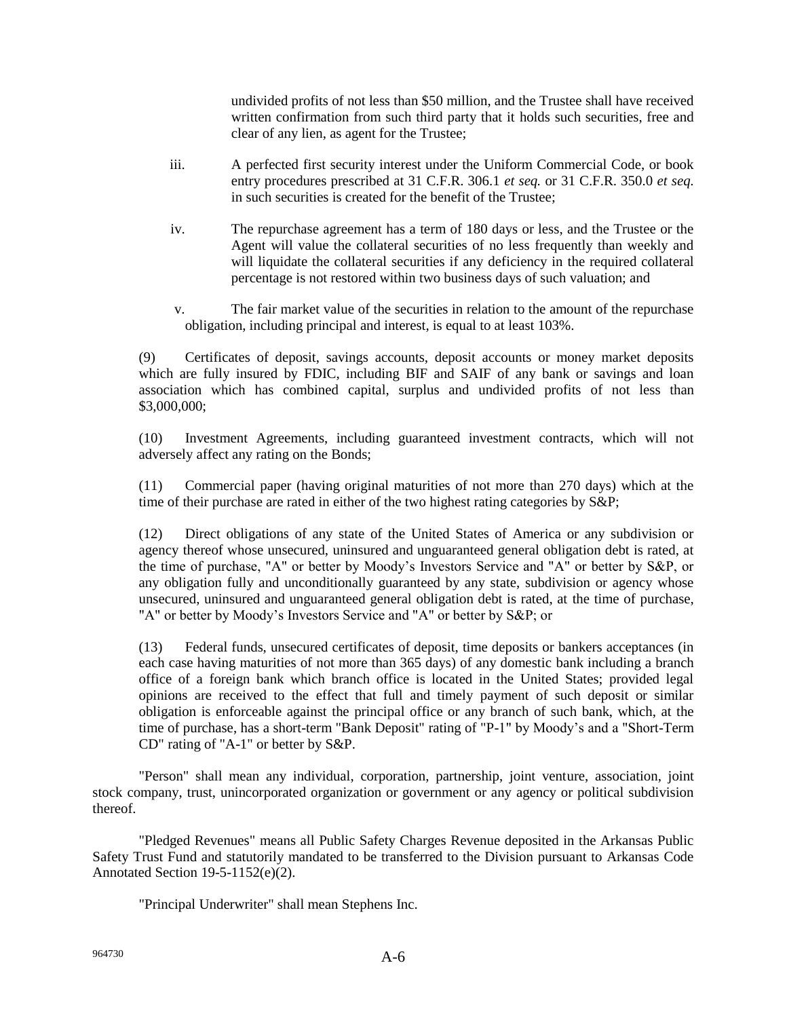undivided profits of not less than \$50 million, and the Trustee shall have received written confirmation from such third party that it holds such securities, free and clear of any lien, as agent for the Trustee;

- iii. A perfected first security interest under the Uniform Commercial Code, or book entry procedures prescribed at 31 C.F.R. 306.1 *et seq.* or 31 C.F.R. 350.0 *et seq.* in such securities is created for the benefit of the Trustee;
- iv. The repurchase agreement has a term of 180 days or less, and the Trustee or the Agent will value the collateral securities of no less frequently than weekly and will liquidate the collateral securities if any deficiency in the required collateral percentage is not restored within two business days of such valuation; and
- v. The fair market value of the securities in relation to the amount of the repurchase obligation, including principal and interest, is equal to at least 103%.

(9) Certificates of deposit, savings accounts, deposit accounts or money market deposits which are fully insured by FDIC, including BIF and SAIF of any bank or savings and loan association which has combined capital, surplus and undivided profits of not less than \$3,000,000;

(10) Investment Agreements, including guaranteed investment contracts, which will not adversely affect any rating on the Bonds;

(11) Commercial paper (having original maturities of not more than 270 days) which at the time of their purchase are rated in either of the two highest rating categories by S&P;

(12) Direct obligations of any state of the United States of America or any subdivision or agency thereof whose unsecured, uninsured and unguaranteed general obligation debt is rated, at the time of purchase, "A" or better by Moody's Investors Service and "A" or better by S&P, or any obligation fully and unconditionally guaranteed by any state, subdivision or agency whose unsecured, uninsured and unguaranteed general obligation debt is rated, at the time of purchase, "A" or better by Moody's Investors Service and "A" or better by S&P; or

(13) Federal funds, unsecured certificates of deposit, time deposits or bankers acceptances (in each case having maturities of not more than 365 days) of any domestic bank including a branch office of a foreign bank which branch office is located in the United States; provided legal opinions are received to the effect that full and timely payment of such deposit or similar obligation is enforceable against the principal office or any branch of such bank, which, at the time of purchase, has a short-term "Bank Deposit" rating of "P-1" by Moody's and a "Short-Term CD" rating of "A-1" or better by S&P.

"Person" shall mean any individual, corporation, partnership, joint venture, association, joint stock company, trust, unincorporated organization or government or any agency or political subdivision thereof.

"Pledged Revenues" means all Public Safety Charges Revenue deposited in the Arkansas Public Safety Trust Fund and statutorily mandated to be transferred to the Division pursuant to Arkansas Code Annotated Section 19-5-1152(e)(2).

"Principal Underwriter" shall mean Stephens Inc.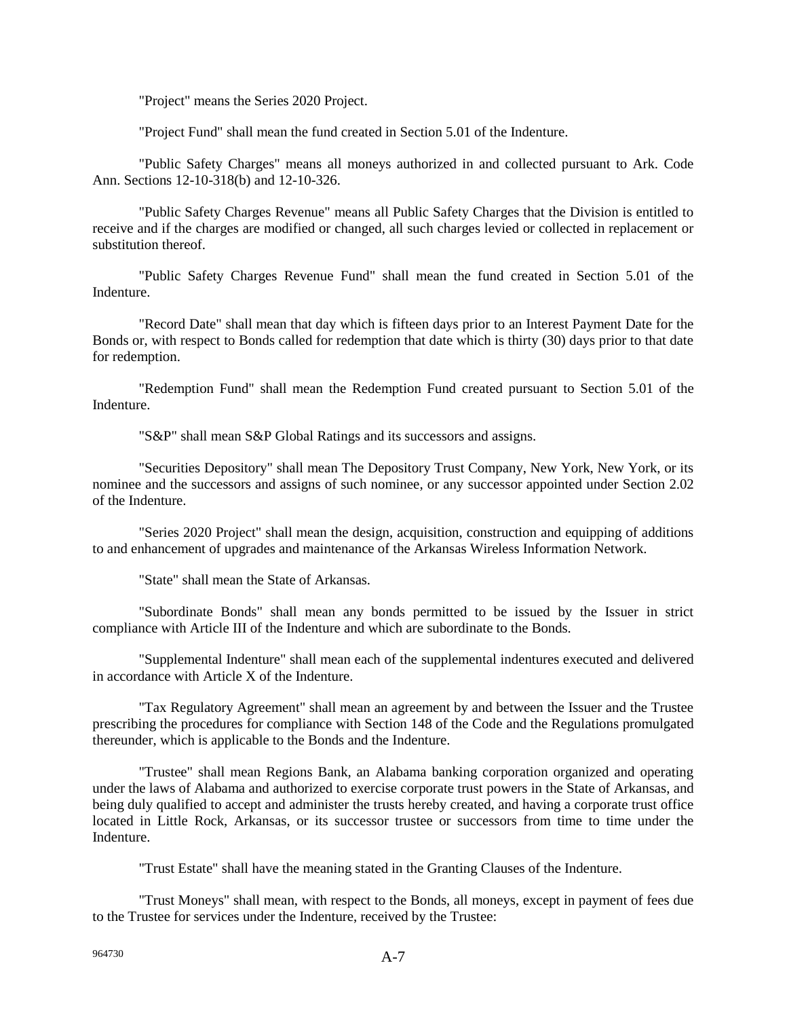"Project" means the Series 2020 Project.

"Project Fund" shall mean the fund created in Section 5.01 of the Indenture.

"Public Safety Charges" means all moneys authorized in and collected pursuant to Ark. Code Ann. Sections 12-10-318(b) and 12-10-326.

"Public Safety Charges Revenue" means all Public Safety Charges that the Division is entitled to receive and if the charges are modified or changed, all such charges levied or collected in replacement or substitution thereof.

"Public Safety Charges Revenue Fund" shall mean the fund created in Section 5.01 of the Indenture.

"Record Date" shall mean that day which is fifteen days prior to an Interest Payment Date for the Bonds or, with respect to Bonds called for redemption that date which is thirty (30) days prior to that date for redemption.

"Redemption Fund" shall mean the Redemption Fund created pursuant to Section 5.01 of the Indenture.

"S&P" shall mean S&P Global Ratings and its successors and assigns.

"Securities Depository" shall mean The Depository Trust Company, New York, New York, or its nominee and the successors and assigns of such nominee, or any successor appointed under Section 2.02 of the Indenture.

"Series 2020 Project" shall mean the design, acquisition, construction and equipping of additions to and enhancement of upgrades and maintenance of the Arkansas Wireless Information Network.

"State" shall mean the State of Arkansas.

"Subordinate Bonds" shall mean any bonds permitted to be issued by the Issuer in strict compliance with Article III of the Indenture and which are subordinate to the Bonds.

"Supplemental Indenture" shall mean each of the supplemental indentures executed and delivered in accordance with Article X of the Indenture.

"Tax Regulatory Agreement" shall mean an agreement by and between the Issuer and the Trustee prescribing the procedures for compliance with Section 148 of the Code and the Regulations promulgated thereunder, which is applicable to the Bonds and the Indenture.

"Trustee" shall mean Regions Bank, an Alabama banking corporation organized and operating under the laws of Alabama and authorized to exercise corporate trust powers in the State of Arkansas, and being duly qualified to accept and administer the trusts hereby created, and having a corporate trust office located in Little Rock, Arkansas, or its successor trustee or successors from time to time under the Indenture.

"Trust Estate" shall have the meaning stated in the Granting Clauses of the Indenture.

"Trust Moneys" shall mean, with respect to the Bonds, all moneys, except in payment of fees due to the Trustee for services under the Indenture, received by the Trustee: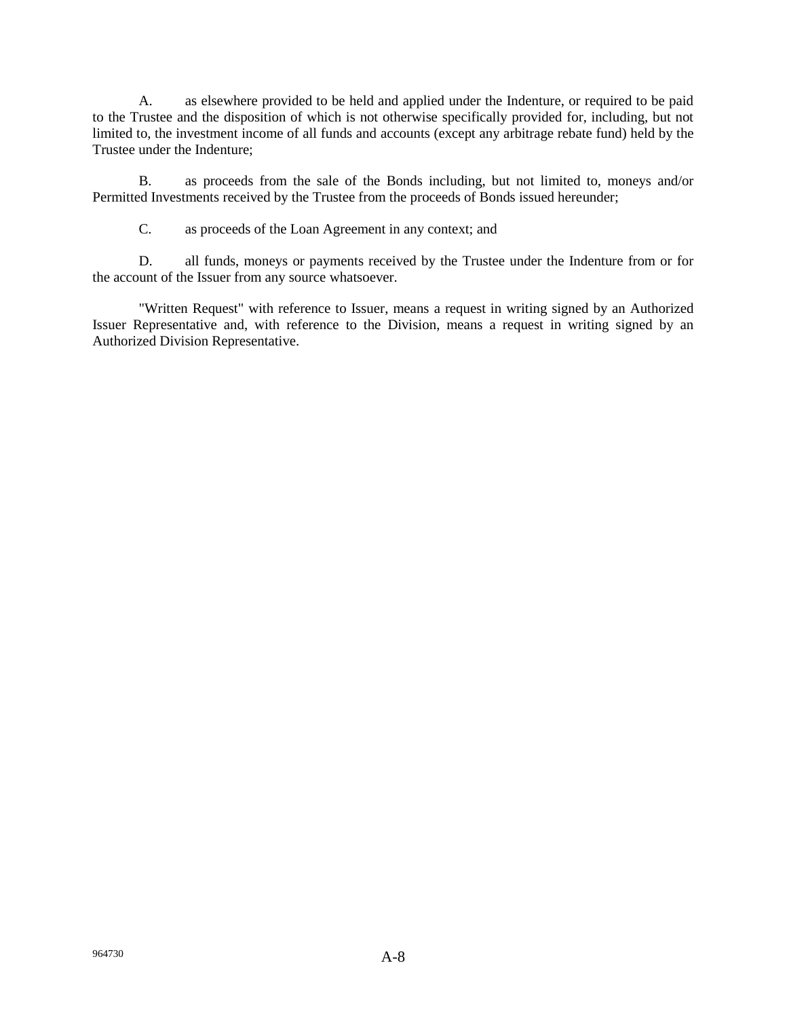A. as elsewhere provided to be held and applied under the Indenture, or required to be paid to the Trustee and the disposition of which is not otherwise specifically provided for, including, but not limited to, the investment income of all funds and accounts (except any arbitrage rebate fund) held by the Trustee under the Indenture;

B. as proceeds from the sale of the Bonds including, but not limited to, moneys and/or Permitted Investments received by the Trustee from the proceeds of Bonds issued hereunder;

C. as proceeds of the Loan Agreement in any context; and

D. all funds, moneys or payments received by the Trustee under the Indenture from or for the account of the Issuer from any source whatsoever.

"Written Request" with reference to Issuer, means a request in writing signed by an Authorized Issuer Representative and, with reference to the Division, means a request in writing signed by an Authorized Division Representative.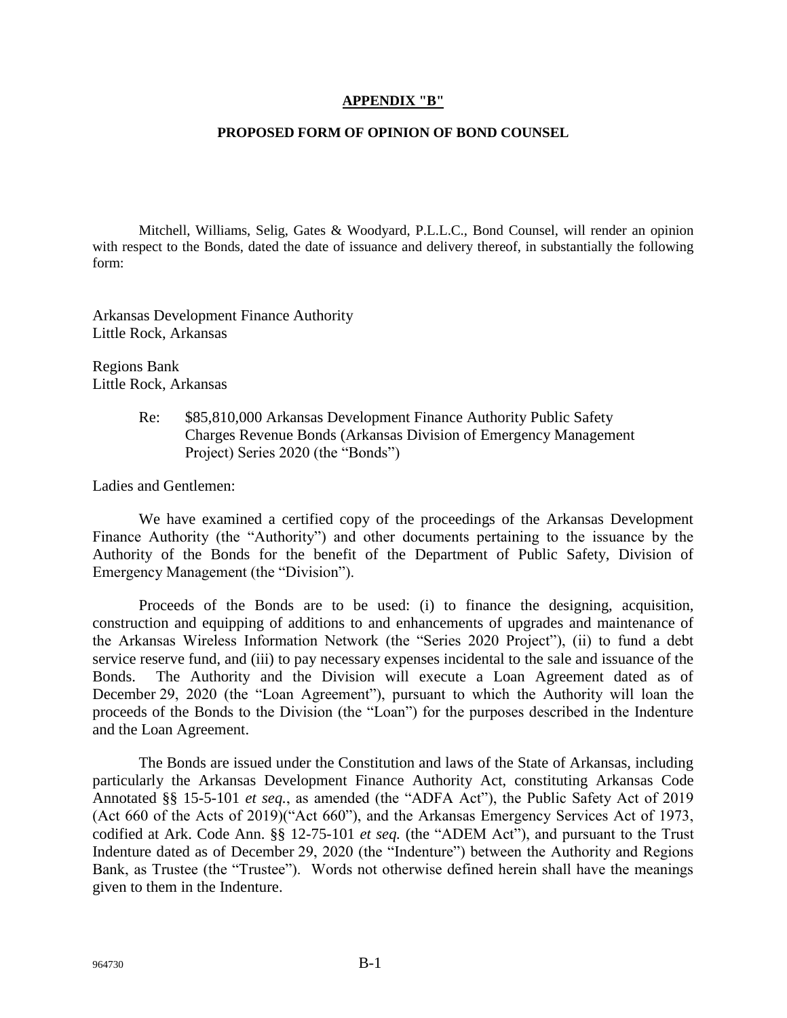## **APPENDIX "B"**

## **PROPOSED FORM OF OPINION OF BOND COUNSEL**

Mitchell, Williams, Selig, Gates & Woodyard, P.L.L.C., Bond Counsel, will render an opinion with respect to the Bonds, dated the date of issuance and delivery thereof, in substantially the following form:

Arkansas Development Finance Authority Little Rock, Arkansas

Regions Bank Little Rock, Arkansas

> Re: \$85,810,000 Arkansas Development Finance Authority Public Safety Charges Revenue Bonds (Arkansas Division of Emergency Management Project) Series 2020 (the "Bonds")

Ladies and Gentlemen:

We have examined a certified copy of the proceedings of the Arkansas Development Finance Authority (the "Authority") and other documents pertaining to the issuance by the Authority of the Bonds for the benefit of the Department of Public Safety, Division of Emergency Management (the "Division").

Proceeds of the Bonds are to be used: (i) to finance the designing, acquisition, construction and equipping of additions to and enhancements of upgrades and maintenance of the Arkansas Wireless Information Network (the "Series 2020 Project"), (ii) to fund a debt service reserve fund, and (iii) to pay necessary expenses incidental to the sale and issuance of the Bonds. The Authority and the Division will execute a Loan Agreement dated as of December 29, 2020 (the "Loan Agreement"), pursuant to which the Authority will loan the proceeds of the Bonds to the Division (the "Loan") for the purposes described in the Indenture and the Loan Agreement.

The Bonds are issued under the Constitution and laws of the State of Arkansas, including particularly the Arkansas Development Finance Authority Act, constituting Arkansas Code Annotated §§ 15-5-101 *et seq.*, as amended (the "ADFA Act"), the Public Safety Act of 2019 (Act 660 of the Acts of 2019)("Act 660"), and the Arkansas Emergency Services Act of 1973, codified at Ark. Code Ann. §§ 12-75-101 *et seq.* (the "ADEM Act"), and pursuant to the Trust Indenture dated as of December 29, 2020 (the "Indenture") between the Authority and Regions Bank, as Trustee (the "Trustee"). Words not otherwise defined herein shall have the meanings given to them in the Indenture.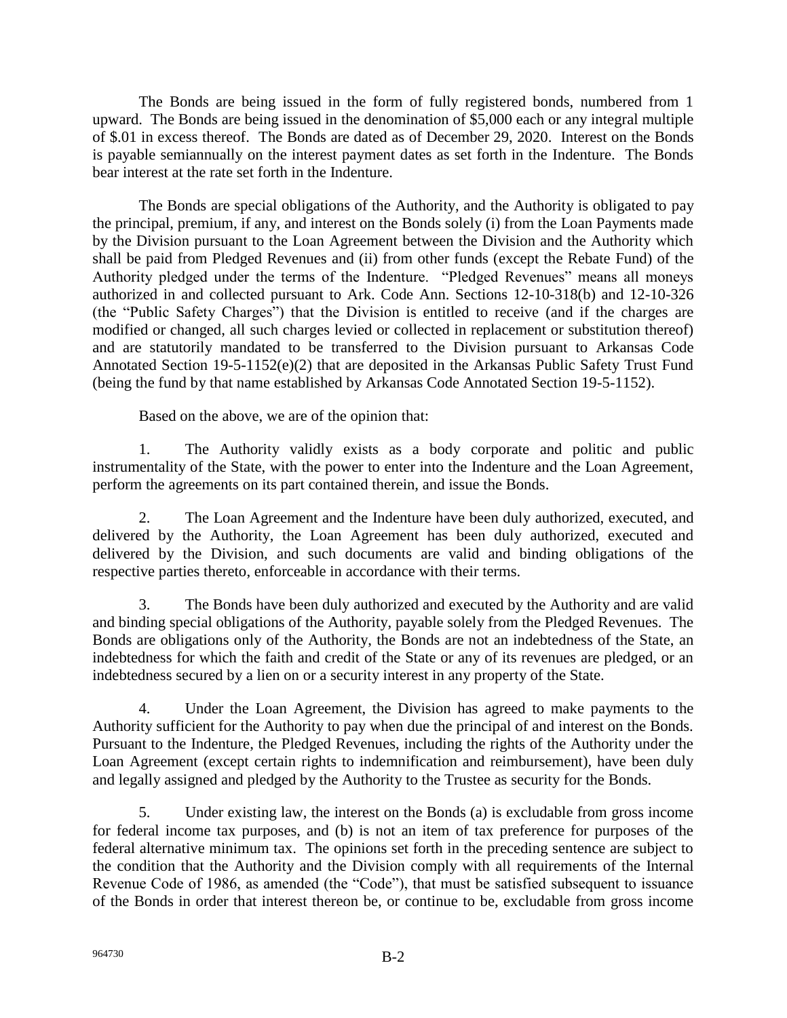The Bonds are being issued in the form of fully registered bonds, numbered from 1 upward. The Bonds are being issued in the denomination of \$5,000 each or any integral multiple of \$.01 in excess thereof. The Bonds are dated as of December 29, 2020. Interest on the Bonds is payable semiannually on the interest payment dates as set forth in the Indenture. The Bonds bear interest at the rate set forth in the Indenture.

The Bonds are special obligations of the Authority, and the Authority is obligated to pay the principal, premium, if any, and interest on the Bonds solely (i) from the Loan Payments made by the Division pursuant to the Loan Agreement between the Division and the Authority which shall be paid from Pledged Revenues and (ii) from other funds (except the Rebate Fund) of the Authority pledged under the terms of the Indenture. "Pledged Revenues" means all moneys authorized in and collected pursuant to Ark. Code Ann. Sections 12-10-318(b) and 12-10-326 (the "Public Safety Charges") that the Division is entitled to receive (and if the charges are modified or changed, all such charges levied or collected in replacement or substitution thereof) and are statutorily mandated to be transferred to the Division pursuant to Arkansas Code Annotated Section 19-5-1152(e)(2) that are deposited in the Arkansas Public Safety Trust Fund (being the fund by that name established by Arkansas Code Annotated Section 19-5-1152).

Based on the above, we are of the opinion that:

1. The Authority validly exists as a body corporate and politic and public instrumentality of the State, with the power to enter into the Indenture and the Loan Agreement, perform the agreements on its part contained therein, and issue the Bonds.

2. The Loan Agreement and the Indenture have been duly authorized, executed, and delivered by the Authority, the Loan Agreement has been duly authorized, executed and delivered by the Division, and such documents are valid and binding obligations of the respective parties thereto, enforceable in accordance with their terms.

3. The Bonds have been duly authorized and executed by the Authority and are valid and binding special obligations of the Authority, payable solely from the Pledged Revenues. The Bonds are obligations only of the Authority, the Bonds are not an indebtedness of the State, an indebtedness for which the faith and credit of the State or any of its revenues are pledged, or an indebtedness secured by a lien on or a security interest in any property of the State.

4. Under the Loan Agreement, the Division has agreed to make payments to the Authority sufficient for the Authority to pay when due the principal of and interest on the Bonds. Pursuant to the Indenture, the Pledged Revenues, including the rights of the Authority under the Loan Agreement (except certain rights to indemnification and reimbursement), have been duly and legally assigned and pledged by the Authority to the Trustee as security for the Bonds.

5. Under existing law, the interest on the Bonds (a) is excludable from gross income for federal income tax purposes, and (b) is not an item of tax preference for purposes of the federal alternative minimum tax. The opinions set forth in the preceding sentence are subject to the condition that the Authority and the Division comply with all requirements of the Internal Revenue Code of 1986, as amended (the "Code"), that must be satisfied subsequent to issuance of the Bonds in order that interest thereon be, or continue to be, excludable from gross income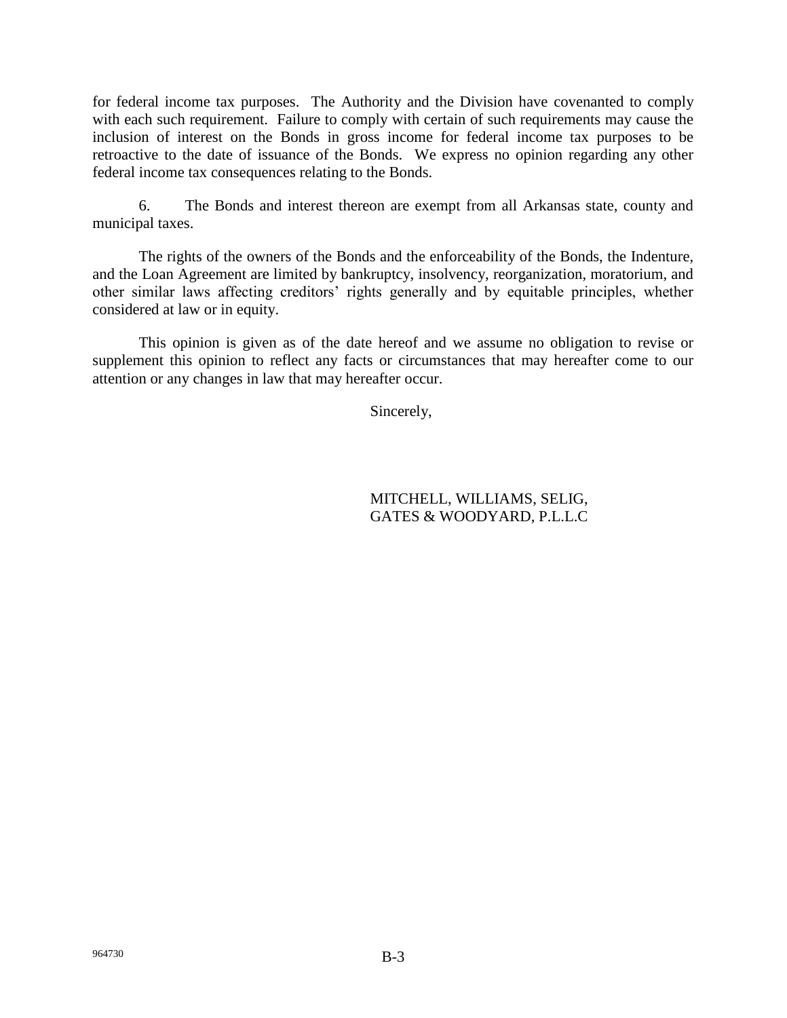for federal income tax purposes. The Authority and the Division have covenanted to comply with each such requirement. Failure to comply with certain of such requirements may cause the inclusion of interest on the Bonds in gross income for federal income tax purposes to be retroactive to the date of issuance of the Bonds. We express no opinion regarding any other federal income tax consequences relating to the Bonds.

6. The Bonds and interest thereon are exempt from all Arkansas state, county and municipal taxes.

The rights of the owners of the Bonds and the enforceability of the Bonds, the Indenture, and the Loan Agreement are limited by bankruptcy, insolvency, reorganization, moratorium, and other similar laws affecting creditors' rights generally and by equitable principles, whether considered at law or in equity.

This opinion is given as of the date hereof and we assume no obligation to revise or supplement this opinion to reflect any facts or circumstances that may hereafter come to our attention or any changes in law that may hereafter occur.

Sincerely,

MITCHELL, WILLIAMS, SELIG, GATES & WOODYARD, P.L.L.C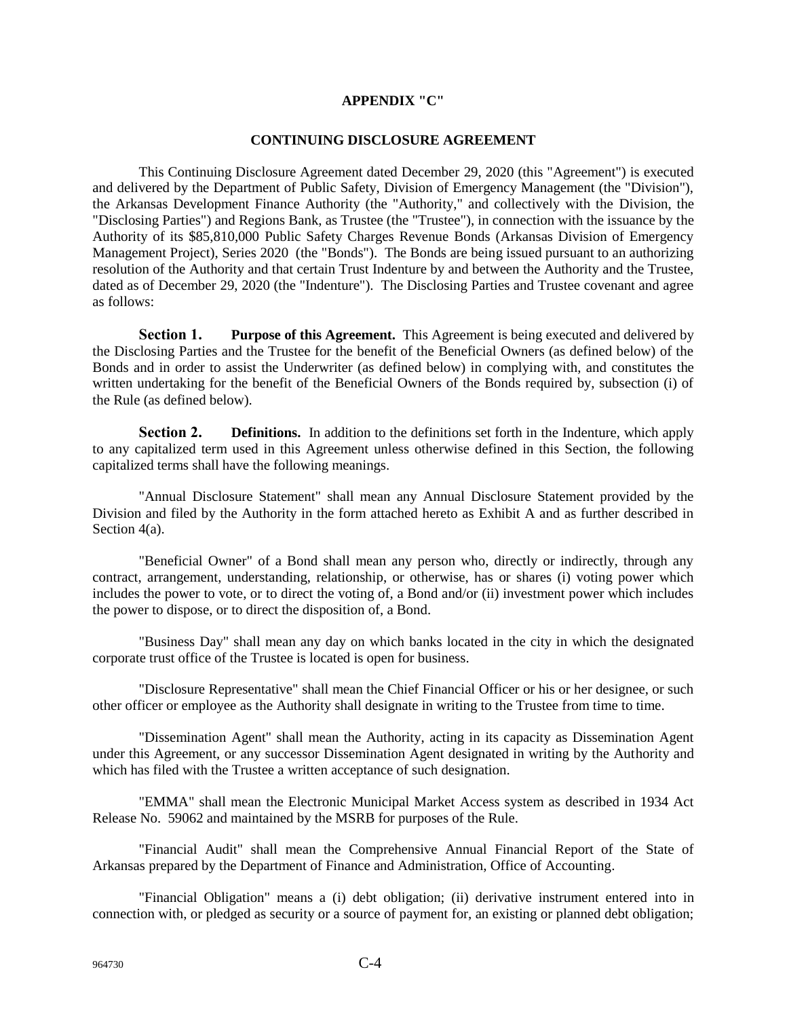## **APPENDIX "C"**

## **CONTINUING DISCLOSURE AGREEMENT**

This Continuing Disclosure Agreement dated December 29, 2020 (this "Agreement") is executed and delivered by the Department of Public Safety, Division of Emergency Management (the "Division"), the Arkansas Development Finance Authority (the "Authority," and collectively with the Division, the "Disclosing Parties") and Regions Bank, as Trustee (the "Trustee"), in connection with the issuance by the Authority of its \$85,810,000 Public Safety Charges Revenue Bonds (Arkansas Division of Emergency Management Project), Series 2020 (the "Bonds"). The Bonds are being issued pursuant to an authorizing resolution of the Authority and that certain Trust Indenture by and between the Authority and the Trustee, dated as of December 29, 2020 (the "Indenture"). The Disclosing Parties and Trustee covenant and agree as follows:

**Section 1. Purpose of this Agreement.** This Agreement is being executed and delivered by the Disclosing Parties and the Trustee for the benefit of the Beneficial Owners (as defined below) of the Bonds and in order to assist the Underwriter (as defined below) in complying with, and constitutes the written undertaking for the benefit of the Beneficial Owners of the Bonds required by, subsection (i) of the Rule (as defined below).

**Section 2. Definitions.** In addition to the definitions set forth in the Indenture, which apply to any capitalized term used in this Agreement unless otherwise defined in this Section, the following capitalized terms shall have the following meanings.

"Annual Disclosure Statement" shall mean any Annual Disclosure Statement provided by the Division and filed by the Authority in the form attached hereto as Exhibit A and as further described in Section 4(a).

"Beneficial Owner" of a Bond shall mean any person who, directly or indirectly, through any contract, arrangement, understanding, relationship, or otherwise, has or shares (i) voting power which includes the power to vote, or to direct the voting of, a Bond and/or (ii) investment power which includes the power to dispose, or to direct the disposition of, a Bond.

"Business Day" shall mean any day on which banks located in the city in which the designated corporate trust office of the Trustee is located is open for business.

"Disclosure Representative" shall mean the Chief Financial Officer or his or her designee, or such other officer or employee as the Authority shall designate in writing to the Trustee from time to time.

"Dissemination Agent" shall mean the Authority, acting in its capacity as Dissemination Agent under this Agreement, or any successor Dissemination Agent designated in writing by the Authority and which has filed with the Trustee a written acceptance of such designation.

"EMMA" shall mean the Electronic Municipal Market Access system as described in 1934 Act Release No. 59062 and maintained by the MSRB for purposes of the Rule.

"Financial Audit" shall mean the Comprehensive Annual Financial Report of the State of Arkansas prepared by the Department of Finance and Administration, Office of Accounting.

"Financial Obligation" means a (i) debt obligation; (ii) derivative instrument entered into in connection with, or pledged as security or a source of payment for, an existing or planned debt obligation;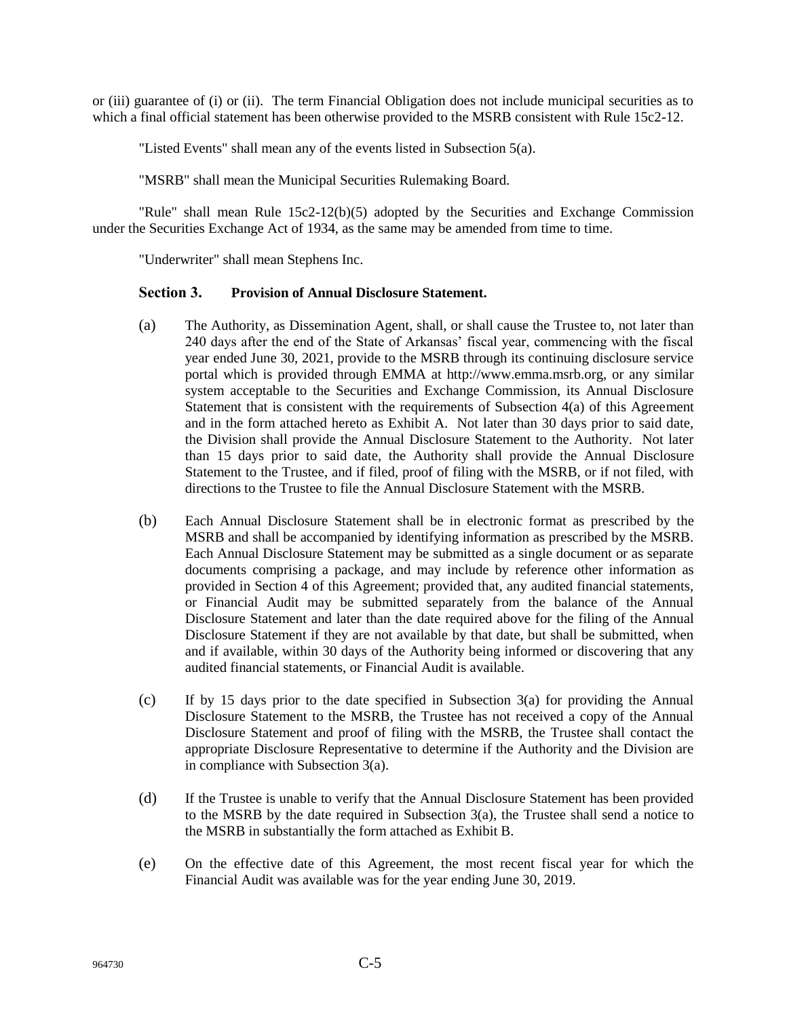or (iii) guarantee of (i) or (ii). The term Financial Obligation does not include municipal securities as to which a final official statement has been otherwise provided to the MSRB consistent with Rule 15c2-12.

"Listed Events" shall mean any of the events listed in Subsection 5(a).

"MSRB" shall mean the Municipal Securities Rulemaking Board.

"Rule" shall mean Rule 15c2-12(b)(5) adopted by the Securities and Exchange Commission under the Securities Exchange Act of 1934, as the same may be amended from time to time.

"Underwriter" shall mean Stephens Inc.

## **Section 3. Provision of Annual Disclosure Statement.**

- (a) The Authority, as Dissemination Agent, shall, or shall cause the Trustee to, not later than 240 days after the end of the State of Arkansas' fiscal year, commencing with the fiscal year ended June 30, 2021, provide to the MSRB through its continuing disclosure service portal which is provided through EMMA at [http://www.emma.msrb.org, o](http://www.emma.msrb.org/)r any similar system acceptable to the Securities and Exchange Commission, its Annual Disclosure Statement that is consistent with the requirements of Subsection  $4(a)$  of this Agreement and in the form attached hereto as Exhibit A. Not later than 30 days prior to said date, the Division shall provide the Annual Disclosure Statement to the Authority. Not later than 15 days prior to said date, the Authority shall provide the Annual Disclosure Statement to the Trustee, and if filed, proof of filing with the MSRB, or if not filed, with directions to the Trustee to file the Annual Disclosure Statement with the MSRB.
- (b) Each Annual Disclosure Statement shall be in electronic format as prescribed by the MSRB and shall be accompanied by identifying information as prescribed by the MSRB. Each Annual Disclosure Statement may be submitted as a single document or as separate documents comprising a package, and may include by reference other information as provided in Section 4 of this Agreement; provided that, any audited financial statements, or Financial Audit may be submitted separately from the balance of the Annual Disclosure Statement and later than the date required above for the filing of the Annual Disclosure Statement if they are not available by that date, but shall be submitted, when and if available, within 30 days of the Authority being informed or discovering that any audited financial statements, or Financial Audit is available.
- (c) If by 15 days prior to the date specified in Subsection 3(a) for providing the Annual Disclosure Statement to the MSRB, the Trustee has not received a copy of the Annual Disclosure Statement and proof of filing with the MSRB, the Trustee shall contact the appropriate Disclosure Representative to determine if the Authority and the Division are in compliance with Subsection 3(a).
- (d) If the Trustee is unable to verify that the Annual Disclosure Statement has been provided to the MSRB by the date required in Subsection  $3(a)$ , the Trustee shall send a notice to the MSRB in substantially the form attached as Exhibit B.
- (e) On the effective date of this Agreement, the most recent fiscal year for which the Financial Audit was available was for the year ending June 30, 2019.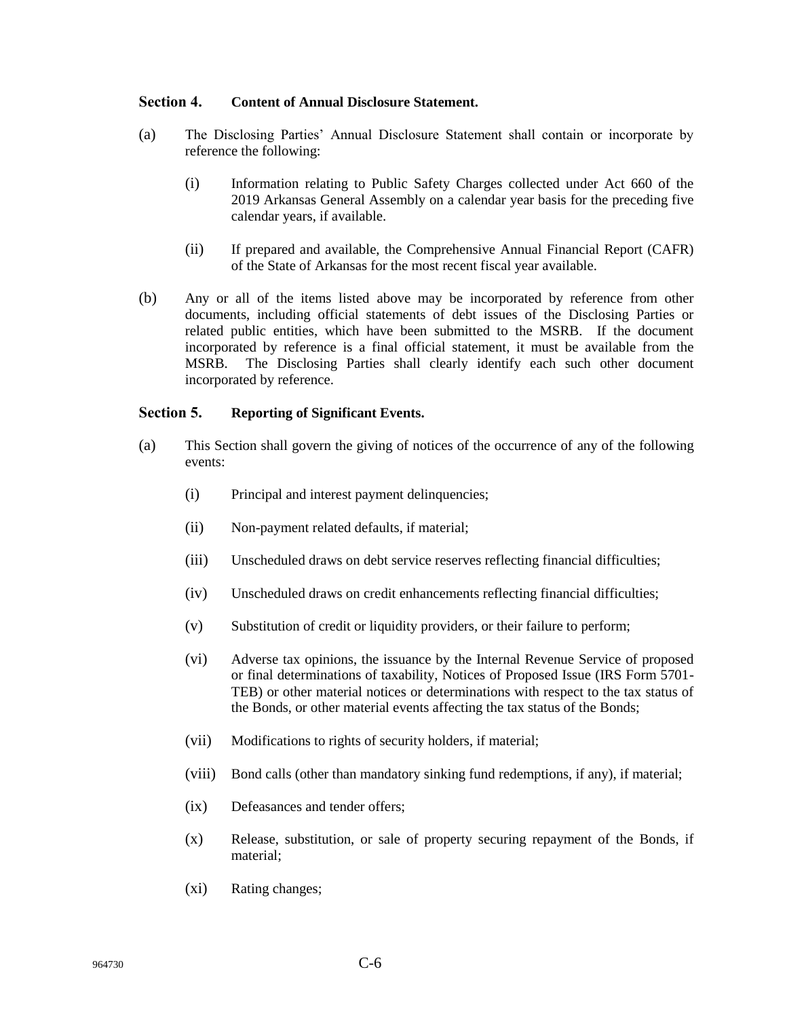## **Section 4. Content of Annual Disclosure Statement.**

- (a) The Disclosing Parties' Annual Disclosure Statement shall contain or incorporate by reference the following:
	- (i) Information relating to Public Safety Charges collected under Act 660 of the 2019 Arkansas General Assembly on a calendar year basis for the preceding five calendar years, if available.
	- (ii) If prepared and available, the Comprehensive Annual Financial Report (CAFR) of the State of Arkansas for the most recent fiscal year available.
- (b) Any or all of the items listed above may be incorporated by reference from other documents, including official statements of debt issues of the Disclosing Parties or related public entities, which have been submitted to the MSRB. If the document incorporated by reference is a final official statement, it must be available from the MSRB. The Disclosing Parties shall clearly identify each such other document incorporated by reference.

## **Section 5. Reporting of Significant Events.**

- (a) This Section shall govern the giving of notices of the occurrence of any of the following events:
	- (i) Principal and interest payment delinquencies;
	- (ii) Non-payment related defaults, if material;
	- (iii) Unscheduled draws on debt service reserves reflecting financial difficulties;
	- (iv) Unscheduled draws on credit enhancements reflecting financial difficulties;
	- (v) Substitution of credit or liquidity providers, or their failure to perform;
	- (vi) Adverse tax opinions, the issuance by the Internal Revenue Service of proposed or final determinations of taxability, Notices of Proposed Issue (IRS Form 5701- TEB) or other material notices or determinations with respect to the tax status of the Bonds, or other material events affecting the tax status of the Bonds;
	- (vii) Modifications to rights of security holders, if material;
	- (viii) Bond calls (other than mandatory sinking fund redemptions, if any), if material;
	- (ix) Defeasances and tender offers;
	- (x) Release, substitution, or sale of property securing repayment of the Bonds, if material;
	- (xi) Rating changes;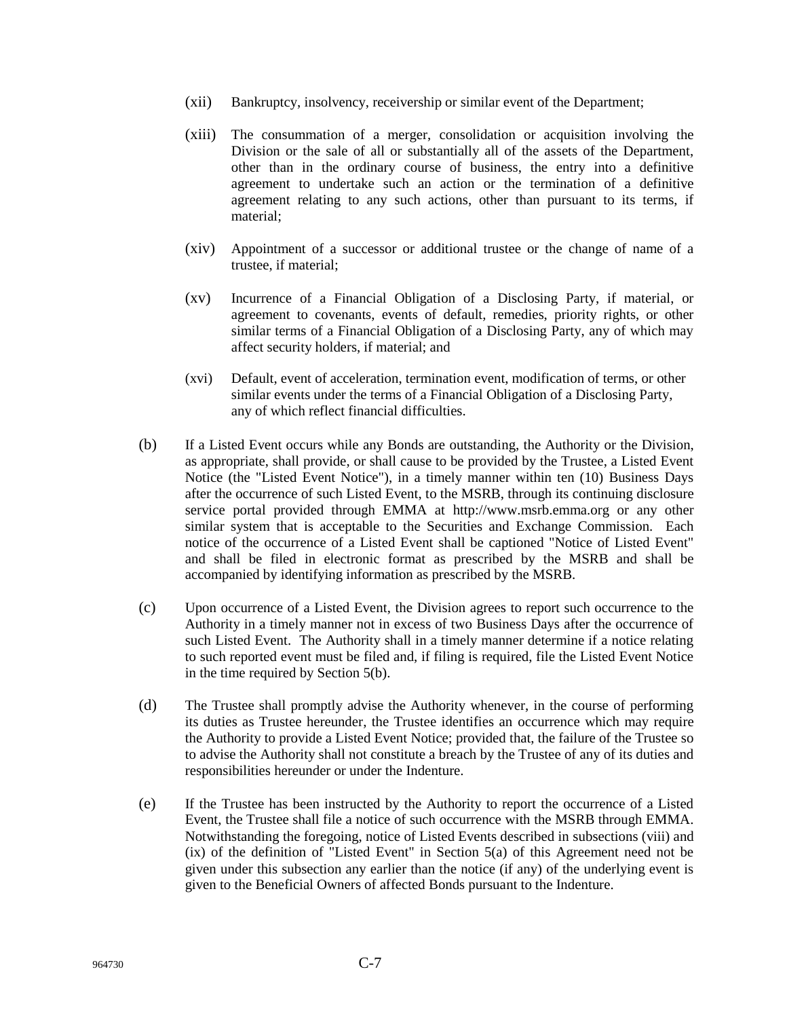- (xii) Bankruptcy, insolvency, receivership or similar event of the Department;
- (xiii) The consummation of a merger, consolidation or acquisition involving the Division or the sale of all or substantially all of the assets of the Department, other than in the ordinary course of business, the entry into a definitive agreement to undertake such an action or the termination of a definitive agreement relating to any such actions, other than pursuant to its terms, if material;
- (xiv) Appointment of a successor or additional trustee or the change of name of a trustee, if material;
- (xv) Incurrence of a Financial Obligation of a Disclosing Party, if material, or agreement to covenants, events of default, remedies, priority rights, or other similar terms of a Financial Obligation of a Disclosing Party, any of which may affect security holders, if material; and
- (xvi) Default, event of acceleration, termination event, modification of terms, or other similar events under the terms of a Financial Obligation of a Disclosing Party, any of which reflect financial difficulties.
- (b) If a Listed Event occurs while any Bonds are outstanding, the Authority or the Division, as appropriate, shall provide, or shall cause to be provided by the Trustee, a Listed Event Notice (the "Listed Event Notice"), in a timely manner within ten (10) Business Days after the occurrence of such Listed Event, to the MSRB, through its continuing disclosure service portal provided through EMMA at [http://www.msrb.emma.org o](http://www.msrb.emma.org/)r any other similar system that is acceptable to the Securities and Exchange Commission. Each notice of the occurrence of a Listed Event shall be captioned "Notice of Listed Event" and shall be filed in electronic format as prescribed by the MSRB and shall be accompanied by identifying information as prescribed by the MSRB.
- (c) Upon occurrence of a Listed Event, the Division agrees to report such occurrence to the Authority in a timely manner not in excess of two Business Days after the occurrence of such Listed Event. The Authority shall in a timely manner determine if a notice relating to such reported event must be filed and, if filing is required, file the Listed Event Notice in the time required by Section 5(b).
- (d) The Trustee shall promptly advise the Authority whenever, in the course of performing its duties as Trustee hereunder, the Trustee identifies an occurrence which may require the Authority to provide a Listed Event Notice; provided that, the failure of the Trustee so to advise the Authority shall not constitute a breach by the Trustee of any of its duties and responsibilities hereunder or under the Indenture.
- (e) If the Trustee has been instructed by the Authority to report the occurrence of a Listed Event, the Trustee shall file a notice of such occurrence with the MSRB through EMMA. Notwithstanding the foregoing, notice of Listed Events described in subsections (viii) and (ix) of the definition of "Listed Event" in Section 5(a) of this Agreement need not be given under this subsection any earlier than the notice (if any) of the underlying event is given to the Beneficial Owners of affected Bonds pursuant to the Indenture.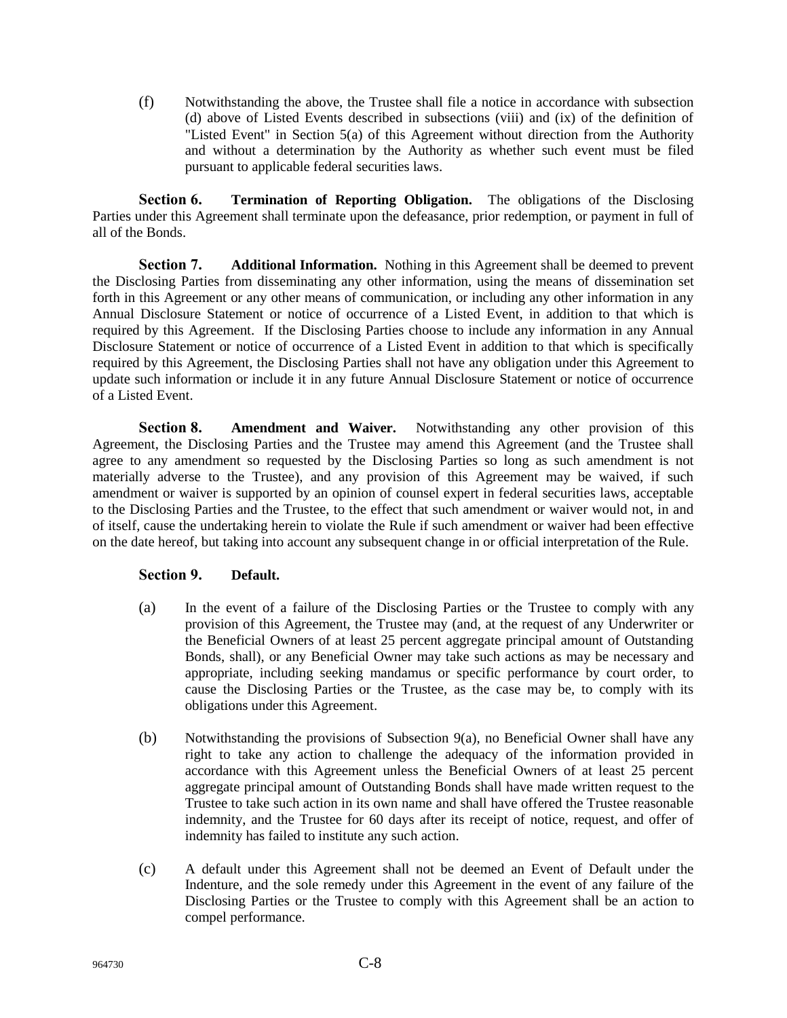(f) Notwithstanding the above, the Trustee shall file a notice in accordance with subsection (d) above of Listed Events described in subsections (viii) and (ix) of the definition of "Listed Event" in Section 5(a) of this Agreement without direction from the Authority and without a determination by the Authority as whether such event must be filed pursuant to applicable federal securities laws.

**Section 6. Termination of Reporting Obligation.** The obligations of the Disclosing Parties under this Agreement shall terminate upon the defeasance, prior redemption, or payment in full of all of the Bonds.

**Section 7. Additional Information.** Nothing in this Agreement shall be deemed to prevent the Disclosing Parties from disseminating any other information, using the means of dissemination set forth in this Agreement or any other means of communication, or including any other information in any Annual Disclosure Statement or notice of occurrence of a Listed Event, in addition to that which is required by this Agreement. If the Disclosing Parties choose to include any information in any Annual Disclosure Statement or notice of occurrence of a Listed Event in addition to that which is specifically required by this Agreement, the Disclosing Parties shall not have any obligation under this Agreement to update such information or include it in any future Annual Disclosure Statement or notice of occurrence of a Listed Event.

**Section 8. Amendment and Waiver.** Notwithstanding any other provision of this Agreement, the Disclosing Parties and the Trustee may amend this Agreement (and the Trustee shall agree to any amendment so requested by the Disclosing Parties so long as such amendment is not materially adverse to the Trustee), and any provision of this Agreement may be waived, if such amendment or waiver is supported by an opinion of counsel expert in federal securities laws, acceptable to the Disclosing Parties and the Trustee, to the effect that such amendment or waiver would not, in and of itself, cause the undertaking herein to violate the Rule if such amendment or waiver had been effective on the date hereof, but taking into account any subsequent change in or official interpretation of the Rule.

## **Section 9. Default.**

- (a) In the event of a failure of the Disclosing Parties or the Trustee to comply with any provision of this Agreement, the Trustee may (and, at the request of any Underwriter or the Beneficial Owners of at least 25 percent aggregate principal amount of Outstanding Bonds, shall), or any Beneficial Owner may take such actions as may be necessary and appropriate, including seeking mandamus or specific performance by court order, to cause the Disclosing Parties or the Trustee, as the case may be, to comply with its obligations under this Agreement.
- (b) Notwithstanding the provisions of Subsection  $9(a)$ , no Beneficial Owner shall have any right to take any action to challenge the adequacy of the information provided in accordance with this Agreement unless the Beneficial Owners of at least 25 percent aggregate principal amount of Outstanding Bonds shall have made written request to the Trustee to take such action in its own name and shall have offered the Trustee reasonable indemnity, and the Trustee for 60 days after its receipt of notice, request, and offer of indemnity has failed to institute any such action.
- (c) A default under this Agreement shall not be deemed an Event of Default under the Indenture, and the sole remedy under this Agreement in the event of any failure of the Disclosing Parties or the Trustee to comply with this Agreement shall be an action to compel performance.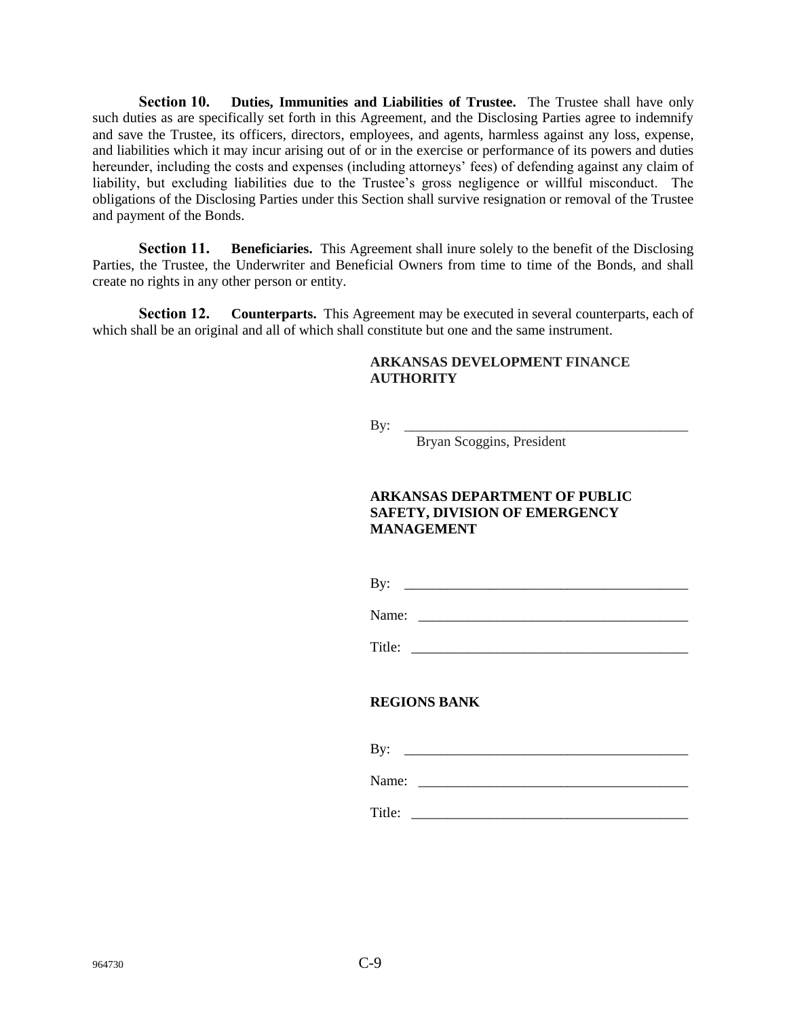**Section 10. Duties, Immunities and Liabilities of Trustee.** The Trustee shall have only such duties as are specifically set forth in this Agreement, and the Disclosing Parties agree to indemnify and save the Trustee, its officers, directors, employees, and agents, harmless against any loss, expense, and liabilities which it may incur arising out of or in the exercise or performance of its powers and duties hereunder, including the costs and expenses (including attorneys' fees) of defending against any claim of liability, but excluding liabilities due to the Trustee's gross negligence or willful misconduct. The obligations of the Disclosing Parties under this Section shall survive resignation or removal of the Trustee and payment of the Bonds.

**Section 11. Beneficiaries.** This Agreement shall inure solely to the benefit of the Disclosing Parties, the Trustee, the Underwriter and Beneficial Owners from time to time of the Bonds, and shall create no rights in any other person or entity.

**Section 12. Counterparts.** This Agreement may be executed in several counterparts, each of which shall be an original and all of which shall constitute but one and the same instrument.

## **ARKANSAS DEVELOPMENT FINANCE AUTHORITY**

By: \_\_\_\_\_\_\_\_\_\_\_\_\_\_\_\_\_\_\_\_\_\_\_\_\_\_\_\_\_\_\_\_\_\_\_\_\_\_\_\_

Bryan Scoggins, President

## **ARKANSAS DEPARTMENT OF PUBLIC SAFETY, DIVISION OF EMERGENCY MANAGEMENT**

By: \_\_\_\_\_\_\_\_\_\_\_\_\_\_\_\_\_\_\_\_\_\_\_\_\_\_\_\_\_\_\_\_\_\_\_\_\_\_\_\_

Name: \_\_\_\_\_\_\_\_\_\_\_\_\_\_\_\_\_\_\_\_\_\_\_\_\_\_\_\_\_\_\_\_\_\_\_\_\_\_

Title:

## **REGIONS BANK**

| By:   |  |  |  |
|-------|--|--|--|
| Name: |  |  |  |
|       |  |  |  |

Title: \_\_\_\_\_\_\_\_\_\_\_\_\_\_\_\_\_\_\_\_\_\_\_\_\_\_\_\_\_\_\_\_\_\_\_\_\_\_\_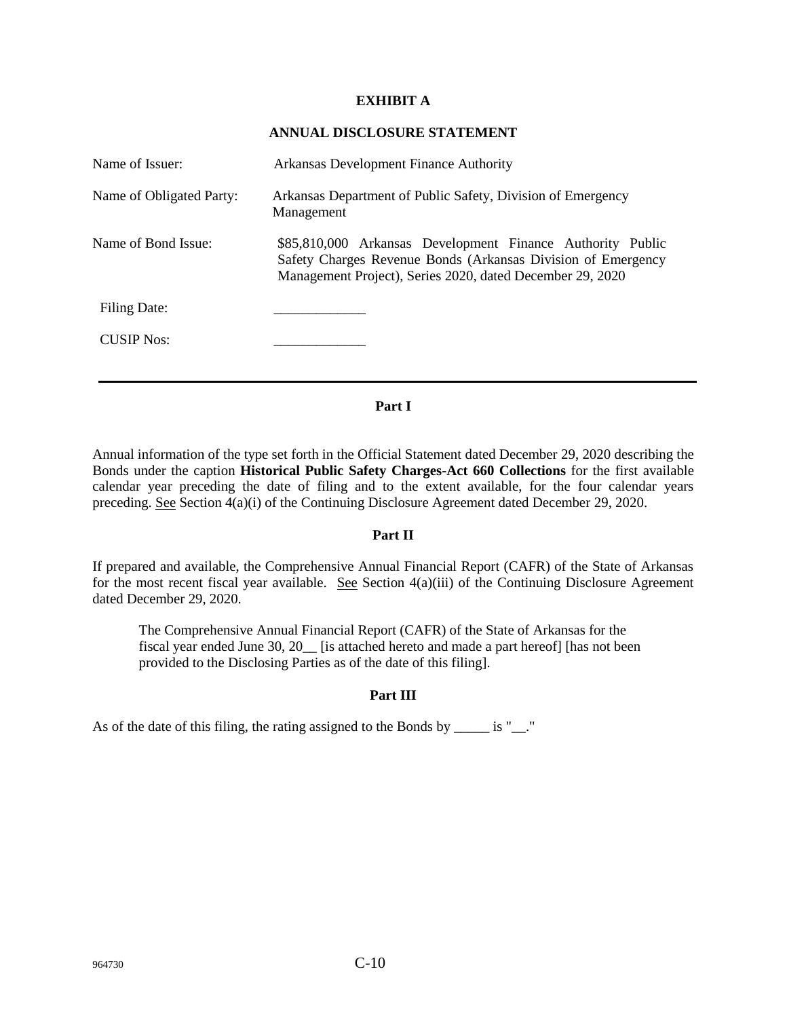## **EXHIBIT A**

## **ANNUAL DISCLOSURE STATEMENT**

| Name of Issuer:          | Arkansas Development Finance Authority                                                                                                                                                  |
|--------------------------|-----------------------------------------------------------------------------------------------------------------------------------------------------------------------------------------|
| Name of Obligated Party: | Arkansas Department of Public Safety, Division of Emergency<br>Management                                                                                                               |
| Name of Bond Issue:      | \$85,810,000 Arkansas Development Finance Authority Public<br>Safety Charges Revenue Bonds (Arkansas Division of Emergency<br>Management Project), Series 2020, dated December 29, 2020 |
| Filing Date:             |                                                                                                                                                                                         |
| <b>CUSIP</b> Nos:        |                                                                                                                                                                                         |
|                          |                                                                                                                                                                                         |

## **Part I**

Annual information of the type set forth in the Official Statement dated December 29, 2020 describing the Bonds under the caption **Historical Public Safety Charges-Act 660 Collections** for the first available calendar year preceding the date of filing and to the extent available, for the four calendar years preceding. See Section 4(a)(i) of the Continuing Disclosure Agreement dated December 29, 2020.

## **Part II**

If prepared and available, the Comprehensive Annual Financial Report (CAFR) of the State of Arkansas for the most recent fiscal year available. See Section 4(a)(iii) of the Continuing Disclosure Agreement dated December 29, 2020.

The Comprehensive Annual Financial Report (CAFR) of the State of Arkansas for the fiscal year ended June 30, 20\_\_ [is attached hereto and made a part hereof] [has not been provided to the Disclosing Parties as of the date of this filing].

## **Part III**

As of the date of this filing, the rating assigned to the Bonds by \_\_\_\_\_ is "\_\_."